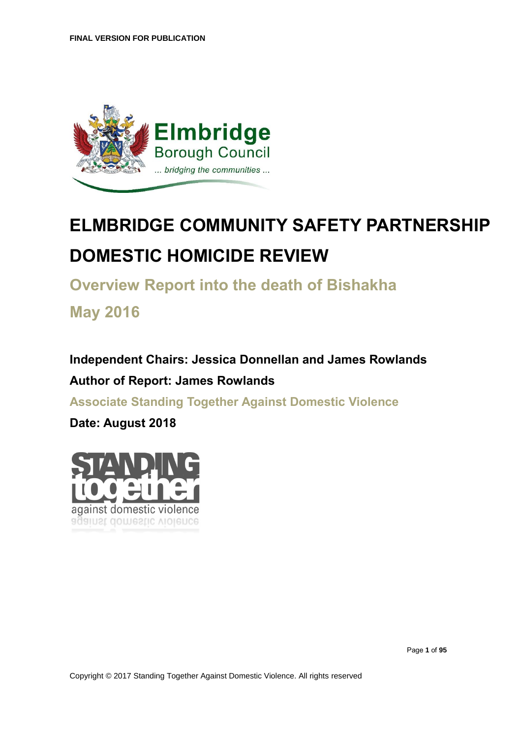

# **ELMBRIDGE COMMUNITY SAFETY PARTNERSHIP DOMESTIC HOMICIDE REVIEW**

**Overview Report into the death of Bishakha**

**May 2016**

**Independent Chairs: Jessica Donnellan and James Rowlands Author of Report: James Rowlands**

**Associate Standing Together Against Domestic Violence**

**Date: August 2018**

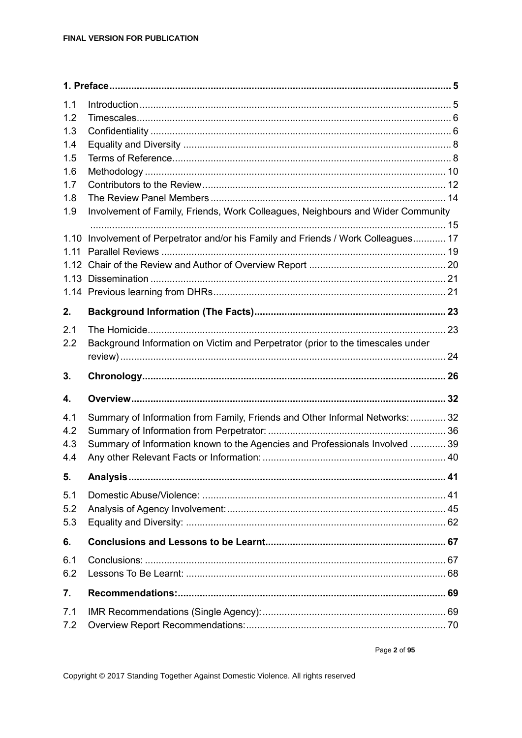| 1.1        |                                                                                 |  |
|------------|---------------------------------------------------------------------------------|--|
| 1.2        |                                                                                 |  |
| 1.3        |                                                                                 |  |
| 1.4        |                                                                                 |  |
| 1.5        |                                                                                 |  |
| 1.6        |                                                                                 |  |
| 1.7        |                                                                                 |  |
| 1.8<br>1.9 | Involvement of Family, Friends, Work Colleagues, Neighbours and Wider Community |  |
|            |                                                                                 |  |
| 1.10       | Involvement of Perpetrator and/or his Family and Friends / Work Colleagues 17   |  |
| 1.11       |                                                                                 |  |
|            |                                                                                 |  |
|            |                                                                                 |  |
|            |                                                                                 |  |
| 2.         |                                                                                 |  |
| 2.1        |                                                                                 |  |
| 2.2        | Background Information on Victim and Perpetrator (prior to the timescales under |  |
|            |                                                                                 |  |
|            |                                                                                 |  |
| 3.         |                                                                                 |  |
| 4.         |                                                                                 |  |
| 4.1        |                                                                                 |  |
| 4.2        | Summary of Information from Family, Friends and Other Informal Networks:  32    |  |
| 4.3        | Summary of Information known to the Agencies and Professionals Involved  39     |  |
| 4.4        |                                                                                 |  |
| 5.         |                                                                                 |  |
| 5.1        |                                                                                 |  |
| 5.2        |                                                                                 |  |
| 5.3        |                                                                                 |  |
| 6.         |                                                                                 |  |
| 6.1        |                                                                                 |  |
| 6.2        |                                                                                 |  |
| 7.         |                                                                                 |  |
| 7.1<br>7.2 |                                                                                 |  |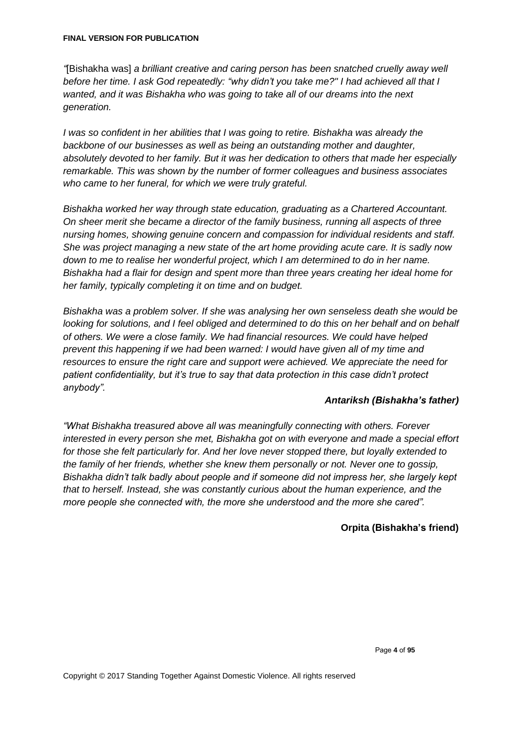*"*[Bishakha was] *a brilliant creative and caring person has been snatched cruelly away well before her time. I ask God repeatedly: "why didn't you take me?" I had achieved all that I wanted, and it was Bishakha who was going to take all of our dreams into the next generation.*

*I was so confident in her abilities that I was going to retire. Bishakha was already the backbone of our businesses as well as being an outstanding mother and daughter, absolutely devoted to her family. But it was her dedication to others that made her especially remarkable. This was shown by the number of former colleagues and business associates who came to her funeral, for which we were truly grateful.*

*Bishakha worked her way through state education, graduating as a Chartered Accountant. On sheer merit she became a director of the family business, running all aspects of three nursing homes, showing genuine concern and compassion for individual residents and staff. She was project managing a new state of the art home providing acute care. It is sadly now down to me to realise her wonderful project, which I am determined to do in her name. Bishakha had a flair for design and spent more than three years creating her ideal home for her family, typically completing it on time and on budget.*

*Bishakha was a problem solver. If she was analysing her own senseless death she would be looking for solutions, and I feel obliged and determined to do this on her behalf and on behalf of others. We were a close family. We had financial resources. We could have helped prevent this happening if we had been warned: I would have given all of my time and resources to ensure the right care and support were achieved. We appreciate the need for patient confidentiality, but it's true to say that data protection in this case didn't protect anybody".* 

#### *Antariksh (Bishakha's father)*

*"What Bishakha treasured above all was meaningfully connecting with others. Forever interested in every person she met, Bishakha got on with everyone and made a special effort for those she felt particularly for. And her love never stopped there, but loyally extended to the family of her friends, whether she knew them personally or not. Never one to gossip, Bishakha didn't talk badly about people and if someone did not impress her, she largely kept that to herself. Instead, she was constantly curious about the human experience, and the more people she connected with, the more she understood and the more she cared".*

### **Orpita (Bishakha's friend)**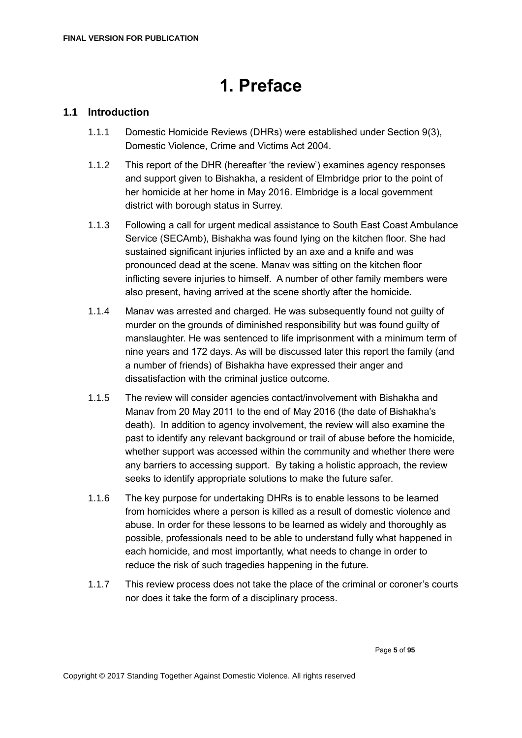# **1. Preface**

# <span id="page-4-1"></span><span id="page-4-0"></span>**1.1 Introduction**

- 1.1.1 Domestic Homicide Reviews (DHRs) were established under Section 9(3), Domestic Violence, Crime and Victims Act 2004.
- 1.1.2 This report of the DHR (hereafter 'the review') examines agency responses and support given to Bishakha, a resident of Elmbridge prior to the point of her homicide at her home in May 2016. Elmbridge is a local government district with borough status in Surrey.
- 1.1.3 Following a call for urgent medical assistance to South East Coast Ambulance Service (SECAmb), Bishakha was found lying on the kitchen floor. She had sustained significant injuries inflicted by an axe and a knife and was pronounced dead at the scene. Manav was sitting on the kitchen floor inflicting severe injuries to himself. A number of other family members were also present, having arrived at the scene shortly after the homicide.
- 1.1.4 Manav was arrested and charged. He was subsequently found not guilty of murder on the grounds of diminished responsibility but was found guilty of manslaughter. He was sentenced to life imprisonment with a minimum term of nine years and 172 days. As will be discussed later this report the family (and a number of friends) of Bishakha have expressed their anger and dissatisfaction with the criminal justice outcome.
- 1.1.5 The review will consider agencies contact/involvement with Bishakha and Manav from 20 May 2011 to the end of May 2016 (the date of Bishakha's death). In addition to agency involvement, the review will also examine the past to identify any relevant background or trail of abuse before the homicide, whether support was accessed within the community and whether there were any barriers to accessing support. By taking a holistic approach, the review seeks to identify appropriate solutions to make the future safer.
- 1.1.6 The key purpose for undertaking DHRs is to enable lessons to be learned from homicides where a person is killed as a result of domestic violence and abuse. In order for these lessons to be learned as widely and thoroughly as possible, professionals need to be able to understand fully what happened in each homicide, and most importantly, what needs to change in order to reduce the risk of such tragedies happening in the future.
- 1.1.7 This review process does not take the place of the criminal or coroner's courts nor does it take the form of a disciplinary process.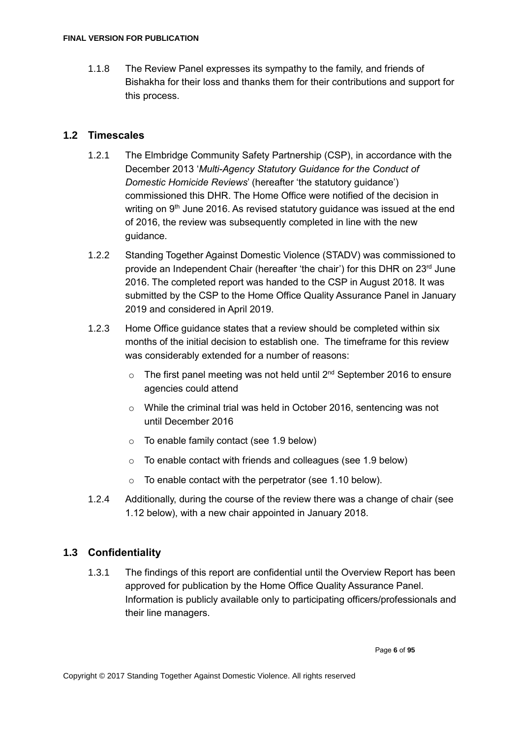1.1.8 The Review Panel expresses its sympathy to the family, and friends of Bishakha for their loss and thanks them for their contributions and support for this process.

### <span id="page-5-0"></span>**1.2 Timescales**

- 1.2.1 The Elmbridge Community Safety Partnership (CSP), in accordance with the December 2013 '*Multi-Agency Statutory Guidance for the Conduct of Domestic Homicide Reviews*' (hereafter 'the statutory guidance') commissioned this DHR. The Home Office were notified of the decision in writing on 9<sup>th</sup> June 2016. As revised statutory guidance was issued at the end of 2016, the review was subsequently completed in line with the new guidance.
- 1.2.2 Standing Together Against Domestic Violence (STADV) was commissioned to provide an Independent Chair (hereafter 'the chair') for this DHR on 23<sup>rd</sup> June 2016. The completed report was handed to the CSP in August 2018. It was submitted by the CSP to the Home Office Quality Assurance Panel in January 2019 and considered in April 2019.
- 1.2.3 Home Office guidance states that a review should be completed within six months of the initial decision to establish one. The timeframe for this review was considerably extended for a number of reasons:
	- $\circ$  The first panel meeting was not held until 2<sup>nd</sup> September 2016 to ensure agencies could attend
	- o While the criminal trial was held in October 2016, sentencing was not until December 2016
	- o To enable family contact (see 1.9 below)
	- o To enable contact with friends and colleagues (see 1.9 below)
	- o To enable contact with the perpetrator (see 1.10 below).
- 1.2.4 Additionally, during the course of the review there was a change of chair (see 1.12 below), with a new chair appointed in January 2018.

# <span id="page-5-1"></span>**1.3 Confidentiality**

1.3.1 The findings of this report are confidential until the Overview Report has been approved for publication by the Home Office Quality Assurance Panel. Information is publicly available only to participating officers/professionals and their line managers.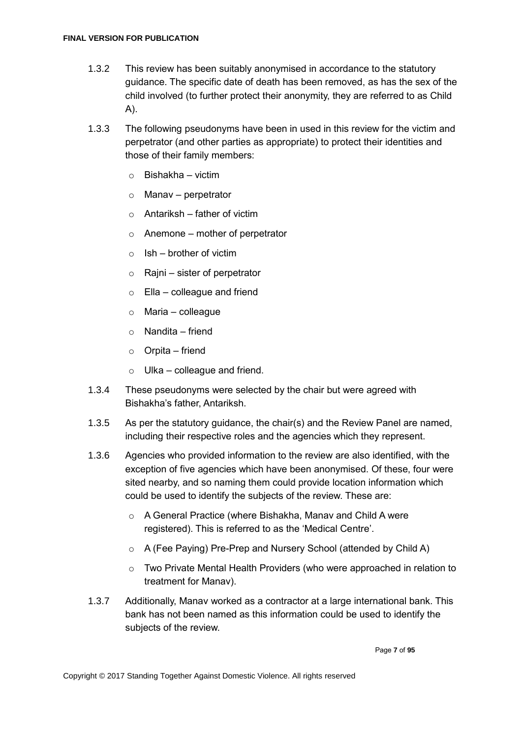- 1.3.2 This review has been suitably anonymised in accordance to the statutory guidance. The specific date of death has been removed, as has the sex of the child involved (to further protect their anonymity, they are referred to as Child A).
- 1.3.3 The following pseudonyms have been in used in this review for the victim and perpetrator (and other parties as appropriate) to protect their identities and those of their family members:
	- $\circ$  Bishakha victim
	- $\circ$  Manav perpetrator
	- $\circ$  Antariksh father of victim
	- $\circ$  Anemone mother of perpetrator
	- $\circ$  Ish brother of victim
	- $\circ$  Raini sister of perpetrator
	- $\circ$  Ella colleague and friend
	- $\circ$  Maria colleague
	- $\circ$  Nandita friend
	- $\circ$  Orpita friend
	- Ulka colleague and friend.
- 1.3.4 These pseudonyms were selected by the chair but were agreed with Bishakha's father, Antariksh.
- 1.3.5 As per the statutory guidance, the chair(s) and the Review Panel are named, including their respective roles and the agencies which they represent.
- 1.3.6 Agencies who provided information to the review are also identified, with the exception of five agencies which have been anonymised. Of these, four were sited nearby, and so naming them could provide location information which could be used to identify the subjects of the review. These are:
	- o A General Practice (where Bishakha, Manav and Child A were registered). This is referred to as the 'Medical Centre'.
	- o A (Fee Paying) Pre-Prep and Nursery School (attended by Child A)
	- $\circ$  Two Private Mental Health Providers (who were approached in relation to treatment for Manav).
- 1.3.7 Additionally, Manav worked as a contractor at a large international bank. This bank has not been named as this information could be used to identify the subjects of the review.

Page **7** of **95**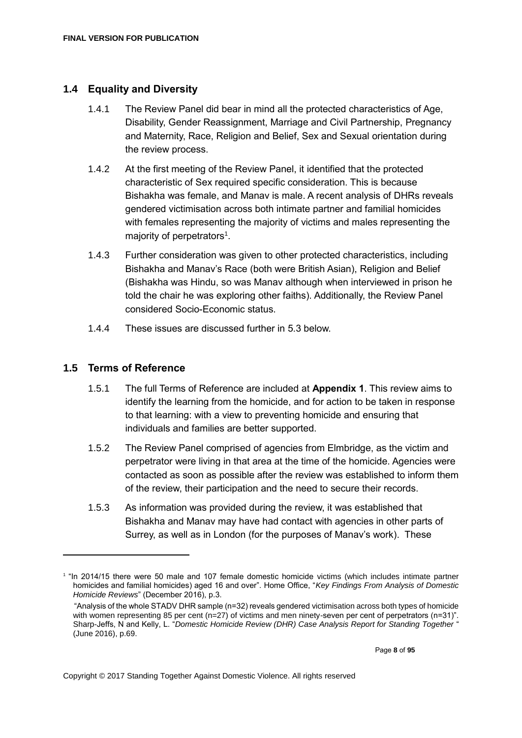### <span id="page-7-0"></span>**1.4 Equality and Diversity**

- 1.4.1 The Review Panel did bear in mind all the protected characteristics of Age, Disability, Gender Reassignment, Marriage and Civil Partnership, Pregnancy and Maternity, Race, Religion and Belief, Sex and Sexual orientation during the review process.
- 1.4.2 At the first meeting of the Review Panel, it identified that the protected characteristic of Sex required specific consideration. This is because Bishakha was female, and Manav is male. A recent analysis of DHRs reveals gendered victimisation across both intimate partner and familial homicides with females representing the majority of victims and males representing the majority of perpetrators<sup>1</sup>.
- 1.4.3 Further consideration was given to other protected characteristics, including Bishakha and Manav's Race (both were British Asian), Religion and Belief (Bishakha was Hindu, so was Manav although when interviewed in prison he told the chair he was exploring other faiths). Additionally, the Review Panel considered Socio-Economic status.
- 1.4.4 These issues are discussed further in 5.3 below.

### <span id="page-7-1"></span>**1.5 Terms of Reference**

- 1.5.1 The full Terms of Reference are included at **Appendix 1**. This review aims to identify the learning from the homicide, and for action to be taken in response to that learning: with a view to preventing homicide and ensuring that individuals and families are better supported.
- 1.5.2 The Review Panel comprised of agencies from Elmbridge, as the victim and perpetrator were living in that area at the time of the homicide. Agencies were contacted as soon as possible after the review was established to inform them of the review, their participation and the need to secure their records.
- 1.5.3 As information was provided during the review, it was established that Bishakha and Manav may have had contact with agencies in other parts of Surrey, as well as in London (for the purposes of Manav's work). These

<sup>&</sup>lt;sup>1</sup> "In 2014/15 there were 50 male and 107 female domestic homicide victims (which includes intimate partner homicides and familial homicides) aged 16 and over". Home Office, "*Key Findings From Analysis of Domestic Homicide Reviews*" (December 2016), p.3.

 <sup>&</sup>quot;Analysis of the whole STADV DHR sample (n=32) reveals gendered victimisation across both types of homicide with women representing 85 per cent (n=27) of victims and men ninety-seven per cent of perpetrators (n=31)". Sharp-Jeffs, N and Kelly, L. "*Domestic Homicide Review (DHR) Case Analysis Report for Standing Together* " (June 2016), p.69.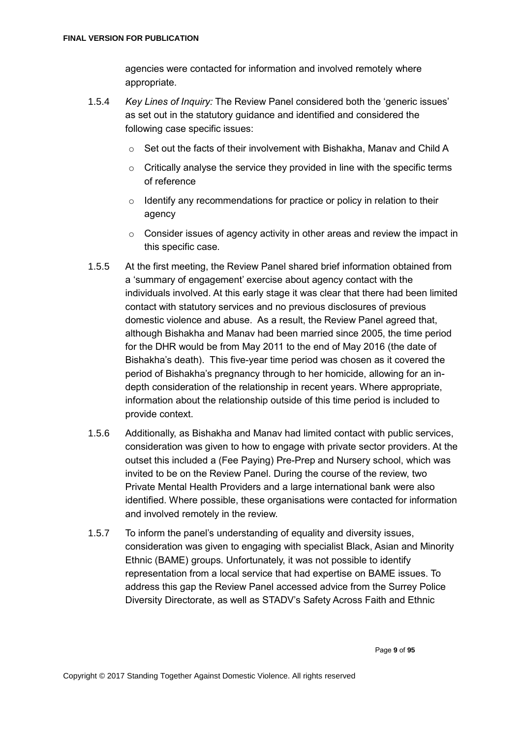agencies were contacted for information and involved remotely where appropriate.

- 1.5.4 *Key Lines of Inquiry:* The Review Panel considered both the 'generic issues' as set out in the statutory guidance and identified and considered the following case specific issues:
	- o Set out the facts of their involvement with Bishakha, Manav and Child A
	- o Critically analyse the service they provided in line with the specific terms of reference
	- $\circ$  Identify any recommendations for practice or policy in relation to their agency
	- $\circ$  Consider issues of agency activity in other areas and review the impact in this specific case.
- 1.5.5 At the first meeting, the Review Panel shared brief information obtained from a 'summary of engagement' exercise about agency contact with the individuals involved. At this early stage it was clear that there had been limited contact with statutory services and no previous disclosures of previous domestic violence and abuse. As a result, the Review Panel agreed that, although Bishakha and Manav had been married since 2005, the time period for the DHR would be from May 2011 to the end of May 2016 (the date of Bishakha's death). This five-year time period was chosen as it covered the period of Bishakha's pregnancy through to her homicide, allowing for an indepth consideration of the relationship in recent years. Where appropriate, information about the relationship outside of this time period is included to provide context.
- 1.5.6 Additionally, as Bishakha and Manav had limited contact with public services, consideration was given to how to engage with private sector providers. At the outset this included a (Fee Paying) Pre-Prep and Nursery school, which was invited to be on the Review Panel. During the course of the review, two Private Mental Health Providers and a large international bank were also identified. Where possible, these organisations were contacted for information and involved remotely in the review.
- 1.5.7 To inform the panel's understanding of equality and diversity issues, consideration was given to engaging with specialist Black, Asian and Minority Ethnic (BAME) groups. Unfortunately, it was not possible to identify representation from a local service that had expertise on BAME issues. To address this gap the Review Panel accessed advice from the Surrey Police Diversity Directorate, as well as STADV's Safety Across Faith and Ethnic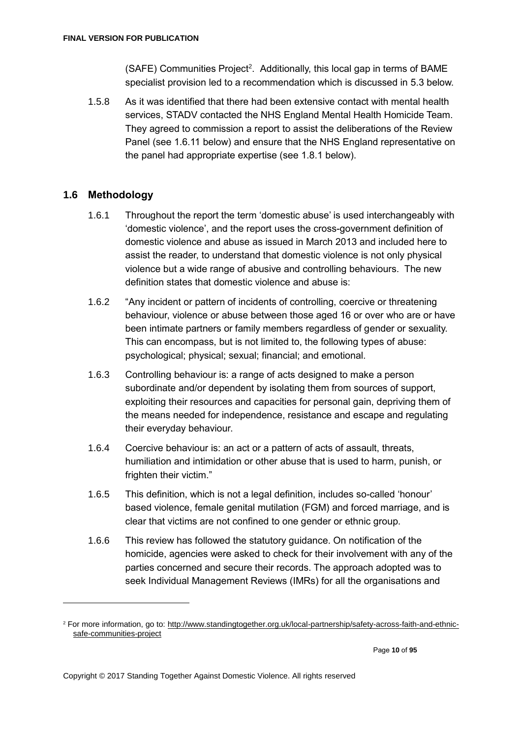(SAFE) Communities Project<sup>2</sup>. Additionally, this local gap in terms of BAME specialist provision led to a recommendation which is discussed in 5.3 below.

1.5.8 As it was identified that there had been extensive contact with mental health services, STADV contacted the NHS England Mental Health Homicide Team. They agreed to commission a report to assist the deliberations of the Review Panel (see 1.6.11 below) and ensure that the NHS England representative on the panel had appropriate expertise (see 1.8.1 below).

# <span id="page-9-0"></span>**1.6 Methodology**

- 1.6.1 Throughout the report the term 'domestic abuse' is used interchangeably with 'domestic violence', and the report uses the cross-government definition of domestic violence and abuse as issued in March 2013 and included here to assist the reader, to understand that domestic violence is not only physical violence but a wide range of abusive and controlling behaviours. The new definition states that domestic violence and abuse is:
- 1.6.2 "Any incident or pattern of incidents of controlling, coercive or threatening behaviour, violence or abuse between those aged 16 or over who are or have been intimate partners or family members regardless of gender or sexuality. This can encompass, but is not limited to, the following types of abuse: psychological; physical; sexual; financial; and emotional.
- 1.6.3 Controlling behaviour is: a range of acts designed to make a person subordinate and/or dependent by isolating them from sources of support, exploiting their resources and capacities for personal gain, depriving them of the means needed for independence, resistance and escape and regulating their everyday behaviour.
- 1.6.4 Coercive behaviour is: an act or a pattern of acts of assault, threats, humiliation and intimidation or other abuse that is used to harm, punish, or frighten their victim."
- 1.6.5 This definition, which is not a legal definition, includes so-called 'honour' based violence, female genital mutilation (FGM) and forced marriage, and is clear that victims are not confined to one gender or ethnic group.
- 1.6.6 This review has followed the statutory guidance. On notification of the homicide, agencies were asked to check for their involvement with any of the parties concerned and secure their records. The approach adopted was to seek Individual Management Reviews (IMRs) for all the organisations and

<sup>2</sup> For more information, go to: http://www.standingtogether.org.uk/local-partnership/safety-across-faith-and-ethnicsafe-communities-project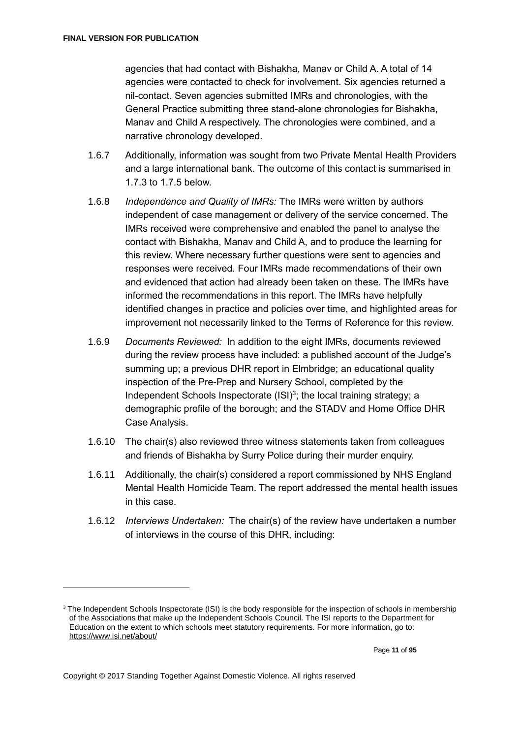agencies that had contact with Bishakha, Manav or Child A. A total of 14 agencies were contacted to check for involvement. Six agencies returned a nil-contact. Seven agencies submitted IMRs and chronologies, with the General Practice submitting three stand-alone chronologies for Bishakha, Manav and Child A respectively. The chronologies were combined, and a narrative chronology developed.

- 1.6.7 Additionally, information was sought from two Private Mental Health Providers and a large international bank. The outcome of this contact is summarised in 1.7.3 to 1.7.5 below.
- 1.6.8 *Independence and Quality of IMRs:* The IMRs were written by authors independent of case management or delivery of the service concerned. The IMRs received were comprehensive and enabled the panel to analyse the contact with Bishakha, Manav and Child A, and to produce the learning for this review. Where necessary further questions were sent to agencies and responses were received. Four IMRs made recommendations of their own and evidenced that action had already been taken on these. The IMRs have informed the recommendations in this report. The IMRs have helpfully identified changes in practice and policies over time, and highlighted areas for improvement not necessarily linked to the Terms of Reference for this review.
- 1.6.9 *Documents Reviewed:* In addition to the eight IMRs, documents reviewed during the review process have included: a published account of the Judge's summing up; a previous DHR report in Elmbridge; an educational quality inspection of the Pre-Prep and Nursery School, completed by the Independent Schools Inspectorate (ISI)<sup>3</sup>; the local training strategy; a demographic profile of the borough; and the STADV and Home Office DHR Case Analysis.
- 1.6.10 The chair(s) also reviewed three witness statements taken from colleagues and friends of Bishakha by Surry Police during their murder enquiry.
- 1.6.11 Additionally, the chair(s) considered a report commissioned by NHS England Mental Health Homicide Team. The report addressed the mental health issues in this case.
- 1.6.12 *Interviews Undertaken:* The chair(s) of the review have undertaken a number of interviews in the course of this DHR, including:

<sup>&</sup>lt;sup>3</sup> The Independent Schools Inspectorate (ISI) is the body responsible for the inspection of schools in membership of the Associations that make up the Independent Schools Council. The ISI reports to the Department for Education on the extent to which schools meet statutory requirements. For more information, go to: <https://www.isi.net/about/>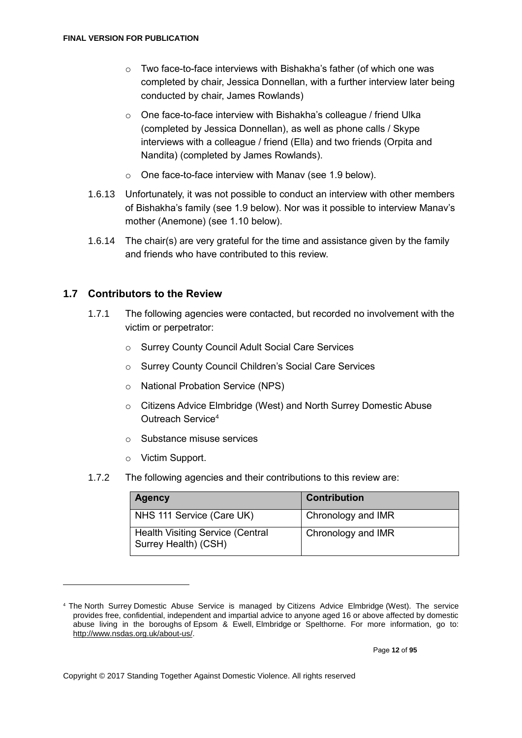- $\circ$  Two face-to-face interviews with Bishakha's father (of which one was completed by chair, Jessica Donnellan, with a further interview later being conducted by chair, James Rowlands)
- $\circ$  One face-to-face interview with Bishakha's colleague / friend Ulka (completed by Jessica Donnellan), as well as phone calls / Skype interviews with a colleague / friend (Ella) and two friends (Orpita and Nandita) (completed by James Rowlands).
- o One face-to-face interview with Manav (see 1.9 below).
- 1.6.13 Unfortunately, it was not possible to conduct an interview with other members of Bishakha's family (see 1.9 below). Nor was it possible to interview Manav's mother (Anemone) (see 1.10 below).
- 1.6.14 The chair(s) are very grateful for the time and assistance given by the family and friends who have contributed to this review.

# <span id="page-11-0"></span>**1.7 Contributors to the Review**

- 1.7.1 The following agencies were contacted, but recorded no involvement with the victim or perpetrator:
	- o Surrey County Council Adult Social Care Services
	- o Surrey County Council Children's Social Care Services
	- o National Probation Service (NPS)
	- o Citizens Advice Elmbridge (West) and North Surrey Domestic Abuse Outreach Service<sup>4</sup>
	- o Substance misuse services
	- o Victim Support.

1

1.7.2 The following agencies and their contributions to this review are:

| <b>Agency</b>                                                   | <b>Contribution</b> |
|-----------------------------------------------------------------|---------------------|
| NHS 111 Service (Care UK)                                       | Chronology and IMR  |
| <b>Health Visiting Service (Central</b><br>Surrey Health) (CSH) | Chronology and IMR  |

<sup>4</sup> The North Surrey Domestic Abuse Service is managed by Citizens Advice Elmbridge (West). The service provides free, confidential, independent and impartial advice to anyone aged 16 or above affected by domestic abuse living in the boroughs of Epsom & Ewell, Elmbridge or Spelthorne. For more information, go to: [http://www.nsdas.org.uk/about-us/.](http://www.nsdas.org.uk/about-us/)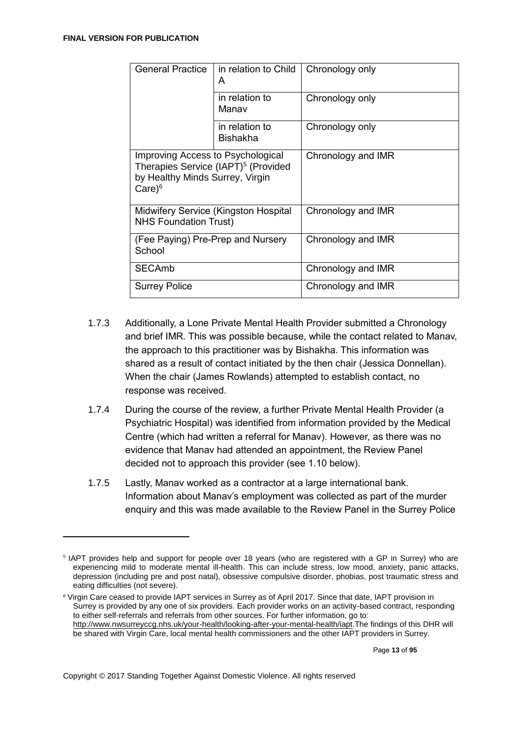1

| <b>General Practice</b>                                                                                                                        | in relation to Child<br>A         | Chronology only    |  |
|------------------------------------------------------------------------------------------------------------------------------------------------|-----------------------------------|--------------------|--|
|                                                                                                                                                | in relation to<br>Manav           | Chronology only    |  |
|                                                                                                                                                | in relation to<br><b>Bishakha</b> | Chronology only    |  |
| Improving Access to Psychological<br>Therapies Service (IAPT) <sup>5</sup> (Provided<br>by Healthy Minds Surrey, Virgin<br>$Care$ <sup>6</sup> |                                   | Chronology and IMR |  |
| Midwifery Service (Kingston Hospital<br><b>NHS Foundation Trust)</b>                                                                           |                                   | Chronology and IMR |  |
| (Fee Paying) Pre-Prep and Nursery<br>School                                                                                                    |                                   | Chronology and IMR |  |
| <b>SECAmb</b>                                                                                                                                  |                                   | Chronology and IMR |  |
| <b>Surrey Police</b>                                                                                                                           |                                   | Chronology and IMR |  |

- 1.7.3 Additionally, a Lone Private Mental Health Provider submitted a Chronology and brief IMR. This was possible because, while the contact related to Manav, the approach to this practitioner was by Bishakha. This information was shared as a result of contact initiated by the then chair (Jessica Donnellan). When the chair (James Rowlands) attempted to establish contact, no response was received.
- 1.7.4 During the course of the review, a further Private Mental Health Provider (a Psychiatric Hospital) was identified from information provided by the Medical Centre (which had written a referral for Manav). However, as there was no evidence that Manav had attended an appointment, the Review Panel decided not to approach this provider (see 1.10 below).
- 1.7.5 Lastly, Manav worked as a contractor at a large international bank. Information about Manav's employment was collected as part of the murder enquiry and this was made available to the Review Panel in the Surrey Police

Page **13** of **95**

<sup>5</sup> IAPT provides help and support for people over 18 years (who are registered with a GP in Surrey) who are experiencing mild to moderate mental ill-health. This can include stress, low mood, anxiety, panic attacks, depression (including pre and post natal), obsessive compulsive disorder, phobias, post traumatic stress and eating difficulties (not severe).

<sup>6</sup> Virgin Care ceased to provide IAPT services in Surrey as of April 2017. Since that date, IAPT provision in Surrey is provided by any one of six providers. Each provider works on an activity-based contract, responding to either self-referrals and referrals from other sources. For further information, go to: [http://www.nwsurreyccg.nhs.uk/your-health/looking-after-your-mental-health/iapt.](http://www.nwsurreyccg.nhs.uk/your-health/looking-after-your-mental-health/iapt)The findings of this DHR will be shared with Virgin Care, local mental health commissioners and the other IAPT providers in Surrey.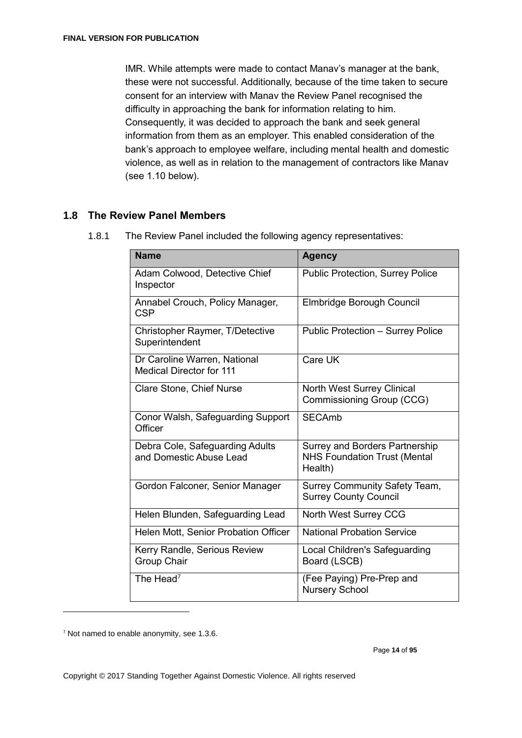IMR. While attempts were made to contact Manav's manager at the bank, these were not successful. Additionally, because of the time taken to secure consent for an interview with Manav the Review Panel recognised the difficulty in approaching the bank for information relating to him. Consequently, it was decided to approach the bank and seek general information from them as an employer. This enabled consideration of the bank's approach to employee welfare, including mental health and domestic violence, as well as in relation to the management of contractors like Manav (see 1.10 below).

# <span id="page-13-0"></span>**1.8 The Review Panel Members**

| <b>Name</b>                                                     | <b>Agency</b>                                                                           |
|-----------------------------------------------------------------|-----------------------------------------------------------------------------------------|
| Adam Colwood, Detective Chief<br>Inspector                      | <b>Public Protection, Surrey Police</b>                                                 |
| Annabel Crouch, Policy Manager,<br><b>CSP</b>                   | Elmbridge Borough Council                                                               |
| Christopher Raymer, T/Detective<br>Superintendent               | Public Protection - Surrey Police                                                       |
| Dr Caroline Warren, National<br><b>Medical Director for 111</b> | Care UK                                                                                 |
| Clare Stone, Chief Nurse                                        | <b>North West Surrey Clinical</b><br>Commissioning Group (CCG)                          |
| Conor Walsh, Safeguarding Support<br>Officer                    | <b>SECAmb</b>                                                                           |
| Debra Cole, Safeguarding Adults<br>and Domestic Abuse Lead      | <b>Surrey and Borders Partnership</b><br><b>NHS Foundation Trust (Mental</b><br>Health) |
| Gordon Falconer, Senior Manager                                 | Surrey Community Safety Team,<br><b>Surrey County Council</b>                           |
| Helen Blunden, Safeguarding Lead                                | North West Surrey CCG                                                                   |
| Helen Mott, Senior Probation Officer                            | <b>National Probation Service</b>                                                       |
| Kerry Randle, Serious Review<br><b>Group Chair</b>              | Local Children's Safeguarding<br>Board (LSCB)                                           |
| The Head <sup>7</sup>                                           | (Fee Paying) Pre-Prep and<br><b>Nursery School</b>                                      |

1.8.1 The Review Panel included the following agency representatives:

<sup>7</sup> Not named to enable anonymity, see 1.3.6.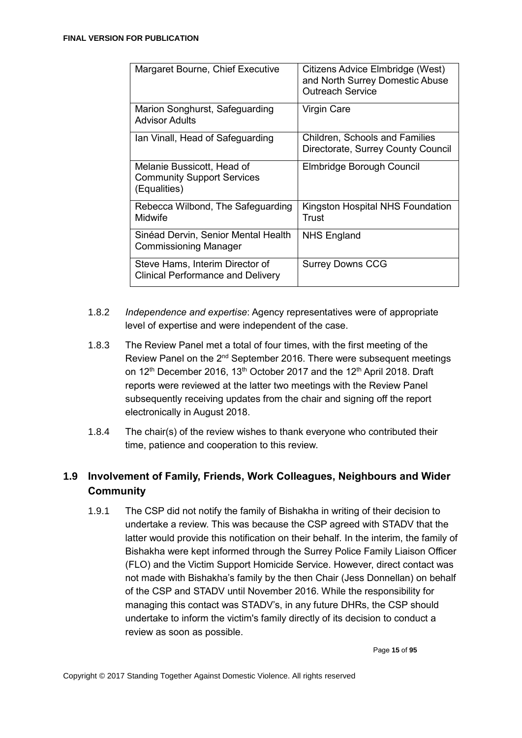| Margaret Bourne, Chief Executive                                                | Citizens Advice Elmbridge (West)<br>and North Surrey Domestic Abuse<br><b>Outreach Service</b> |
|---------------------------------------------------------------------------------|------------------------------------------------------------------------------------------------|
| Marion Songhurst, Safeguarding<br>Advisor Adults                                | Virgin Care                                                                                    |
| Ian Vinall, Head of Safeguarding                                                | <b>Children, Schools and Families</b><br>Directorate, Surrey County Council                    |
| Melanie Bussicott, Head of<br><b>Community Support Services</b><br>(Equalities) | Elmbridge Borough Council                                                                      |
| Rebecca Wilbond, The Safeguarding<br>Midwife                                    | Kingston Hospital NHS Foundation<br>Trust                                                      |
| Sinéad Dervin, Senior Mental Health<br><b>Commissioning Manager</b>             | <b>NHS England</b>                                                                             |
| Steve Hams, Interim Director of<br><b>Clinical Performance and Delivery</b>     | <b>Surrey Downs CCG</b>                                                                        |

- 1.8.2 *Independence and expertise*: Agency representatives were of appropriate level of expertise and were independent of the case.
- 1.8.3 The Review Panel met a total of four times, with the first meeting of the Review Panel on the 2<sup>nd</sup> September 2016. There were subsequent meetings on 12<sup>th</sup> December 2016, 13<sup>th</sup> October 2017 and the 12<sup>th</sup> April 2018. Draft reports were reviewed at the latter two meetings with the Review Panel subsequently receiving updates from the chair and signing off the report electronically in August 2018.
- 1.8.4 The chair(s) of the review wishes to thank everyone who contributed their time, patience and cooperation to this review.

# <span id="page-14-0"></span>**1.9 Involvement of Family, Friends, Work Colleagues, Neighbours and Wider Community**

1.9.1 The CSP did not notify the family of Bishakha in writing of their decision to undertake a review. This was because the CSP agreed with STADV that the latter would provide this notification on their behalf. In the interim, the family of Bishakha were kept informed through the Surrey Police Family Liaison Officer (FLO) and the Victim Support Homicide Service. However, direct contact was not made with Bishakha's family by the then Chair (Jess Donnellan) on behalf of the CSP and STADV until November 2016. While the responsibility for managing this contact was STADV's, in any future DHRs, the CSP should undertake to inform the victim's family directly of its decision to conduct a review as soon as possible.

Page **15** of **95**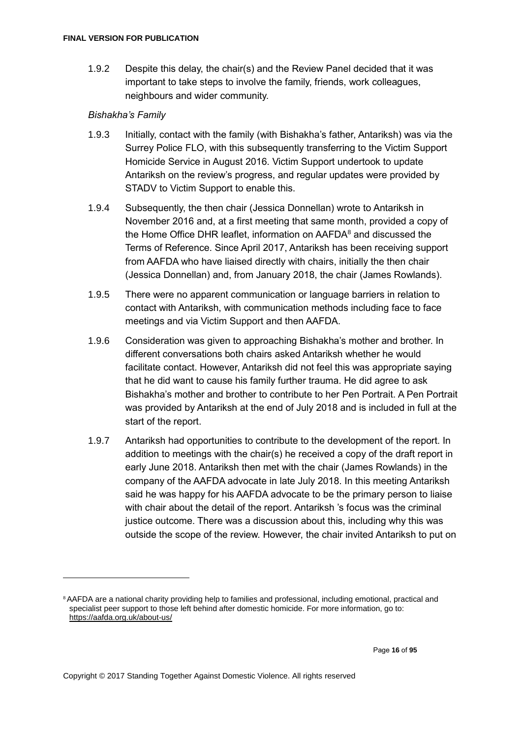1.9.2 Despite this delay, the chair(s) and the Review Panel decided that it was important to take steps to involve the family, friends, work colleagues, neighbours and wider community.

### *Bishakha's Family*

- 1.9.3 Initially, contact with the family (with Bishakha's father, Antariksh) was via the Surrey Police FLO, with this subsequently transferring to the Victim Support Homicide Service in August 2016. Victim Support undertook to update Antariksh on the review's progress, and regular updates were provided by STADV to Victim Support to enable this.
- 1.9.4 Subsequently, the then chair (Jessica Donnellan) wrote to Antariksh in November 2016 and, at a first meeting that same month, provided a copy of the Home Office DHR leaflet, information on AAFDA<sup>8</sup> and discussed the Terms of Reference. Since April 2017, Antariksh has been receiving support from AAFDA who have liaised directly with chairs, initially the then chair (Jessica Donnellan) and, from January 2018, the chair (James Rowlands).
- 1.9.5 There were no apparent communication or language barriers in relation to contact with Antariksh, with communication methods including face to face meetings and via Victim Support and then AAFDA.
- 1.9.6 Consideration was given to approaching Bishakha's mother and brother. In different conversations both chairs asked Antariksh whether he would facilitate contact. However, Antariksh did not feel this was appropriate saying that he did want to cause his family further trauma. He did agree to ask Bishakha's mother and brother to contribute to her Pen Portrait. A Pen Portrait was provided by Antariksh at the end of July 2018 and is included in full at the start of the report.
- 1.9.7 Antariksh had opportunities to contribute to the development of the report. In addition to meetings with the chair(s) he received a copy of the draft report in early June 2018. Antariksh then met with the chair (James Rowlands) in the company of the AAFDA advocate in late July 2018. In this meeting Antariksh said he was happy for his AAFDA advocate to be the primary person to liaise with chair about the detail of the report. Antariksh 's focus was the criminal justice outcome. There was a discussion about this, including why this was outside the scope of the review. However, the chair invited Antariksh to put on

<sup>8</sup>AAFDA are a national charity providing help to families and professional, including emotional, practical and specialist peer support to those left behind after domestic homicide. For more information, go to: <https://aafda.org.uk/about-us/>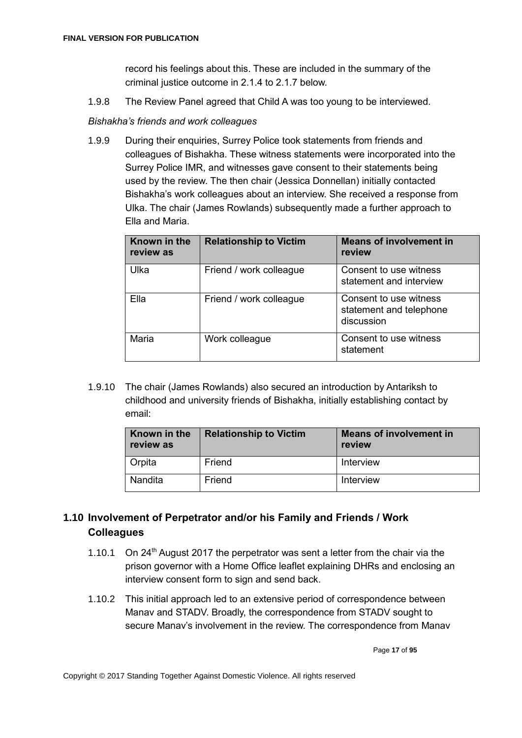record his feelings about this. These are included in the summary of the criminal justice outcome in 2.1.4 to 2.1.7 below.

1.9.8 The Review Panel agreed that Child A was too young to be interviewed.

### *Bishakha's friends and work colleagues*

1.9.9 During their enquiries, Surrey Police took statements from friends and colleagues of Bishakha. These witness statements were incorporated into the Surrey Police IMR, and witnesses gave consent to their statements being used by the review. The then chair (Jessica Donnellan) initially contacted Bishakha's work colleagues about an interview. She received a response from Ulka. The chair (James Rowlands) subsequently made a further approach to Ella and Maria.

| Known in the<br>review as | <b>Relationship to Victim</b> | <b>Means of involvement in</b><br>review                        |
|---------------------------|-------------------------------|-----------------------------------------------------------------|
| Ulka                      | Friend / work colleague       | Consent to use witness<br>statement and interview               |
| Ella                      | Friend / work colleague       | Consent to use witness<br>statement and telephone<br>discussion |
| Maria                     | Work colleague                | Consent to use witness<br>statement                             |

1.9.10 The chair (James Rowlands) also secured an introduction by Antariksh to childhood and university friends of Bishakha, initially establishing contact by email:

| Known in the<br>review as | <b>Relationship to Victim</b> | <b>Means of involvement in</b><br>review |  |  |
|---------------------------|-------------------------------|------------------------------------------|--|--|
| Orpita                    | Friend                        | Interview                                |  |  |
| Nandita                   | Friend                        | Interview                                |  |  |

# <span id="page-16-0"></span>**1.10 Involvement of Perpetrator and/or his Family and Friends / Work Colleagues**

- 1.10.1 On 24<sup>th</sup> August 2017 the perpetrator was sent a letter from the chair via the prison governor with a Home Office leaflet explaining DHRs and enclosing an interview consent form to sign and send back.
- 1.10.2 This initial approach led to an extensive period of correspondence between Manav and STADV. Broadly, the correspondence from STADV sought to secure Manav's involvement in the review. The correspondence from Manav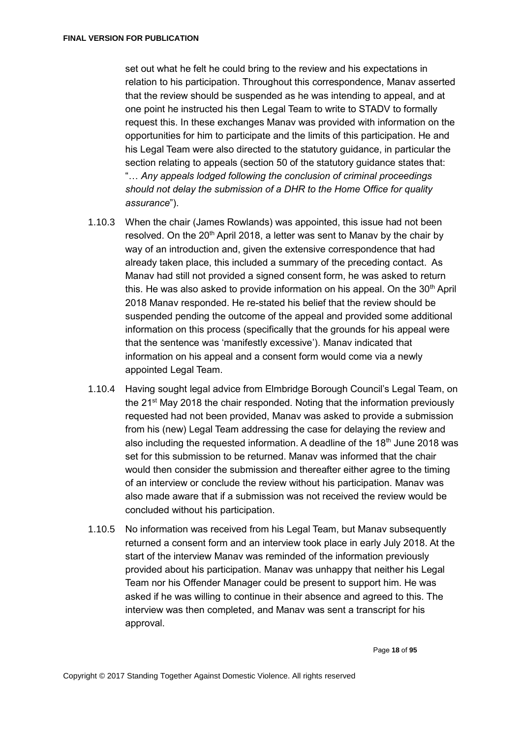set out what he felt he could bring to the review and his expectations in relation to his participation. Throughout this correspondence, Manav asserted that the review should be suspended as he was intending to appeal, and at one point he instructed his then Legal Team to write to STADV to formally request this. In these exchanges Manav was provided with information on the opportunities for him to participate and the limits of this participation. He and his Legal Team were also directed to the statutory guidance, in particular the section relating to appeals (section 50 of the statutory guidance states that: "… *Any appeals lodged following the conclusion of criminal proceedings should not delay the submission of a DHR to the Home Office for quality assurance*").

- 1.10.3 When the chair (James Rowlands) was appointed, this issue had not been resolved. On the 20<sup>th</sup> April 2018, a letter was sent to Manay by the chair by way of an introduction and, given the extensive correspondence that had already taken place, this included a summary of the preceding contact. As Manav had still not provided a signed consent form, he was asked to return this. He was also asked to provide information on his appeal. On the  $30<sup>th</sup>$  April 2018 Manav responded. He re-stated his belief that the review should be suspended pending the outcome of the appeal and provided some additional information on this process (specifically that the grounds for his appeal were that the sentence was 'manifestly excessive'). Manav indicated that information on his appeal and a consent form would come via a newly appointed Legal Team.
- 1.10.4 Having sought legal advice from Elmbridge Borough Council's Legal Team, on the 21<sup>st</sup> May 2018 the chair responded. Noting that the information previously requested had not been provided, Manav was asked to provide a submission from his (new) Legal Team addressing the case for delaying the review and also including the requested information. A deadline of the  $18<sup>th</sup>$  June 2018 was set for this submission to be returned. Manav was informed that the chair would then consider the submission and thereafter either agree to the timing of an interview or conclude the review without his participation. Manav was also made aware that if a submission was not received the review would be concluded without his participation.
- 1.10.5 No information was received from his Legal Team, but Manav subsequently returned a consent form and an interview took place in early July 2018. At the start of the interview Manav was reminded of the information previously provided about his participation. Manav was unhappy that neither his Legal Team nor his Offender Manager could be present to support him. He was asked if he was willing to continue in their absence and agreed to this. The interview was then completed, and Manav was sent a transcript for his approval.

Page **18** of **95**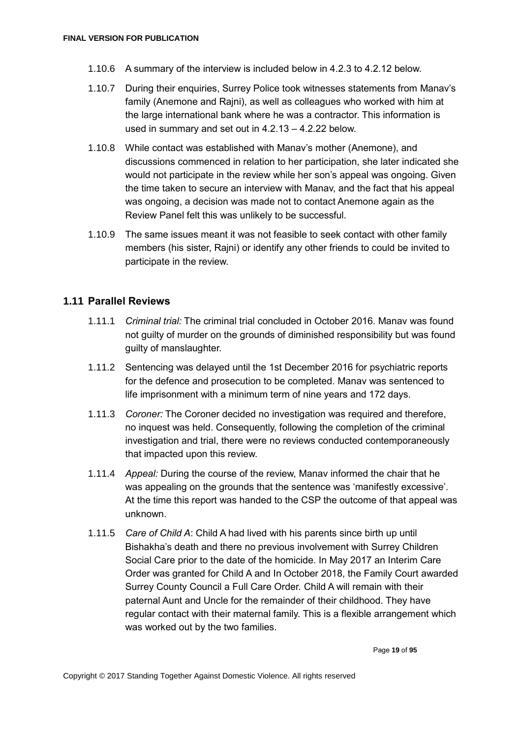- 1.10.6 A summary of the interview is included below in 4.2.3 to 4.2.12 below.
- 1.10.7 During their enquiries, Surrey Police took witnesses statements from Manav's family (Anemone and Rajni), as well as colleagues who worked with him at the large international bank where he was a contractor. This information is used in summary and set out in 4.2.13 – 4.2.22 below.
- 1.10.8 While contact was established with Manav's mother (Anemone), and discussions commenced in relation to her participation, she later indicated she would not participate in the review while her son's appeal was ongoing. Given the time taken to secure an interview with Manav, and the fact that his appeal was ongoing, a decision was made not to contact Anemone again as the Review Panel felt this was unlikely to be successful.
- 1.10.9 The same issues meant it was not feasible to seek contact with other family members (his sister, Rajni) or identify any other friends to could be invited to participate in the review.

### <span id="page-18-0"></span>**1.11 Parallel Reviews**

- 1.11.1 *Criminal trial:* The criminal trial concluded in October 2016. Manav was found not guilty of murder on the grounds of diminished responsibility but was found guilty of manslaughter.
- 1.11.2 Sentencing was delayed until the 1st December 2016 for psychiatric reports for the defence and prosecution to be completed. Manav was sentenced to life imprisonment with a minimum term of nine years and 172 days.
- 1.11.3 *Coroner:* The Coroner decided no investigation was required and therefore, no inquest was held. Consequently, following the completion of the criminal investigation and trial, there were no reviews conducted contemporaneously that impacted upon this review.
- 1.11.4 *Appeal:* During the course of the review, Manav informed the chair that he was appealing on the grounds that the sentence was 'manifestly excessive'. At the time this report was handed to the CSP the outcome of that appeal was unknown.
- 1.11.5 *Care of Child A*: Child A had lived with his parents since birth up until Bishakha's death and there no previous involvement with Surrey Children Social Care prior to the date of the homicide. In May 2017 an Interim Care Order was granted for Child A and In October 2018, the Family Court awarded Surrey County Council a Full Care Order. Child A will remain with their paternal Aunt and Uncle for the remainder of their childhood. They have regular contact with their maternal family. This is a flexible arrangement which was worked out by the two families.

Page **19** of **95**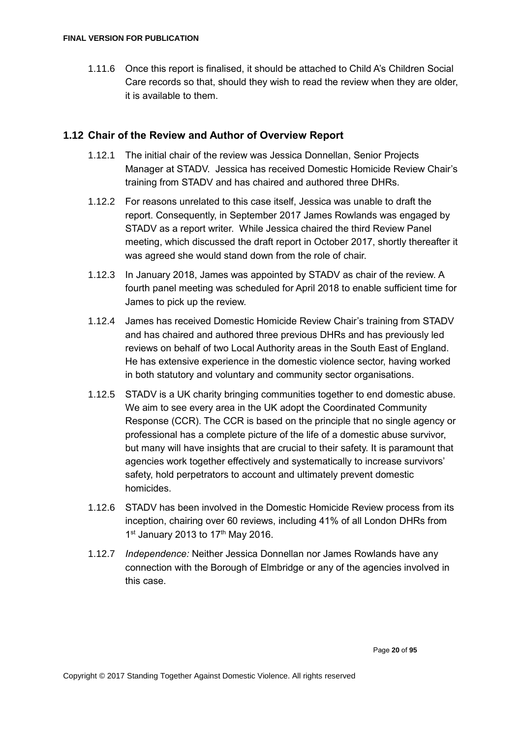1.11.6 Once this report is finalised, it should be attached to Child A's Children Social Care records so that, should they wish to read the review when they are older, it is available to them.

### <span id="page-19-0"></span>**1.12 Chair of the Review and Author of Overview Report**

- 1.12.1 The initial chair of the review was Jessica Donnellan, Senior Projects Manager at STADV. Jessica has received Domestic Homicide Review Chair's training from STADV and has chaired and authored three DHRs.
- 1.12.2 For reasons unrelated to this case itself, Jessica was unable to draft the report. Consequently, in September 2017 James Rowlands was engaged by STADV as a report writer. While Jessica chaired the third Review Panel meeting, which discussed the draft report in October 2017, shortly thereafter it was agreed she would stand down from the role of chair.
- 1.12.3 In January 2018, James was appointed by STADV as chair of the review. A fourth panel meeting was scheduled for April 2018 to enable sufficient time for James to pick up the review.
- 1.12.4 James has received Domestic Homicide Review Chair's training from STADV and has chaired and authored three previous DHRs and has previously led reviews on behalf of two Local Authority areas in the South East of England. He has extensive experience in the domestic violence sector, having worked in both statutory and voluntary and community sector organisations.
- 1.12.5 STADV is a UK charity bringing communities together to end domestic abuse. We aim to see every area in the UK adopt the Coordinated Community Response (CCR). The CCR is based on the principle that no single agency or professional has a complete picture of the life of a domestic abuse survivor, but many will have insights that are crucial to their safety. It is paramount that agencies work together effectively and systematically to increase survivors' safety, hold perpetrators to account and ultimately prevent domestic homicides.
- 1.12.6 STADV has been involved in the Domestic Homicide Review process from its inception, chairing over 60 reviews, including 41% of all London DHRs from 1<sup>st</sup> January 2013 to 17<sup>th</sup> May 2016.
- 1.12.7 *Independence:* Neither Jessica Donnellan nor James Rowlands have any connection with the Borough of Elmbridge or any of the agencies involved in this case.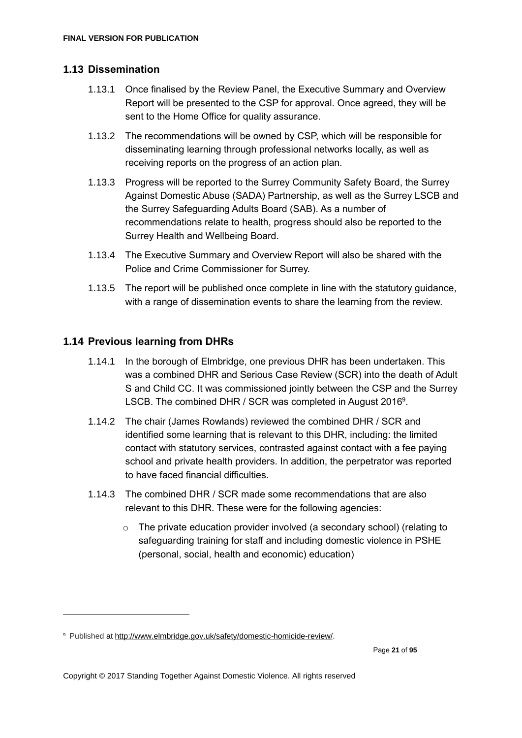# <span id="page-20-0"></span>**1.13 Dissemination**

- 1.13.1 Once finalised by the Review Panel, the Executive Summary and Overview Report will be presented to the CSP for approval. Once agreed, they will be sent to the Home Office for quality assurance.
- 1.13.2 The recommendations will be owned by CSP, which will be responsible for disseminating learning through professional networks locally, as well as receiving reports on the progress of an action plan.
- 1.13.3 Progress will be reported to the Surrey Community Safety Board, the Surrey Against Domestic Abuse (SADA) Partnership, as well as the Surrey LSCB and the Surrey Safeguarding Adults Board (SAB). As a number of recommendations relate to health, progress should also be reported to the Surrey Health and Wellbeing Board.
- 1.13.4 The Executive Summary and Overview Report will also be shared with the Police and Crime Commissioner for Surrey.
- 1.13.5 The report will be published once complete in line with the statutory guidance, with a range of dissemination events to share the learning from the review.

# <span id="page-20-1"></span>**1.14 Previous learning from DHRs**

- 1.14.1 In the borough of Elmbridge, one previous DHR has been undertaken. This was a combined DHR and Serious Case Review (SCR) into the death of Adult S and Child CC. It was commissioned jointly between the CSP and the Surrey LSCB. The combined DHR / SCR was completed in August 2016<sup>9</sup>.
- 1.14.2 The chair (James Rowlands) reviewed the combined DHR / SCR and identified some learning that is relevant to this DHR, including: the limited contact with statutory services, contrasted against contact with a fee paying school and private health providers. In addition, the perpetrator was reported to have faced financial difficulties.
- 1.14.3 The combined DHR / SCR made some recommendations that are also relevant to this DHR. These were for the following agencies:
	- $\circ$  The private education provider involved (a secondary school) (relating to safequarding training for staff and including domestic violence in PSHE (personal, social, health and economic) education)

<sup>9</sup> Published at [http://www.elmbridge.gov.uk/safety/domestic-homicide-review/.](http://www.elmbridge.gov.uk/safety/domestic-homicide-review/)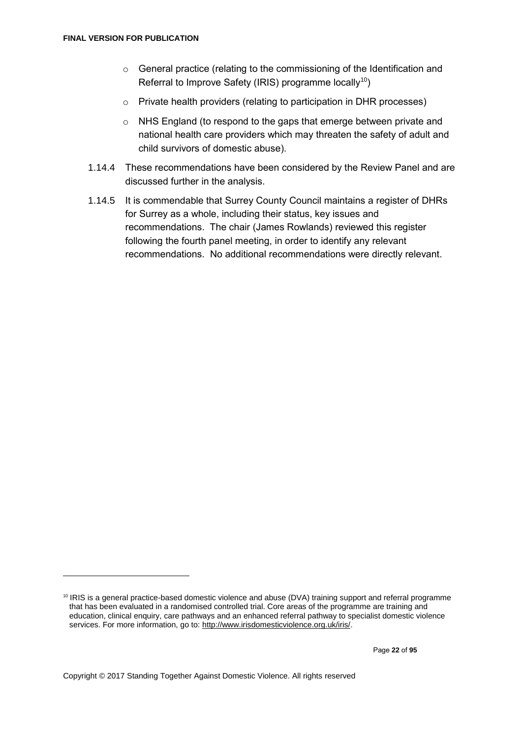- $\circ$  General practice (relating to the commissioning of the Identification and Referral to Improve Safety (IRIS) programme locally<sup>10</sup>)
- o Private health providers (relating to participation in DHR processes)
- o NHS England (to respond to the gaps that emerge between private and national health care providers which may threaten the safety of adult and child survivors of domestic abuse).
- 1.14.4 These recommendations have been considered by the Review Panel and are discussed further in the analysis.
- 1.14.5 It is commendable that Surrey County Council maintains a register of DHRs for Surrey as a whole, including their status, key issues and recommendations. The chair (James Rowlands) reviewed this register following the fourth panel meeting, in order to identify any relevant recommendations. No additional recommendations were directly relevant.

<sup>10</sup> IRIS is a general practice-based domestic violence and abuse (DVA) training support and referral programme that has been evaluated in a randomised controlled trial. Core areas of the programme are training and education, clinical enquiry, care pathways and an enhanced referral pathway to specialist domestic violence services. For more information, go to[: http://www.irisdomesticviolence.org.uk/iris/.](http://www.irisdomesticviolence.org.uk/iris/)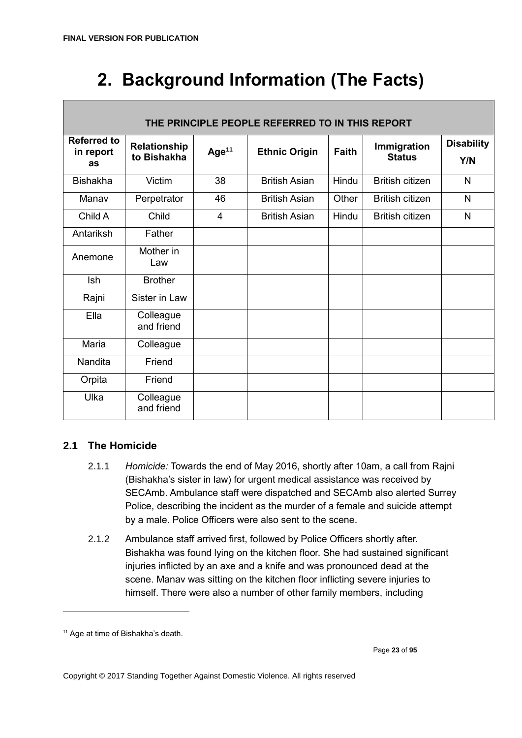# <span id="page-22-0"></span>**2. Background Information (The Facts)**

| THE PRINCIPLE PEOPLE REFERRED TO IN THIS REPORT |                             |          |                      |              |                              |                          |
|-------------------------------------------------|-----------------------------|----------|----------------------|--------------|------------------------------|--------------------------|
| <b>Referred to</b><br>in report<br>as           | Relationship<br>to Bishakha | Age $11$ | <b>Ethnic Origin</b> | <b>Faith</b> | Immigration<br><b>Status</b> | <b>Disability</b><br>Y/N |
| <b>Bishakha</b>                                 | <b>Victim</b>               | 38       | <b>British Asian</b> | Hindu        | <b>British citizen</b>       | N                        |
| Manav                                           | Perpetrator                 | 46       | <b>British Asian</b> | Other        | <b>British citizen</b>       | N                        |
| Child A                                         | Child                       | 4        | <b>British Asian</b> | Hindu        | <b>British citizen</b>       | N                        |
| Antariksh                                       | Father                      |          |                      |              |                              |                          |
| Anemone                                         | Mother in<br>Law            |          |                      |              |                              |                          |
| Ish                                             | <b>Brother</b>              |          |                      |              |                              |                          |
| Rajni                                           | Sister in Law               |          |                      |              |                              |                          |
| Ella                                            | Colleague<br>and friend     |          |                      |              |                              |                          |
| Maria                                           | Colleague                   |          |                      |              |                              |                          |
| Nandita                                         | Friend                      |          |                      |              |                              |                          |
| Orpita                                          | Friend                      |          |                      |              |                              |                          |
| Ulka                                            | Colleague<br>and friend     |          |                      |              |                              |                          |

# <span id="page-22-1"></span>**2.1 The Homicide**

- 2.1.1 *Homicide:* Towards the end of May 2016, shortly after 10am, a call from Rajni (Bishakha's sister in law) for urgent medical assistance was received by SECAmb. Ambulance staff were dispatched and SECAmb also alerted Surrey Police, describing the incident as the murder of a female and suicide attempt by a male. Police Officers were also sent to the scene.
- 2.1.2 Ambulance staff arrived first, followed by Police Officers shortly after. Bishakha was found lying on the kitchen floor. She had sustained significant injuries inflicted by an axe and a knife and was pronounced dead at the scene. Manav was sitting on the kitchen floor inflicting severe injuries to himself. There were also a number of other family members, including

<sup>&</sup>lt;sup>11</sup> Age at time of Bishakha's death.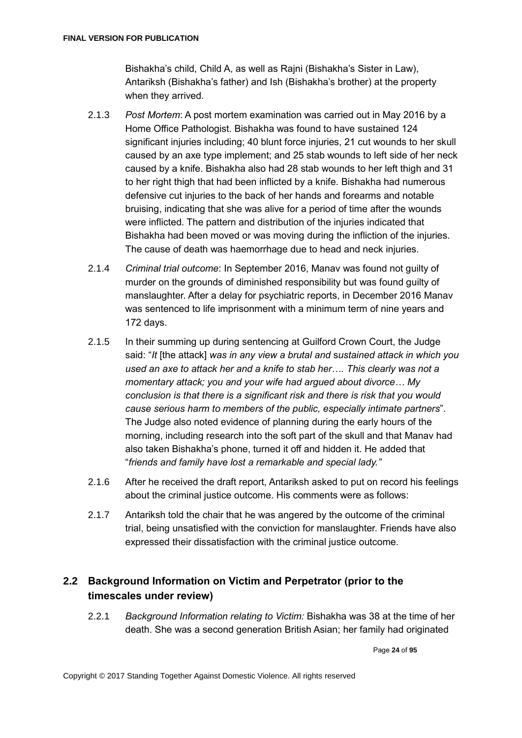Bishakha's child, Child A, as well as Rajni (Bishakha's Sister in Law), Antariksh (Bishakha's father) and Ish (Bishakha's brother) at the property when they arrived.

- 2.1.3 *Post Mortem*: A post mortem examination was carried out in May 2016 by a Home Office Pathologist. Bishakha was found to have sustained 124 significant injuries including; 40 blunt force injuries, 21 cut wounds to her skull caused by an axe type implement; and 25 stab wounds to left side of her neck caused by a knife. Bishakha also had 28 stab wounds to her left thigh and 31 to her right thigh that had been inflicted by a knife. Bishakha had numerous defensive cut injuries to the back of her hands and forearms and notable bruising, indicating that she was alive for a period of time after the wounds were inflicted. The pattern and distribution of the injuries indicated that Bishakha had been moved or was moving during the infliction of the injuries. The cause of death was haemorrhage due to head and neck injuries.
- 2.1.4 *Criminal trial outcome*: In September 2016, Manav was found not guilty of murder on the grounds of diminished responsibility but was found guilty of manslaughter. After a delay for psychiatric reports, in December 2016 Manav was sentenced to life imprisonment with a minimum term of nine years and 172 days.
- 2.1.5 In their summing up during sentencing at Guilford Crown Court, the Judge said: "*It* [the attack] *was in any view a brutal and* s*ustained attack in which you used an axe to attack her and a knife to stab her…. This clearly was not a momentary attack; you and your wife had argued about divorce… My conclusion is that there is a significant risk and there is risk that you would cause serious harm to members of the public, especially intimate partners*". The Judge also noted evidence of planning during the early hours of the morning, including research into the soft part of the skull and that Manav had also taken Bishakha's phone, turned it off and hidden it. He added that "*friends and family have lost a remarkable and special lady."*
- 2.1.6 After he received the draft report, Antariksh asked to put on record his feelings about the criminal justice outcome. His comments were as follows:
- 2.1.7 Antariksh told the chair that he was angered by the outcome of the criminal trial, being unsatisfied with the conviction for manslaughter. Friends have also expressed their dissatisfaction with the criminal justice outcome.

# <span id="page-23-0"></span>**2.2 Background Information on Victim and Perpetrator (prior to the timescales under review)**

2.2.1 *Background Information relating to Victim:* Bishakha was 38 at the time of her death. She was a second generation British Asian; her family had originated

Page **24** of **95**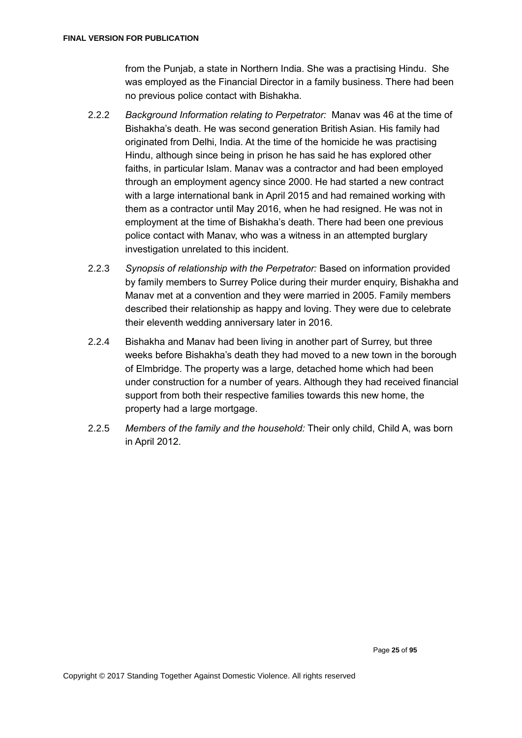from the Punjab, a state in Northern India. She was a practising Hindu. She was employed as the Financial Director in a family business. There had been no previous police contact with Bishakha.

- 2.2.2 *Background Information relating to Perpetrator:* Manav was 46 at the time of Bishakha's death. He was second generation British Asian. His family had originated from Delhi, India. At the time of the homicide he was practising Hindu, although since being in prison he has said he has explored other faiths, in particular Islam. Manav was a contractor and had been employed through an employment agency since 2000. He had started a new contract with a large international bank in April 2015 and had remained working with them as a contractor until May 2016, when he had resigned. He was not in employment at the time of Bishakha's death. There had been one previous police contact with Manav, who was a witness in an attempted burglary investigation unrelated to this incident.
- 2.2.3 *Synopsis of relationship with the Perpetrator:* Based on information provided by family members to Surrey Police during their murder enquiry, Bishakha and Manav met at a convention and they were married in 2005. Family members described their relationship as happy and loving. They were due to celebrate their eleventh wedding anniversary later in 2016.
- 2.2.4 Bishakha and Manav had been living in another part of Surrey, but three weeks before Bishakha's death they had moved to a new town in the borough of Elmbridge. The property was a large, detached home which had been under construction for a number of years. Although they had received financial support from both their respective families towards this new home, the property had a large mortgage.
- 2.2.5 *Members of the family and the household:* Their only child, Child A, was born in April 2012.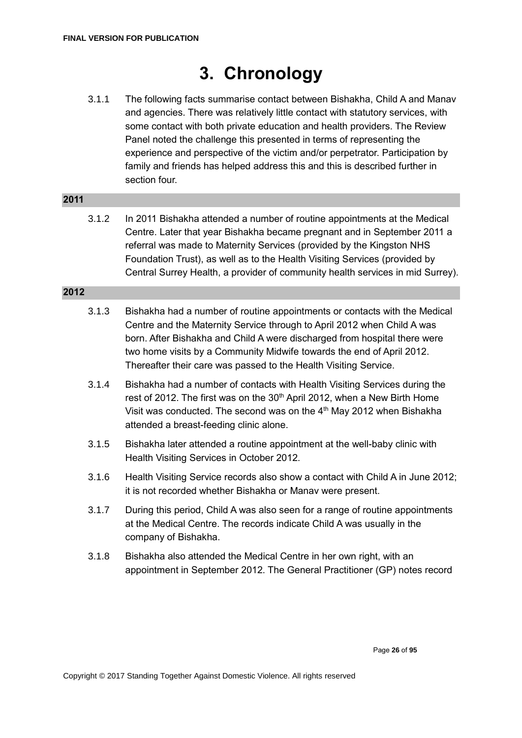# **3. Chronology**

<span id="page-25-0"></span>3.1.1 The following facts summarise contact between Bishakha, Child A and Manav and agencies. There was relatively little contact with statutory services, with some contact with both private education and health providers. The Review Panel noted the challenge this presented in terms of representing the experience and perspective of the victim and/or perpetrator. Participation by family and friends has helped address this and this is described further in section four.

### **2011**

3.1.2 In 2011 Bishakha attended a number of routine appointments at the Medical Centre. Later that year Bishakha became pregnant and in September 2011 a referral was made to Maternity Services (provided by the Kingston NHS Foundation Trust), as well as to the Health Visiting Services (provided by Central Surrey Health, a provider of community health services in mid Surrey).

- 3.1.3 Bishakha had a number of routine appointments or contacts with the Medical Centre and the Maternity Service through to April 2012 when Child A was born. After Bishakha and Child A were discharged from hospital there were two home visits by a Community Midwife towards the end of April 2012. Thereafter their care was passed to the Health Visiting Service.
- 3.1.4 Bishakha had a number of contacts with Health Visiting Services during the rest of 2012. The first was on the 30<sup>th</sup> April 2012, when a New Birth Home Visit was conducted. The second was on the 4<sup>th</sup> May 2012 when Bishakha attended a breast-feeding clinic alone.
- 3.1.5 Bishakha later attended a routine appointment at the well-baby clinic with Health Visiting Services in October 2012.
- 3.1.6 Health Visiting Service records also show a contact with Child A in June 2012; it is not recorded whether Bishakha or Manav were present.
- 3.1.7 During this period, Child A was also seen for a range of routine appointments at the Medical Centre. The records indicate Child A was usually in the company of Bishakha.
- 3.1.8 Bishakha also attended the Medical Centre in her own right, with an appointment in September 2012. The General Practitioner (GP) notes record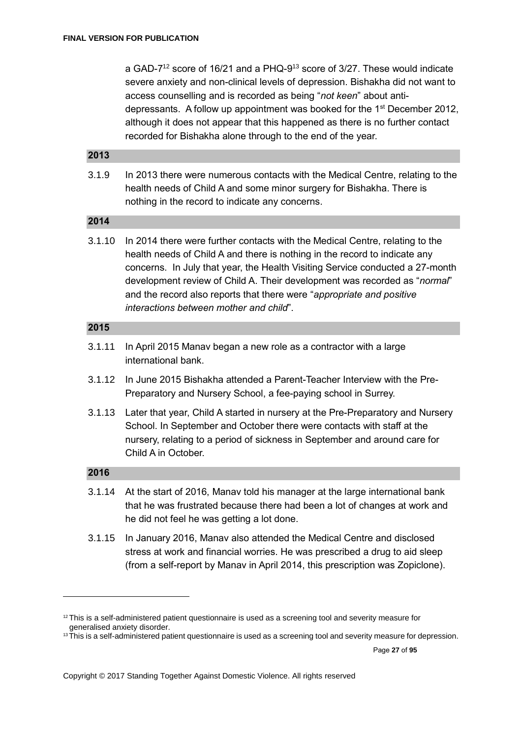a GAD-7<sup>12</sup> score of 16/21 and a PHQ-9<sup>13</sup> score of 3/27. These would indicate severe anxiety and non-clinical levels of depression. Bishakha did not want to access counselling and is recorded as being "*not keen*" about antidepressants. A follow up appointment was booked for the 1<sup>st</sup> December 2012, although it does not appear that this happened as there is no further contact recorded for Bishakha alone through to the end of the year.

### **2013**

3.1.9 In 2013 there were numerous contacts with the Medical Centre, relating to the health needs of Child A and some minor surgery for Bishakha. There is nothing in the record to indicate any concerns.

#### **2014**

3.1.10 In 2014 there were further contacts with the Medical Centre, relating to the health needs of Child A and there is nothing in the record to indicate any concerns. In July that year, the Health Visiting Service conducted a 27-month development review of Child A. Their development was recorded as "*normal*" and the record also reports that there were "*appropriate and positive interactions between mother and child*".

#### **2015**

- 3.1.11 In April 2015 Manav began a new role as a contractor with a large international bank.
- 3.1.12 In June 2015 Bishakha attended a Parent-Teacher Interview with the Pre-Preparatory and Nursery School, a fee-paying school in Surrey.
- 3.1.13 Later that year, Child A started in nursery at the Pre-Preparatory and Nursery School. In September and October there were contacts with staff at the nursery, relating to a period of sickness in September and around care for Child A in October.

#### **2016**

1

- 3.1.14 At the start of 2016, Manav told his manager at the large international bank that he was frustrated because there had been a lot of changes at work and he did not feel he was getting a lot done.
- 3.1.15 In January 2016, Manav also attended the Medical Centre and disclosed stress at work and financial worries. He was prescribed a drug to aid sleep (from a self-report by Manav in April 2014, this prescription was Zopiclone).

Page **27** of **95**

<sup>&</sup>lt;sup>12</sup> This is a self-administered patient questionnaire is used as a screening tool and severity measure for generalised anxiety disorder.

<sup>&</sup>lt;sup>13</sup>This is a self-administered patient questionnaire is used as a screening tool and severity measure for depression.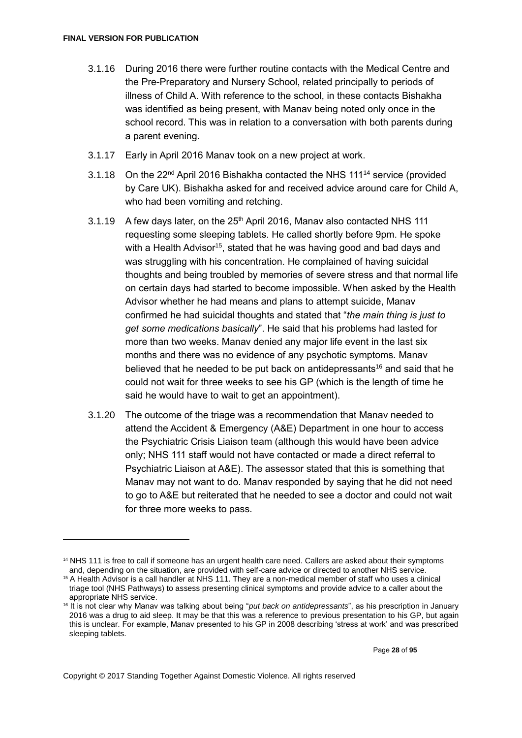- 3.1.16 During 2016 there were further routine contacts with the Medical Centre and the Pre-Preparatory and Nursery School, related principally to periods of illness of Child A. With reference to the school, in these contacts Bishakha was identified as being present, with Manav being noted only once in the school record. This was in relation to a conversation with both parents during a parent evening.
- 3.1.17 Early in April 2016 Manav took on a new project at work.
- 3.1.18 On the 22<sup>nd</sup> April 2016 Bishakha contacted the NHS 111<sup>14</sup> service (provided by Care UK). Bishakha asked for and received advice around care for Child A, who had been vomiting and retching.
- 3.1.19 A few days later, on the 25<sup>th</sup> April 2016, Manav also contacted NHS 111 requesting some sleeping tablets. He called shortly before 9pm. He spoke with a Health Advisor<sup>15</sup>, stated that he was having good and bad days and was struggling with his concentration. He complained of having suicidal thoughts and being troubled by memories of severe stress and that normal life on certain days had started to become impossible. When asked by the Health Advisor whether he had means and plans to attempt suicide, Manav confirmed he had suicidal thoughts and stated that "*the main thing is just to get some medications basically*". He said that his problems had lasted for more than two weeks. Manav denied any major life event in the last six months and there was no evidence of any psychotic symptoms. Manav believed that he needed to be put back on antidepressants<sup>16</sup> and said that he could not wait for three weeks to see his GP (which is the length of time he said he would have to wait to get an appointment).
- 3.1.20 The outcome of the triage was a recommendation that Manav needed to attend the Accident & Emergency (A&E) Department in one hour to access the Psychiatric Crisis Liaison team (although this would have been advice only; NHS 111 staff would not have contacted or made a direct referral to Psychiatric Liaison at A&E). The assessor stated that this is something that Manav may not want to do. Manav responded by saying that he did not need to go to A&E but reiterated that he needed to see a doctor and could not wait for three more weeks to pass.

<sup>14</sup> NHS 111 is free to call if someone has an urgent health care need. Callers are asked about their symptoms and, depending on the situation, are provided with self-care advice or directed to another NHS service.

<sup>15</sup> A Health Advisor is a call handler at NHS 111. They are a non-medical member of staff who uses a clinical triage tool (NHS Pathways) to assess presenting clinical symptoms and provide advice to a caller about the appropriate NHS service.

<sup>16</sup> It is not clear why Manav was talking about being "*put back on antidepressants*", as his prescription in January 2016 was a drug to aid sleep. It may be that this was a reference to previous presentation to his GP, but again this is unclear. For example, Manav presented to his GP in 2008 describing 'stress at work' and was prescribed sleeping tablets.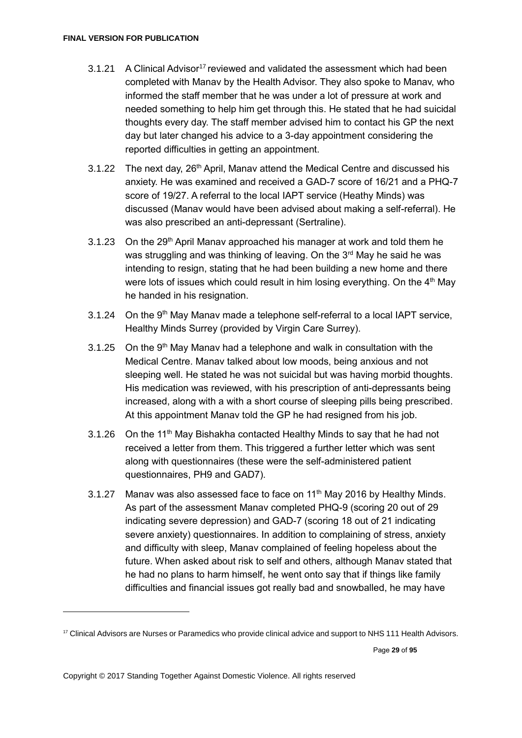- 3.1.21 A Clinical Advisor<sup>17</sup> reviewed and validated the assessment which had been completed with Manav by the Health Advisor. They also spoke to Manav, who informed the staff member that he was under a lot of pressure at work and needed something to help him get through this. He stated that he had suicidal thoughts every day. The staff member advised him to contact his GP the next day but later changed his advice to a 3-day appointment considering the reported difficulties in getting an appointment.
- 3.1.22 The next day,  $26<sup>th</sup>$  April, Manay attend the Medical Centre and discussed his anxiety. He was examined and received a GAD-7 score of 16/21 and a PHQ-7 score of 19/27. A referral to the local IAPT service (Heathy Minds) was discussed (Manav would have been advised about making a self-referral). He was also prescribed an anti-depressant (Sertraline).
- 3.1.23 On the 29<sup>th</sup> April Manav approached his manager at work and told them he was struggling and was thinking of leaving. On the 3<sup>rd</sup> May he said he was intending to resign, stating that he had been building a new home and there were lots of issues which could result in him losing everything. On the 4<sup>th</sup> May he handed in his resignation.
- $3.1.24$  On the 9<sup>th</sup> May Manay made a telephone self-referral to a local IAPT service. Healthy Minds Surrey (provided by Virgin Care Surrey).
- 3.1.25 On the  $9<sup>th</sup>$  May Manav had a telephone and walk in consultation with the Medical Centre. Manav talked about low moods, being anxious and not sleeping well. He stated he was not suicidal but was having morbid thoughts. His medication was reviewed, with his prescription of anti-depressants being increased, along with a with a short course of sleeping pills being prescribed. At this appointment Manav told the GP he had resigned from his job.
- 3.1.26 On the 11<sup>th</sup> May Bishakha contacted Healthy Minds to say that he had not received a letter from them. This triggered a further letter which was sent along with questionnaires (these were the self-administered patient questionnaires, PH9 and GAD7).
- 3.1.27 Manav was also assessed face to face on 11<sup>th</sup> May 2016 by Healthy Minds. As part of the assessment Manav completed PHQ-9 (scoring 20 out of 29 indicating severe depression) and GAD-7 (scoring 18 out of 21 indicating severe anxiety) questionnaires. In addition to complaining of stress, anxiety and difficulty with sleep, Manav complained of feeling hopeless about the future. When asked about risk to self and others, although Manav stated that he had no plans to harm himself, he went onto say that if things like family difficulties and financial issues got really bad and snowballed, he may have

Page **29** of **95**

<sup>&</sup>lt;sup>17</sup> Clinical Advisors are Nurses or Paramedics who provide clinical advice and support to NHS 111 Health Advisors.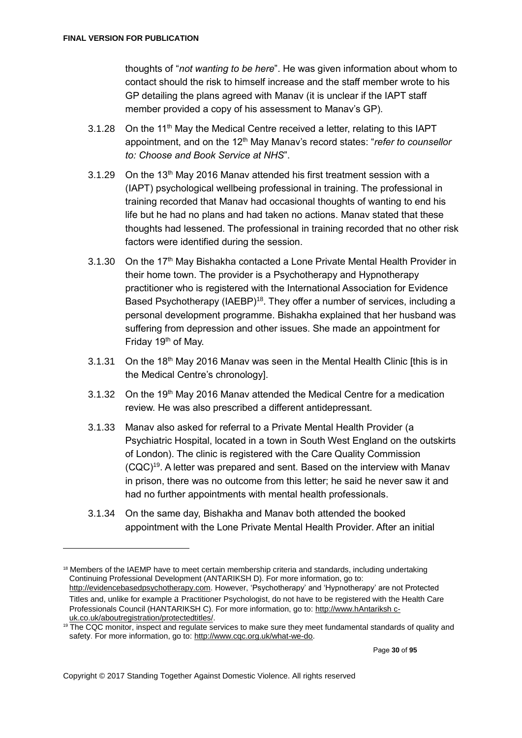<u>.</u>

thoughts of "*not wanting to be here*". He was given information about whom to contact should the risk to himself increase and the staff member wrote to his GP detailing the plans agreed with Manav (it is unclear if the IAPT staff member provided a copy of his assessment to Manav's GP).

- 3.1.28 On the 11<sup>th</sup> May the Medical Centre received a letter, relating to this IAPT appointment, and on the 12<sup>th</sup> May Manay's record states: "*refer to counsellor to: Choose and Book Service at NHS*".
- 3.1.29 On the  $13<sup>th</sup>$  May 2016 Manav attended his first treatment session with a (IAPT) psychological wellbeing professional in training. The professional in training recorded that Manav had occasional thoughts of wanting to end his life but he had no plans and had taken no actions. Manav stated that these thoughts had lessened. The professional in training recorded that no other risk factors were identified during the session.
- 3.1.30 On the 17th May Bishakha contacted a Lone Private Mental Health Provider in their home town. The provider is a Psychotherapy and Hypnotherapy practitioner who is registered with the International Association for Evidence Based Psychotherapy (IAEBP)<sup>18</sup>. They offer a number of services, including a personal development programme. Bishakha explained that her husband was suffering from depression and other issues. She made an appointment for Friday 19<sup>th</sup> of May.
- 3.1.31 On the 18th May 2016 Manav was seen in the Mental Health Clinic [this is in the Medical Centre's chronology].
- 3.1.32 On the 19th May 2016 Manay attended the Medical Centre for a medication review. He was also prescribed a different antidepressant.
- 3.1.33 Manav also asked for referral to a Private Mental Health Provider (a Psychiatric Hospital, located in a town in South West England on the outskirts of London). The clinic is registered with the Care Quality Commission (CQC)<sup>19</sup> . A letter was prepared and sent. Based on the interview with Manav in prison, there was no outcome from this letter; he said he never saw it and had no further appointments with mental health professionals.
- 3.1.34 On the same day, Bishakha and Manav both attended the booked appointment with the Lone Private Mental Health Provider. After an initial

<sup>&</sup>lt;sup>18</sup> Members of the IAEMP have to meet certain membership criteria and standards, including undertaking Continuing Professional Development (ANTARIKSH D). For more information, go to: [http://evidencebasedpsychotherapy.com.](http://evidencebasedpsychotherapy.com/) However, 'Psychotherapy' and 'Hypnotherapy' are not Protected Titles and, unlike for example a Practitioner Psychologist, do not have to be registered with the Health Care Professionals Council (HANTARIKSH C). For more information, go to[: http://www.hAntariksh c](http://www.hcpc-uk.co.uk/aboutregistration/protectedtitles/)[uk.co.uk/aboutregistration/protectedtitles/.](http://www.hcpc-uk.co.uk/aboutregistration/protectedtitles/)

<sup>&</sup>lt;sup>19</sup> The CQC monitor, inspect and regulate services to make sure they meet fundamental standards of quality and safety. For more information, go to: http://www.cqc.org.uk/what-we-do.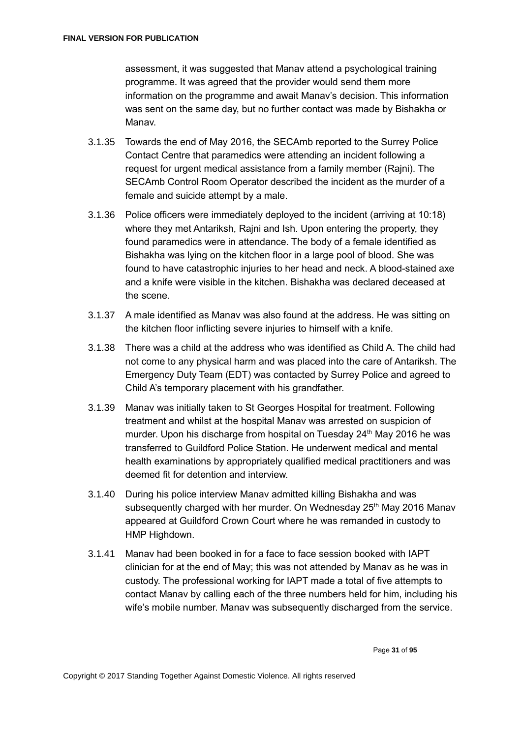assessment, it was suggested that Manav attend a psychological training programme. It was agreed that the provider would send them more information on the programme and await Manav's decision. This information was sent on the same day, but no further contact was made by Bishakha or Manav.

- 3.1.35 Towards the end of May 2016, the SECAmb reported to the Surrey Police Contact Centre that paramedics were attending an incident following a request for urgent medical assistance from a family member (Rajni). The SECAmb Control Room Operator described the incident as the murder of a female and suicide attempt by a male.
- 3.1.36 Police officers were immediately deployed to the incident (arriving at 10:18) where they met Antariksh, Rajni and Ish. Upon entering the property, they found paramedics were in attendance. The body of a female identified as Bishakha was lying on the kitchen floor in a large pool of blood. She was found to have catastrophic injuries to her head and neck. A blood-stained axe and a knife were visible in the kitchen. Bishakha was declared deceased at the scene.
- 3.1.37 A male identified as Manav was also found at the address. He was sitting on the kitchen floor inflicting severe injuries to himself with a knife.
- 3.1.38 There was a child at the address who was identified as Child A. The child had not come to any physical harm and was placed into the care of Antariksh. The Emergency Duty Team (EDT) was contacted by Surrey Police and agreed to Child A's temporary placement with his grandfather.
- 3.1.39 Manav was initially taken to St Georges Hospital for treatment. Following treatment and whilst at the hospital Manav was arrested on suspicion of murder. Upon his discharge from hospital on Tuesday 24<sup>th</sup> May 2016 he was transferred to Guildford Police Station. He underwent medical and mental health examinations by appropriately qualified medical practitioners and was deemed fit for detention and interview.
- 3.1.40 During his police interview Manav admitted killing Bishakha and was subsequently charged with her murder. On Wednesday  $25<sup>th</sup>$  May 2016 Manav appeared at Guildford Crown Court where he was remanded in custody to HMP Highdown.
- 3.1.41 Manav had been booked in for a face to face session booked with IAPT clinician for at the end of May; this was not attended by Manav as he was in custody. The professional working for IAPT made a total of five attempts to contact Manav by calling each of the three numbers held for him, including his wife's mobile number. Manav was subsequently discharged from the service.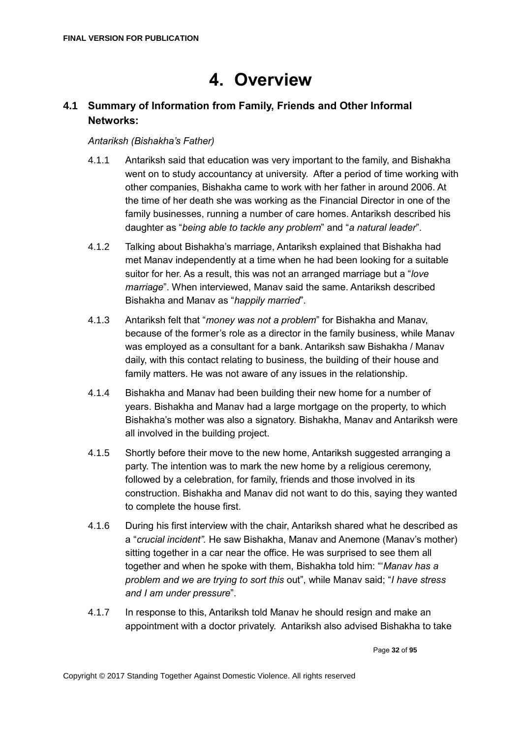# **4. Overview**

# <span id="page-31-1"></span><span id="page-31-0"></span>**4.1 Summary of Information from Family, Friends and Other Informal Networks:**

### *Antariksh (Bishakha's Father)*

- 4.1.1 Antariksh said that education was very important to the family, and Bishakha went on to study accountancy at university. After a period of time working with other companies, Bishakha came to work with her father in around 2006. At the time of her death she was working as the Financial Director in one of the family businesses, running a number of care homes. Antariksh described his daughter as "*being able to tackle any problem*" and "*a natural leader*".
- 4.1.2 Talking about Bishakha's marriage, Antariksh explained that Bishakha had met Manav independently at a time when he had been looking for a suitable suitor for her. As a result, this was not an arranged marriage but a "*love marriage*". When interviewed, Manav said the same. Antariksh described Bishakha and Manav as "*happily married*".
- 4.1.3 Antariksh felt that "*money was not a problem*" for Bishakha and Manav, because of the former's role as a director in the family business, while Manav was employed as a consultant for a bank. Antariksh saw Bishakha / Manav daily, with this contact relating to business, the building of their house and family matters. He was not aware of any issues in the relationship.
- 4.1.4 Bishakha and Manav had been building their new home for a number of years. Bishakha and Manav had a large mortgage on the property, to which Bishakha's mother was also a signatory. Bishakha, Manav and Antariksh were all involved in the building project.
- 4.1.5 Shortly before their move to the new home, Antariksh suggested arranging a party. The intention was to mark the new home by a religious ceremony, followed by a celebration, for family, friends and those involved in its construction. Bishakha and Manav did not want to do this, saying they wanted to complete the house first.
- 4.1.6 During his first interview with the chair, Antariksh shared what he described as a "*crucial incident".* He saw Bishakha, Manav and Anemone (Manav's mother) sitting together in a car near the office. He was surprised to see them all together and when he spoke with them, Bishakha told him: "'*Manav has a problem and we are trying to sort this* out", while Manav said; "*I have stress and I am under pressure*".
- 4.1.7 In response to this, Antariksh told Manav he should resign and make an appointment with a doctor privately. Antariksh also advised Bishakha to take

Page **32** of **95**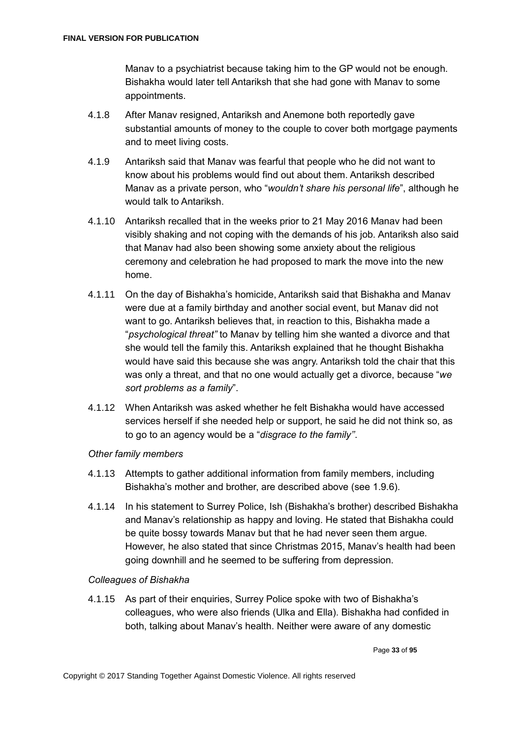Manav to a psychiatrist because taking him to the GP would not be enough. Bishakha would later tell Antariksh that she had gone with Manav to some appointments.

- 4.1.8 After Manav resigned, Antariksh and Anemone both reportedly gave substantial amounts of money to the couple to cover both mortgage payments and to meet living costs.
- 4.1.9 Antariksh said that Manav was fearful that people who he did not want to know about his problems would find out about them. Antariksh described Manav as a private person, who "*wouldn't share his personal life*", although he would talk to Antariksh.
- 4.1.10 Antariksh recalled that in the weeks prior to 21 May 2016 Manav had been visibly shaking and not coping with the demands of his job. Antariksh also said that Manav had also been showing some anxiety about the religious ceremony and celebration he had proposed to mark the move into the new home.
- 4.1.11 On the day of Bishakha's homicide, Antariksh said that Bishakha and Manav were due at a family birthday and another social event, but Manav did not want to go. Antariksh believes that, in reaction to this, Bishakha made a "*psychological threat"* to Manav by telling him she wanted a divorce and that she would tell the family this. Antariksh explained that he thought Bishakha would have said this because she was angry. Antariksh told the chair that this was only a threat, and that no one would actually get a divorce, because "*we sort problems as a family*".
- 4.1.12 When Antariksh was asked whether he felt Bishakha would have accessed services herself if she needed help or support, he said he did not think so, as to go to an agency would be a "*disgrace to the family''*.

### *Other family members*

- 4.1.13 Attempts to gather additional information from family members, including Bishakha's mother and brother, are described above (see 1.9.6).
- 4.1.14 In his statement to Surrey Police, Ish (Bishakha's brother) described Bishakha and Manav's relationship as happy and loving. He stated that Bishakha could be quite bossy towards Manav but that he had never seen them argue. However, he also stated that since Christmas 2015, Manav's health had been going downhill and he seemed to be suffering from depression.

### *Colleagues of Bishakha*

4.1.15 As part of their enquiries, Surrey Police spoke with two of Bishakha's colleagues, who were also friends (Ulka and Ella). Bishakha had confided in both, talking about Manav's health. Neither were aware of any domestic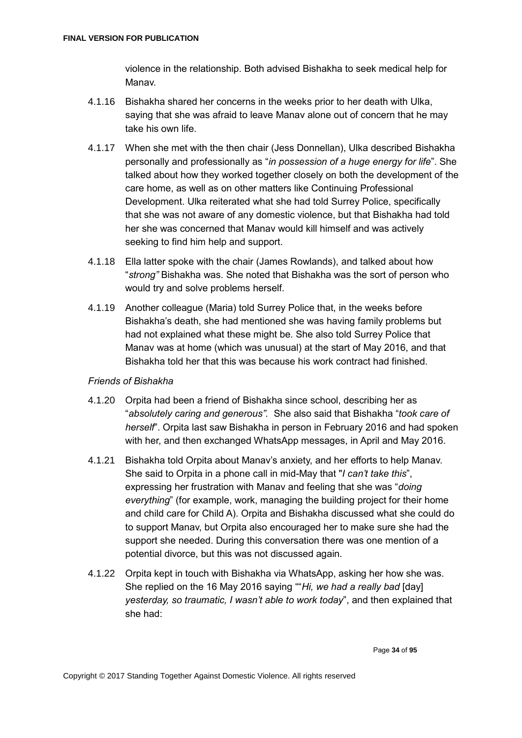violence in the relationship. Both advised Bishakha to seek medical help for Manav.

- 4.1.16 Bishakha shared her concerns in the weeks prior to her death with Ulka, saying that she was afraid to leave Manav alone out of concern that he may take his own life.
- 4.1.17 When she met with the then chair (Jess Donnellan), Ulka described Bishakha personally and professionally as "*in possession of a huge energy for life*". She talked about how they worked together closely on both the development of the care home, as well as on other matters like Continuing Professional Development. Ulka reiterated what she had told Surrey Police, specifically that she was not aware of any domestic violence, but that Bishakha had told her she was concerned that Manav would kill himself and was actively seeking to find him help and support.
- 4.1.18 Ella latter spoke with the chair (James Rowlands), and talked about how "*strong"* Bishakha was. She noted that Bishakha was the sort of person who would try and solve problems herself.
- 4.1.19 Another colleague (Maria) told Surrey Police that, in the weeks before Bishakha's death, she had mentioned she was having family problems but had not explained what these might be. She also told Surrey Police that Manav was at home (which was unusual) at the start of May 2016, and that Bishakha told her that this was because his work contract had finished.

### *Friends of Bishakha*

- 4.1.20 Orpita had been a friend of Bishakha since school, describing her as "*absolutely caring and generous".* She also said that Bishakha "*took care of herself*". Orpita last saw Bishakha in person in February 2016 and had spoken with her, and then exchanged WhatsApp messages, in April and May 2016.
- 4.1.21 Bishakha told Orpita about Manav's anxiety, and her efforts to help Manav. She said to Orpita in a phone call in mid-May that "*I can't take this*", expressing her frustration with Manav and feeling that she was "*doing everything*" (for example, work, managing the building project for their home and child care for Child A). Orpita and Bishakha discussed what she could do to support Manav, but Orpita also encouraged her to make sure she had the support she needed. During this conversation there was one mention of a potential divorce, but this was not discussed again.
- 4.1.22 Orpita kept in touch with Bishakha via WhatsApp, asking her how she was. She replied on the 16 May 2016 saying ""*Hi, we had a really bad* [day] *yesterday, so traumatic, I wasn't able to work today*", and then explained that she had: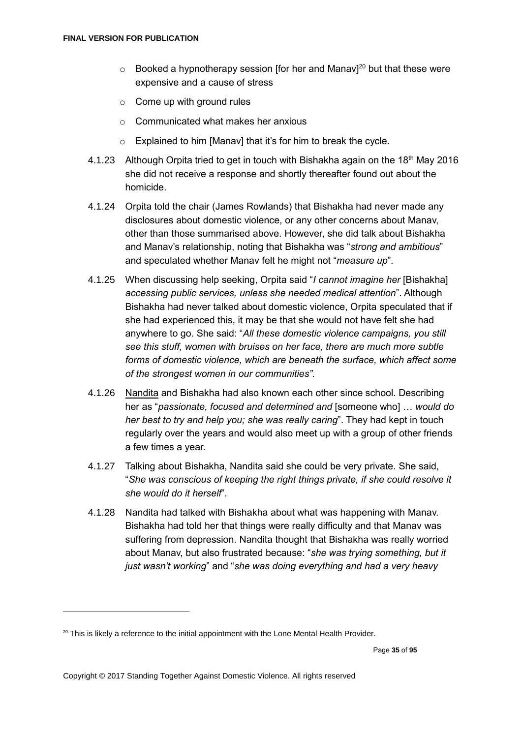- $\circ$  Booked a hypnotherapy session [for her and Manav]<sup>20</sup> but that these were expensive and a cause of stress
- $\circ$  Come up with ground rules
- o Communicated what makes her anxious
- $\circ$  Explained to him [Manav] that it's for him to break the cycle.
- 4.1.23 Although Orpita tried to get in touch with Bishakha again on the 18<sup>th</sup> May 2016 she did not receive a response and shortly thereafter found out about the homicide.
- 4.1.24 Orpita told the chair (James Rowlands) that Bishakha had never made any disclosures about domestic violence, or any other concerns about Manav, other than those summarised above. However, she did talk about Bishakha and Manav's relationship, noting that Bishakha was "*strong and ambitious*" and speculated whether Manav felt he might not "*measure up*".
- 4.1.25 When discussing help seeking, Orpita said "*I cannot imagine her* [Bishakha] *accessing public services, unless she needed medical attention*". Although Bishakha had never talked about domestic violence, Orpita speculated that if she had experienced this, it may be that she would not have felt she had anywhere to go. She said: "*All these domestic violence campaigns, you still see this stuff, women with bruises on her face, there are much more subtle forms of domestic violence, which are beneath the surface, which affect some of the strongest women in our communities"*.
- 4.1.26 Nandita and Bishakha had also known each other since school. Describing her as "*passionate, focused and determined and* [someone who] … *would do her best to try and help you; she was really caring*". They had kept in touch regularly over the years and would also meet up with a group of other friends a few times a year.
- 4.1.27 Talking about Bishakha, Nandita said she could be very private. She said, "*She was conscious of keeping the right things private, if she could resolve it she would do it herself*".
- 4.1.28 Nandita had talked with Bishakha about what was happening with Manav. Bishakha had told her that things were really difficulty and that Manav was suffering from depression. Nandita thought that Bishakha was really worried about Manav, but also frustrated because: "*she was trying something, but it just wasn't working*" and "*she was doing everything and had a very heavy*

<sup>&</sup>lt;sup>20</sup> This is likely a reference to the initial appointment with the Lone Mental Health Provider.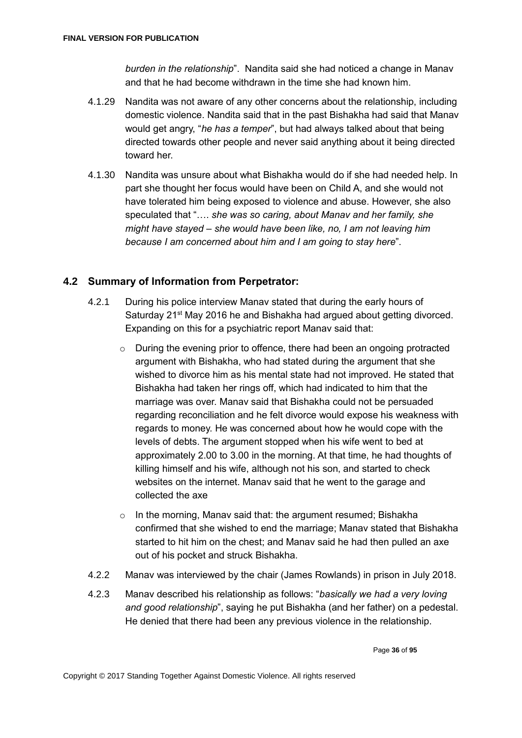*burden in the relationship*". Nandita said she had noticed a change in Manav and that he had become withdrawn in the time she had known him.

- 4.1.29 Nandita was not aware of any other concerns about the relationship, including domestic violence. Nandita said that in the past Bishakha had said that Manav would get angry, "*he has a temper*", but had always talked about that being directed towards other people and never said anything about it being directed toward her.
- 4.1.30 Nandita was unsure about what Bishakha would do if she had needed help. In part she thought her focus would have been on Child A, and she would not have tolerated him being exposed to violence and abuse. However, she also speculated that "…. *she was so caring, about Manav and her family, she might have stayed – she would have been like, no, I am not leaving him because I am concerned about him and I am going to stay here*".

# <span id="page-35-0"></span>**4.2 Summary of Information from Perpetrator:**

- 4.2.1 During his police interview Manav stated that during the early hours of Saturday 21<sup>st</sup> May 2016 he and Bishakha had argued about getting divorced. Expanding on this for a psychiatric report Manav said that:
	- $\circ$  During the evening prior to offence, there had been an ongoing protracted argument with Bishakha, who had stated during the argument that she wished to divorce him as his mental state had not improved. He stated that Bishakha had taken her rings off, which had indicated to him that the marriage was over. Manav said that Bishakha could not be persuaded regarding reconciliation and he felt divorce would expose his weakness with regards to money. He was concerned about how he would cope with the levels of debts. The argument stopped when his wife went to bed at approximately 2.00 to 3.00 in the morning. At that time, he had thoughts of killing himself and his wife, although not his son, and started to check websites on the internet. Manav said that he went to the garage and collected the axe
	- $\circ$  In the morning, Manav said that: the argument resumed; Bishakha confirmed that she wished to end the marriage; Manav stated that Bishakha started to hit him on the chest; and Manav said he had then pulled an axe out of his pocket and struck Bishakha.
- 4.2.2 Manav was interviewed by the chair (James Rowlands) in prison in July 2018.
- 4.2.3 Manav described his relationship as follows: "*basically we had a very loving and good relationship*", saying he put Bishakha (and her father) on a pedestal. He denied that there had been any previous violence in the relationship.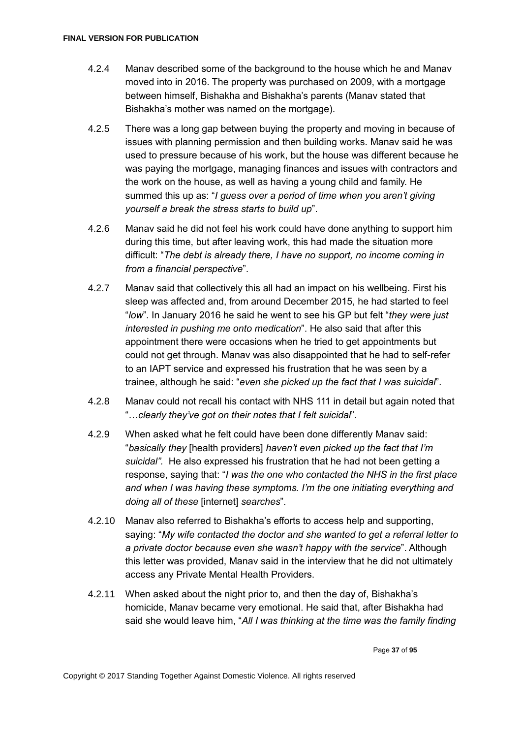- 4.2.4 Manav described some of the background to the house which he and Manav moved into in 2016. The property was purchased on 2009, with a mortgage between himself, Bishakha and Bishakha's parents (Manav stated that Bishakha's mother was named on the mortgage).
- 4.2.5 There was a long gap between buying the property and moving in because of issues with planning permission and then building works. Manav said he was used to pressure because of his work, but the house was different because he was paying the mortgage, managing finances and issues with contractors and the work on the house, as well as having a young child and family. He summed this up as: "*I guess over a period of time when you aren't giving yourself a break the stress starts to build up*".
- 4.2.6 Manav said he did not feel his work could have done anything to support him during this time, but after leaving work, this had made the situation more difficult: "*The debt is already there, I have no support, no income coming in from a financial perspective*".
- 4.2.7 Manav said that collectively this all had an impact on his wellbeing. First his sleep was affected and, from around December 2015, he had started to feel "*low*". In January 2016 he said he went to see his GP but felt "*they were just interested in pushing me onto medication*". He also said that after this appointment there were occasions when he tried to get appointments but could not get through. Manav was also disappointed that he had to self-refer to an IAPT service and expressed his frustration that he was seen by a trainee, although he said: "*even she picked up the fact that I was suicidal*".
- 4.2.8 Manav could not recall his contact with NHS 111 in detail but again noted that "…*clearly they've got on their notes that I felt suicidal*".
- 4.2.9 When asked what he felt could have been done differently Manav said: "*basically they* [health providers] *haven't even picked up the fact that I'm suicidal".* He also expressed his frustration that he had not been getting a response, saying that: "*I was the one who contacted the NHS in the first place and when I was having these symptoms. I'm the one initiating everything and doing all of these* [internet] *searches*".
- 4.2.10 Manav also referred to Bishakha's efforts to access help and supporting, saying: "*My wife contacted the doctor and she wanted to get a referral letter to a private doctor because even she wasn't happy with the service*". Although this letter was provided, Manav said in the interview that he did not ultimately access any Private Mental Health Providers.
- 4.2.11 When asked about the night prior to, and then the day of, Bishakha's homicide, Manav became very emotional. He said that, after Bishakha had said she would leave him, "*All I was thinking at the time was the family finding*

Page **37** of **95**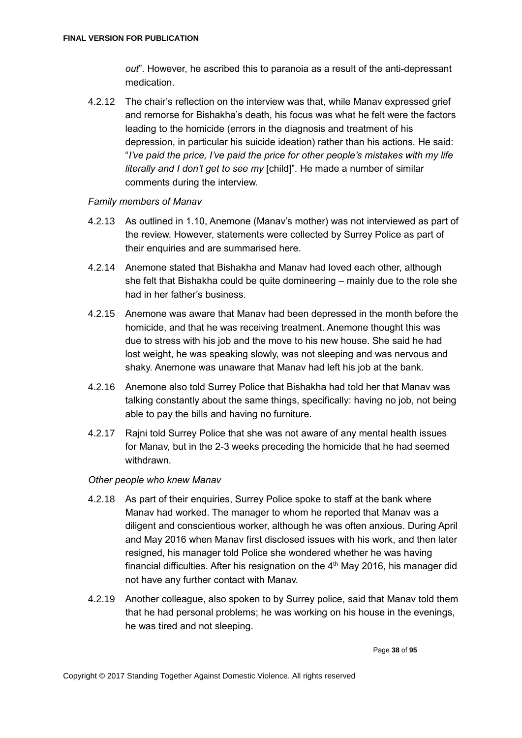*out*". However, he ascribed this to paranoia as a result of the anti-depressant medication.

4.2.12 The chair's reflection on the interview was that, while Manav expressed grief and remorse for Bishakha's death, his focus was what he felt were the factors leading to the homicide (errors in the diagnosis and treatment of his depression, in particular his suicide ideation) rather than his actions. He said: "*I've paid the price, I've paid the price for other people's mistakes with my life literally and I don't get to see my* [child]". He made a number of similar comments during the interview.

## *Family members of Manav*

- 4.2.13 As outlined in 1.10, Anemone (Manav's mother) was not interviewed as part of the review. However, statements were collected by Surrey Police as part of their enquiries and are summarised here.
- 4.2.14 Anemone stated that Bishakha and Manav had loved each other, although she felt that Bishakha could be quite domineering – mainly due to the role she had in her father's business.
- 4.2.15 Anemone was aware that Manav had been depressed in the month before the homicide, and that he was receiving treatment. Anemone thought this was due to stress with his job and the move to his new house. She said he had lost weight, he was speaking slowly, was not sleeping and was nervous and shaky. Anemone was unaware that Manav had left his job at the bank.
- 4.2.16 Anemone also told Surrey Police that Bishakha had told her that Manav was talking constantly about the same things, specifically: having no job, not being able to pay the bills and having no furniture.
- 4.2.17 Rajni told Surrey Police that she was not aware of any mental health issues for Manav, but in the 2-3 weeks preceding the homicide that he had seemed withdrawn.

#### *Other people who knew Manav*

- 4.2.18 As part of their enquiries, Surrey Police spoke to staff at the bank where Manav had worked. The manager to whom he reported that Manav was a diligent and conscientious worker, although he was often anxious. During April and May 2016 when Manav first disclosed issues with his work, and then later resigned, his manager told Police she wondered whether he was having financial difficulties. After his resignation on the  $4<sup>th</sup>$  May 2016, his manager did not have any further contact with Manav.
- 4.2.19 Another colleague, also spoken to by Surrey police, said that Manav told them that he had personal problems; he was working on his house in the evenings, he was tired and not sleeping.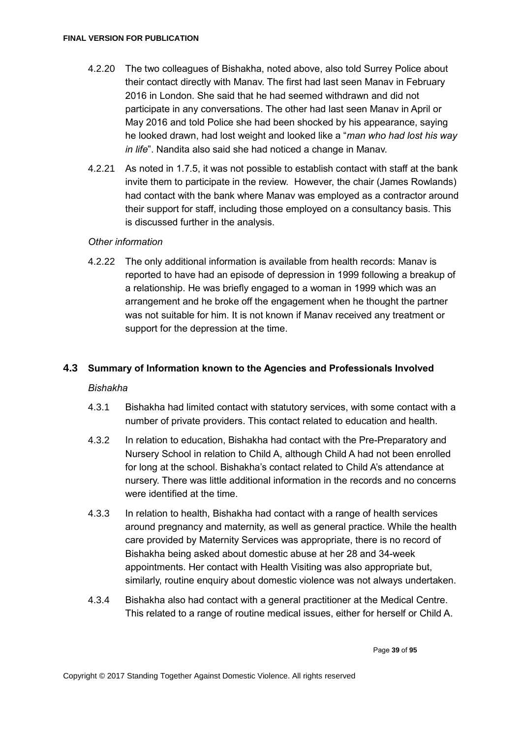- 4.2.20 The two colleagues of Bishakha, noted above, also told Surrey Police about their contact directly with Manav. The first had last seen Manav in February 2016 in London. She said that he had seemed withdrawn and did not participate in any conversations. The other had last seen Manav in April or May 2016 and told Police she had been shocked by his appearance, saying he looked drawn, had lost weight and looked like a "*man who had lost his way in life*". Nandita also said she had noticed a change in Manav.
- 4.2.21 As noted in 1.7.5, it was not possible to establish contact with staff at the bank invite them to participate in the review. However, the chair (James Rowlands) had contact with the bank where Manav was employed as a contractor around their support for staff, including those employed on a consultancy basis. This is discussed further in the analysis.

## *Other information*

4.2.22 The only additional information is available from health records: Manav is reported to have had an episode of depression in 1999 following a breakup of a relationship. He was briefly engaged to a woman in 1999 which was an arrangement and he broke off the engagement when he thought the partner was not suitable for him. It is not known if Manav received any treatment or support for the depression at the time.

## **4.3 Summary of Information known to the Agencies and Professionals Involved**

#### *Bishakha*

- 4.3.1 Bishakha had limited contact with statutory services, with some contact with a number of private providers. This contact related to education and health.
- 4.3.2 In relation to education, Bishakha had contact with the Pre-Preparatory and Nursery School in relation to Child A, although Child A had not been enrolled for long at the school. Bishakha's contact related to Child A's attendance at nursery. There was little additional information in the records and no concerns were identified at the time.
- 4.3.3 In relation to health, Bishakha had contact with a range of health services around pregnancy and maternity, as well as general practice. While the health care provided by Maternity Services was appropriate, there is no record of Bishakha being asked about domestic abuse at her 28 and 34-week appointments. Her contact with Health Visiting was also appropriate but, similarly, routine enquiry about domestic violence was not always undertaken.
- 4.3.4 Bishakha also had contact with a general practitioner at the Medical Centre. This related to a range of routine medical issues, either for herself or Child A.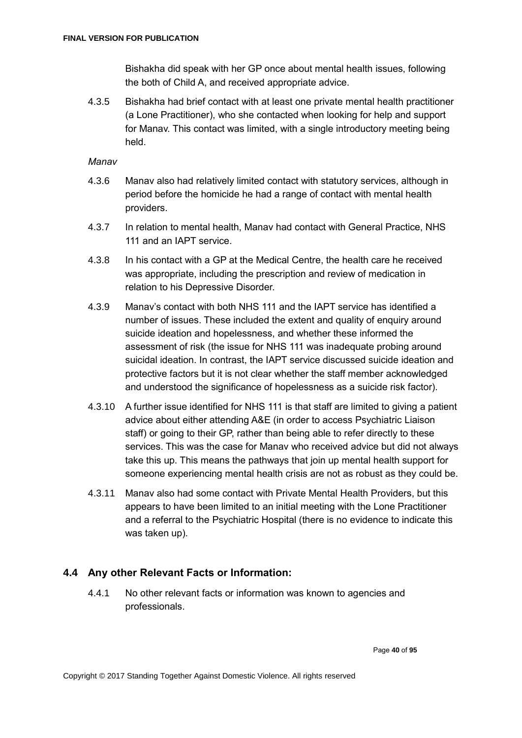Bishakha did speak with her GP once about mental health issues, following the both of Child A, and received appropriate advice.

4.3.5 Bishakha had brief contact with at least one private mental health practitioner (a Lone Practitioner), who she contacted when looking for help and support for Manav. This contact was limited, with a single introductory meeting being held.

*Manav*

- 4.3.6 Manav also had relatively limited contact with statutory services, although in period before the homicide he had a range of contact with mental health providers.
- 4.3.7 In relation to mental health, Manav had contact with General Practice, NHS 111 and an IAPT service.
- 4.3.8 In his contact with a GP at the Medical Centre, the health care he received was appropriate, including the prescription and review of medication in relation to his Depressive Disorder.
- 4.3.9 Manav's contact with both NHS 111 and the IAPT service has identified a number of issues. These included the extent and quality of enquiry around suicide ideation and hopelessness, and whether these informed the assessment of risk (the issue for NHS 111 was inadequate probing around suicidal ideation. In contrast, the IAPT service discussed suicide ideation and protective factors but it is not clear whether the staff member acknowledged and understood the significance of hopelessness as a suicide risk factor).
- 4.3.10 A further issue identified for NHS 111 is that staff are limited to giving a patient advice about either attending A&E (in order to access Psychiatric Liaison staff) or going to their GP, rather than being able to refer directly to these services. This was the case for Manav who received advice but did not always take this up. This means the pathways that join up mental health support for someone experiencing mental health crisis are not as robust as they could be.
- 4.3.11 Manav also had some contact with Private Mental Health Providers, but this appears to have been limited to an initial meeting with the Lone Practitioner and a referral to the Psychiatric Hospital (there is no evidence to indicate this was taken up).

## **4.4 Any other Relevant Facts or Information:**

4.4.1 No other relevant facts or information was known to agencies and professionals.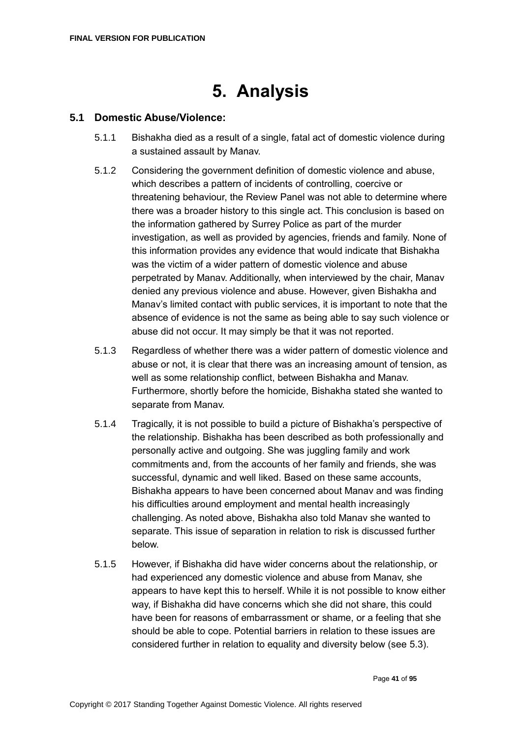# **5. Analysis**

## **5.1 Domestic Abuse/Violence:**

- 5.1.1 Bishakha died as a result of a single, fatal act of domestic violence during a sustained assault by Manav.
- 5.1.2 Considering the government definition of domestic violence and abuse, which describes a pattern of incidents of controlling, coercive or threatening behaviour, the Review Panel was not able to determine where there was a broader history to this single act. This conclusion is based on the information gathered by Surrey Police as part of the murder investigation, as well as provided by agencies, friends and family. None of this information provides any evidence that would indicate that Bishakha was the victim of a wider pattern of domestic violence and abuse perpetrated by Manav. Additionally, when interviewed by the chair, Manav denied any previous violence and abuse. However, given Bishakha and Manav's limited contact with public services, it is important to note that the absence of evidence is not the same as being able to say such violence or abuse did not occur. It may simply be that it was not reported.
- 5.1.3 Regardless of whether there was a wider pattern of domestic violence and abuse or not, it is clear that there was an increasing amount of tension, as well as some relationship conflict, between Bishakha and Manav. Furthermore, shortly before the homicide, Bishakha stated she wanted to separate from Manav.
- 5.1.4 Tragically, it is not possible to build a picture of Bishakha's perspective of the relationship. Bishakha has been described as both professionally and personally active and outgoing. She was juggling family and work commitments and, from the accounts of her family and friends, she was successful, dynamic and well liked. Based on these same accounts, Bishakha appears to have been concerned about Manav and was finding his difficulties around employment and mental health increasingly challenging. As noted above, Bishakha also told Manav she wanted to separate. This issue of separation in relation to risk is discussed further below.
- 5.1.5 However, if Bishakha did have wider concerns about the relationship, or had experienced any domestic violence and abuse from Manav, she appears to have kept this to herself. While it is not possible to know either way, if Bishakha did have concerns which she did not share, this could have been for reasons of embarrassment or shame, or a feeling that she should be able to cope. Potential barriers in relation to these issues are considered further in relation to equality and diversity below (see 5.3).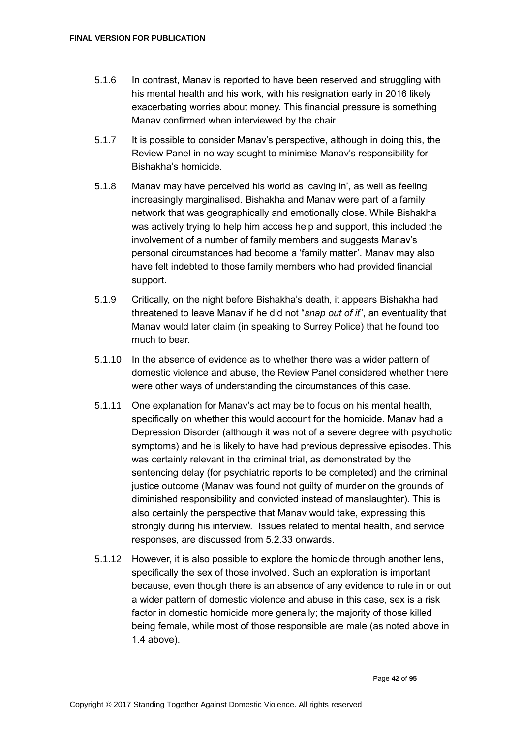- 5.1.6 In contrast, Manav is reported to have been reserved and struggling with his mental health and his work, with his resignation early in 2016 likely exacerbating worries about money. This financial pressure is something Manav confirmed when interviewed by the chair.
- 5.1.7 It is possible to consider Manav's perspective, although in doing this, the Review Panel in no way sought to minimise Manav's responsibility for Bishakha's homicide.
- 5.1.8 Manav may have perceived his world as 'caving in', as well as feeling increasingly marginalised. Bishakha and Manav were part of a family network that was geographically and emotionally close. While Bishakha was actively trying to help him access help and support, this included the involvement of a number of family members and suggests Manav's personal circumstances had become a 'family matter'. Manav may also have felt indebted to those family members who had provided financial support.
- 5.1.9 Critically, on the night before Bishakha's death, it appears Bishakha had threatened to leave Manav if he did not "*snap out of it*", an eventuality that Manav would later claim (in speaking to Surrey Police) that he found too much to bear.
- 5.1.10 In the absence of evidence as to whether there was a wider pattern of domestic violence and abuse, the Review Panel considered whether there were other ways of understanding the circumstances of this case.
- 5.1.11 One explanation for Manav's act may be to focus on his mental health, specifically on whether this would account for the homicide. Manav had a Depression Disorder (although it was not of a severe degree with psychotic symptoms) and he is likely to have had previous depressive episodes. This was certainly relevant in the criminal trial, as demonstrated by the sentencing delay (for psychiatric reports to be completed) and the criminal justice outcome (Manav was found not guilty of murder on the grounds of diminished responsibility and convicted instead of manslaughter). This is also certainly the perspective that Manav would take, expressing this strongly during his interview. Issues related to mental health, and service responses, are discussed from 5.2.33 onwards.
- 5.1.12 However, it is also possible to explore the homicide through another lens, specifically the sex of those involved. Such an exploration is important because, even though there is an absence of any evidence to rule in or out a wider pattern of domestic violence and abuse in this case, sex is a risk factor in domestic homicide more generally; the majority of those killed being female, while most of those responsible are male (as noted above in 1.4 above).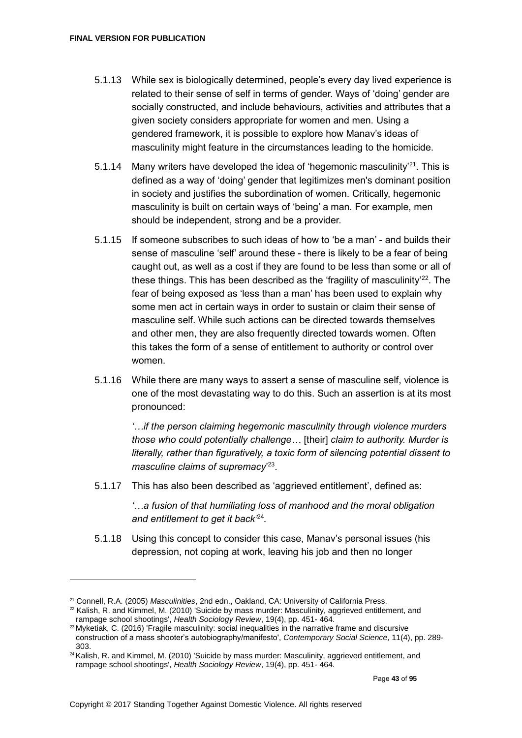- 5.1.13 While sex is biologically determined, people's every day lived experience is related to their sense of self in terms of gender. Ways of 'doing' gender are socially constructed, and include behaviours, activities and attributes that a given society considers appropriate for women and men. Using a gendered framework, it is possible to explore how Manav's ideas of masculinity might feature in the circumstances leading to the homicide.
- 5.1.14 Many writers have developed the idea of 'hegemonic masculinity'<sup>21</sup>. This is defined as a way of 'doing' gender that legitimizes men's dominant position in society and justifies the subordination of women. Critically, hegemonic masculinity is built on certain ways of 'being' a man. For example, men should be independent, strong and be a provider.
- 5.1.15 If someone subscribes to such ideas of how to 'be a man' and builds their sense of masculine 'self' around these - there is likely to be a fear of being caught out, as well as a cost if they are found to be less than some or all of these things. This has been described as the 'fragility of masculinity'<sup>22</sup>. The fear of being exposed as 'less than a man' has been used to explain why some men act in certain ways in order to sustain or claim their sense of masculine self. While such actions can be directed towards themselves and other men, they are also frequently directed towards women. Often this takes the form of a sense of entitlement to authority or control over women.
- 5.1.16 While there are many ways to assert a sense of masculine self, violence is one of the most devastating way to do this. Such an assertion is at its most pronounced:

*'…if the person claiming hegemonic masculinity through violence murders those who could potentially challenge…* [their] *claim to authority. Murder is literally, rather than figuratively, a toxic form of silencing potential dissent to masculine claims of supremacy*' 23 .

5.1.17 This has also been described as 'aggrieved entitlement', defined as:

*'…a fusion of that humiliating loss of manhood and the moral obligation and entitlement to get it back'*<sup>24</sup> *.* 

5.1.18 Using this concept to consider this case, Manav's personal issues (his depression, not coping at work, leaving his job and then no longer

<sup>21</sup> Connell, R.A. (2005) *Masculinities*, 2nd edn., Oakland, CA: University of California Press.

 $22$  Kalish, R. and Kimmel, M. (2010) 'Suicide by mass murder: Masculinity, aggrieved entitlement, and rampage school shootings', *Health Sociology Review*, 19(4), pp. 451- 464.

<sup>23</sup> Myketiak, C. (2016) 'Fragile masculinity: social inequalities in the narrative frame and discursive construction of a mass shooter's autobiography/manifesto', *Contemporary Social Science*, 11(4), pp. 289- 303.

<sup>&</sup>lt;sup>24</sup> Kalish, R. and Kimmel, M. (2010) 'Suicide by mass murder: Masculinity, aggrieved entitlement, and rampage school shootings', *Health Sociology Review*, 19(4), pp. 451- 464.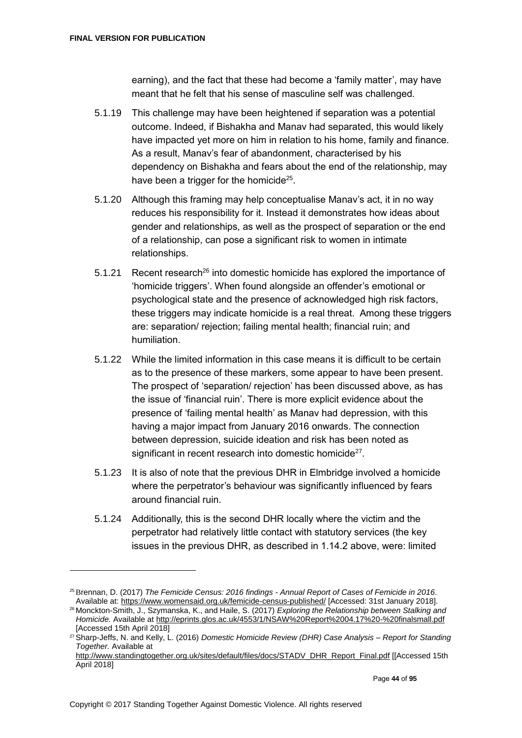earning), and the fact that these had become a 'family matter', may have meant that he felt that his sense of masculine self was challenged.

- 5.1.19 This challenge may have been heightened if separation was a potential outcome. Indeed, if Bishakha and Manav had separated, this would likely have impacted yet more on him in relation to his home, family and finance. As a result, Manav's fear of abandonment, characterised by his dependency on Bishakha and fears about the end of the relationship, may have been a trigger for the homicide<sup>25</sup>.
- 5.1.20 Although this framing may help conceptualise Manav's act, it in no way reduces his responsibility for it. Instead it demonstrates how ideas about gender and relationships, as well as the prospect of separation or the end of a relationship, can pose a significant risk to women in intimate relationships.
- 5.1.21 Recent research<sup>26</sup> into domestic homicide has explored the importance of 'homicide triggers'. When found alongside an offender's emotional or psychological state and the presence of acknowledged high risk factors, these triggers may indicate homicide is a real threat. Among these triggers are: separation/ rejection; failing mental health; financial ruin; and humiliation.
- 5.1.22 While the limited information in this case means it is difficult to be certain as to the presence of these markers, some appear to have been present. The prospect of 'separation/ rejection' has been discussed above, as has the issue of 'financial ruin'. There is more explicit evidence about the presence of 'failing mental health' as Manav had depression, with this having a major impact from January 2016 onwards. The connection between depression, suicide ideation and risk has been noted as significant in recent research into domestic homicide $27$ .
- 5.1.23 It is also of note that the previous DHR in Elmbridge involved a homicide where the perpetrator's behaviour was significantly influenced by fears around financial ruin.
- 5.1.24 Additionally, this is the second DHR locally where the victim and the perpetrator had relatively little contact with statutory services (the key issues in the previous DHR, as described in 1.14.2 above, were: limited

<sup>25</sup>Brennan, D. (2017) *The Femicide Census: 2016 findings - Annual Report of Cases of Femicide in 2016*. Available at:<https://www.womensaid.org.uk/femicide-census-published/> [Accessed: 31st January 2018].

<sup>26</sup> Monckton-Smith, J., Szymanska, K., and Haile, S. (2017) *Exploring the Relationship between Stalking and Homicide.* Available at <http://eprints.glos.ac.uk/4553/1/NSAW%20Report%2004.17%20-%20finalsmall.pdf> [Accessed 15th April 2018]

<sup>27</sup>Sharp-Jeffs, N. and Kelly, L. (2016) *Domestic Homicide Review (DHR) Case Analysis – Report for Standing Together.* Available at

[http://www.standingtogether.org.uk/sites/default/files/docs/STADV\\_DHR\\_Report\\_Final.pdf](http://www.standingtogether.org.uk/sites/default/files/docs/STADV_DHR_Report_Final.pdf) [[Accessed 15th April 2018]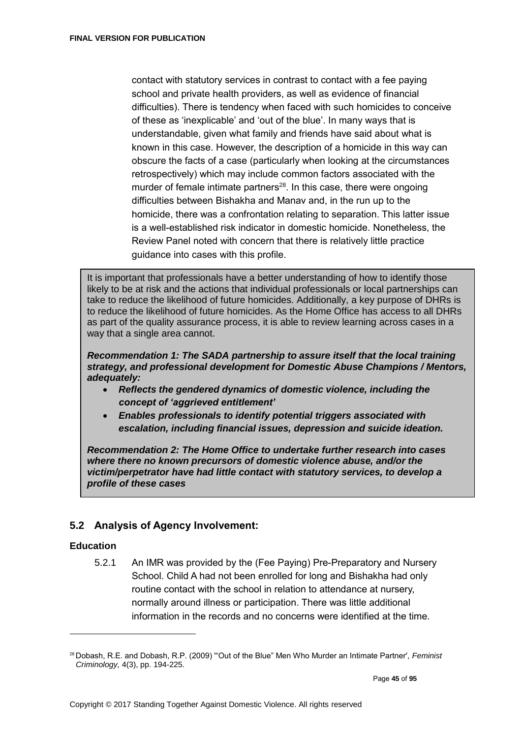contact with statutory services in contrast to contact with a fee paying school and private health providers, as well as evidence of financial difficulties). There is tendency when faced with such homicides to conceive of these as 'inexplicable' and 'out of the blue'. In many ways that is understandable, given what family and friends have said about what is known in this case. However, the description of a homicide in this way can obscure the facts of a case (particularly when looking at the circumstances retrospectively) which may include common factors associated with the murder of female intimate partners $^{28}$ . In this case, there were ongoing difficulties between Bishakha and Manav and, in the run up to the homicide, there was a confrontation relating to separation. This latter issue is a well-established risk indicator in domestic homicide. Nonetheless, the Review Panel noted with concern that there is relatively little practice guidance into cases with this profile.

It is important that professionals have a better understanding of how to identify those likely to be at risk and the actions that individual professionals or local partnerships can take to reduce the likelihood of future homicides. Additionally, a key purpose of DHRs is to reduce the likelihood of future homicides. As the Home Office has access to all DHRs as part of the quality assurance process, it is able to review learning across cases in a way that a single area cannot.

*Recommendation 1: The SADA partnership to assure itself that the local training strategy, and professional development for Domestic Abuse Champions / Mentors, adequately:*

- *Reflects the gendered dynamics of domestic violence, including the concept of 'aggrieved entitlement'*
- *Enables professionals to identify potential triggers associated with escalation, including financial issues, depression and suicide ideation.*

*Recommendation 2: The Home Office to undertake further research into cases where there no known precursors of domestic violence abuse, and/or the victim/perpetrator have had little contact with statutory services, to develop a profile of these cases* 

# **5.2 Analysis of Agency Involvement:**

#### **Education**

5.2.1 An IMR was provided by the (Fee Paying) Pre-Preparatory and Nursery School. Child A had not been enrolled for long and Bishakha had only routine contact with the school in relation to attendance at nursery, normally around illness or participation. There was little additional information in the records and no concerns were identified at the time.

<sup>28</sup> Dobash, R.E. and Dobash, R.P. (2009) '"Out of the Blue" Men Who Murder an Intimate Partner', *Feminist Criminology,* 4(3), pp. 194-225.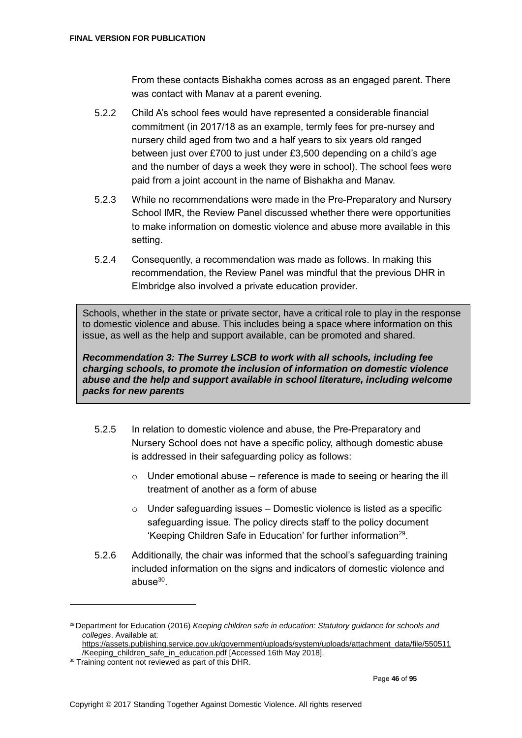From these contacts Bishakha comes across as an engaged parent. There was contact with Manav at a parent evening.

- 5.2.2 Child A's school fees would have represented a considerable financial commitment (in 2017/18 as an example, termly fees for pre-nursey and nursery child aged from two and a half years to six years old ranged between just over £700 to just under £3,500 depending on a child's age and the number of days a week they were in school). The school fees were paid from a joint account in the name of Bishakha and Manav.
- 5.2.3 While no recommendations were made in the Pre-Preparatory and Nursery School IMR, the Review Panel discussed whether there were opportunities to make information on domestic violence and abuse more available in this setting.
- 5.2.4 Consequently, a recommendation was made as follows. In making this recommendation, the Review Panel was mindful that the previous DHR in Elmbridge also involved a private education provider.

Schools, whether in the state or private sector, have a critical role to play in the response to domestic violence and abuse. This includes being a space where information on this issue, as well as the help and support available, can be promoted and shared.

*Recommendation 3: The Surrey LSCB to work with all schools, including fee charging schools, to promote the inclusion of information on domestic violence abuse and the help and support available in school literature, including welcome packs for new parents*

- 5.2.5 In relation to domestic violence and abuse, the Pre-Preparatory and Nursery School does not have a specific policy, although domestic abuse is addressed in their safeguarding policy as follows:
	- $\circ$  Under emotional abuse reference is made to seeing or hearing the ill treatment of another as a form of abuse
	- $\circ$  Under safeguarding issues Domestic violence is listed as a specific safeguarding issue. The policy directs staff to the policy document 'Keeping Children Safe in Education' for further information<sup>29</sup>.
- 5.2.6 Additionally, the chair was informed that the school's safeguarding training included information on the signs and indicators of domestic violence and abuse $30$ .

<sup>29</sup> Department for Education (2016) *Keeping children safe in education: Statutory guidance for schools and colleges*. Available at:

[https://assets.publishing.service.gov.uk/government/uploads/system/uploads/attachment\\_data/file/550511](https://assets.publishing.service.gov.uk/government/uploads/system/uploads/attachment_data/file/550511/Keeping_children_safe_in_education.pdf) [/Keeping\\_children\\_safe\\_in\\_education.pdf](https://assets.publishing.service.gov.uk/government/uploads/system/uploads/attachment_data/file/550511/Keeping_children_safe_in_education.pdf) [Accessed 16th May 2018].

<sup>&</sup>lt;sup>30</sup> Training content not reviewed as part of this DHR.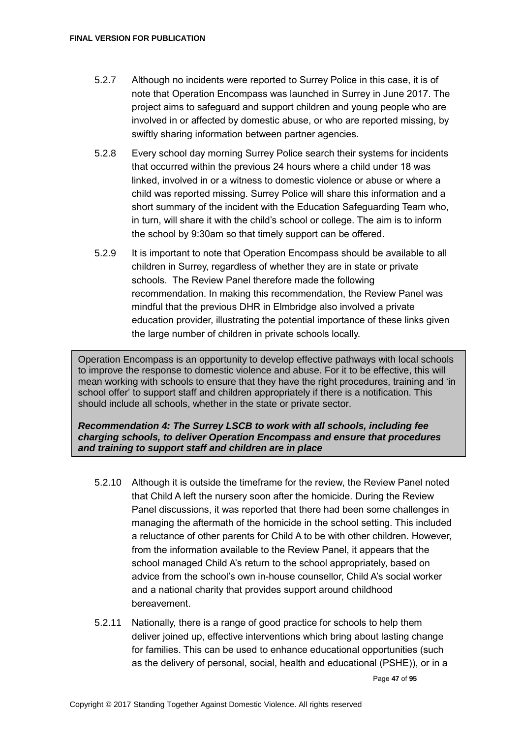- 5.2.7 Although no incidents were reported to Surrey Police in this case, it is of note that Operation Encompass was launched in Surrey in June 2017. The project aims to safeguard and support children and young people who are involved in or affected by domestic abuse, or who are reported missing, by swiftly sharing information between partner agencies.
- 5.2.8 Every school day morning Surrey Police search their systems for incidents that occurred within the previous 24 hours where a child under 18 was linked, involved in or a witness to domestic violence or abuse or where a child was reported missing. Surrey Police will share this information and a short summary of the incident with the Education Safeguarding Team who, in turn, will share it with the child's school or college. The aim is to inform the school by 9:30am so that timely support can be offered.
- 5.2.9 It is important to note that Operation Encompass should be available to all children in Surrey, regardless of whether they are in state or private schools. The Review Panel therefore made the following recommendation. In making this recommendation, the Review Panel was mindful that the previous DHR in Elmbridge also involved a private education provider, illustrating the potential importance of these links given the large number of children in private schools locally.

Operation Encompass is an opportunity to develop effective pathways with local schools to improve the response to domestic violence and abuse. For it to be effective, this will mean working with schools to ensure that they have the right procedures, training and 'in school offer' to support staff and children appropriately if there is a notification. This should include all schools, whether in the state or private sector.

*Recommendation 4: The Surrey LSCB to work with all schools, including fee charging schools, to deliver Operation Encompass and ensure that procedures and training to support staff and children are in place*

- 5.2.10 Although it is outside the timeframe for the review, the Review Panel noted that Child A left the nursery soon after the homicide. During the Review Panel discussions, it was reported that there had been some challenges in managing the aftermath of the homicide in the school setting. This included a reluctance of other parents for Child A to be with other children. However, from the information available to the Review Panel, it appears that the school managed Child A's return to the school appropriately, based on advice from the school's own in-house counsellor, Child A's social worker and a national charity that provides support around childhood bereavement.
- 5.2.11 Nationally, there is a range of good practice for schools to help them deliver joined up, effective interventions which bring about lasting change for families. This can be used to enhance educational opportunities (such as the delivery of personal, social, health and educational (PSHE)), or in a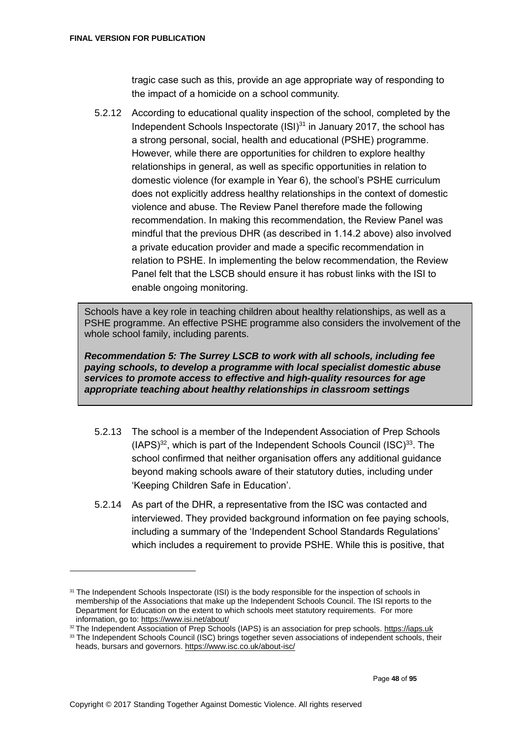tragic case such as this, provide an age appropriate way of responding to the impact of a homicide on a school community.

5.2.12 According to educational quality inspection of the school, completed by the Independent Schools Inspectorate (ISI)<sup>31</sup> in January 2017, the school has a strong personal, social, health and educational (PSHE) programme. However, while there are opportunities for children to explore healthy relationships in general, as well as specific opportunities in relation to domestic violence (for example in Year 6), the school's PSHE curriculum does not explicitly address healthy relationships in the context of domestic violence and abuse. The Review Panel therefore made the following recommendation. In making this recommendation, the Review Panel was mindful that the previous DHR (as described in 1.14.2 above) also involved a private education provider and made a specific recommendation in relation to PSHE. In implementing the below recommendation, the Review Panel felt that the LSCB should ensure it has robust links with the ISI to enable ongoing monitoring.

Schools have a key role in teaching children about healthy relationships, as well as a PSHE programme. An effective PSHE programme also considers the involvement of the whole school family, including parents.

*Recommendation 5: The Surrey LSCB to work with all schools, including fee paying schools, to develop a programme with local specialist domestic abuse services to promote access to effective and high-quality resources for age appropriate teaching about healthy relationships in classroom settings*

- 5.2.13 The school is a member of the Independent Association of Prep Schools  $(IAPS)^{32}$ , which is part of the Independent Schools Council  $(ISC)^{33}$ . The school confirmed that neither organisation offers any additional guidance beyond making schools aware of their statutory duties, including under 'Keeping Children Safe in Education'.
- 5.2.14 As part of the DHR, a representative from the ISC was contacted and interviewed. They provided background information on fee paying schools, including a summary of the 'Independent School Standards Regulations' which includes a requirement to provide PSHE. While this is positive, that

<sup>32</sup> The Independent Association of Prep Schools (IAPS) is an association for prep schools. [https://iaps.uk](https://iaps.uk/)

<sup>&</sup>lt;sup>31</sup> The Independent Schools Inspectorate (ISI) is the body responsible for the inspection of schools in membership of the Associations that make up the Independent Schools Council. The ISI reports to the Department for Education on the extent to which schools meet statutory requirements. For more information, go to:<https://www.isi.net/about/>

<sup>33</sup> The Independent Schools Council (ISC) brings together seven associations of independent schools, their heads, bursars and governors.<https://www.isc.co.uk/about-isc/>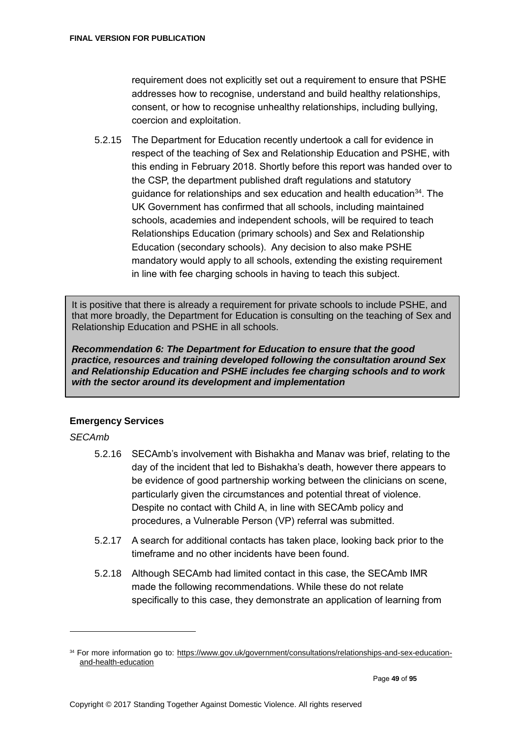requirement does not explicitly set out a requirement to ensure that PSHE addresses how to recognise, understand and build healthy relationships, consent, or how to recognise unhealthy relationships, including bullying, coercion and exploitation.

5.2.15 The Department for Education recently undertook a call for evidence in respect of the teaching of Sex and Relationship Education and PSHE, with this ending in February 2018. Shortly before this report was handed over to the CSP, the department published draft regulations and statutory guidance for relationships and sex education and health education<sup>34</sup>. The UK Government has confirmed that all schools, including maintained schools, academies and independent schools, will be required to teach Relationships Education (primary schools) and Sex and Relationship Education (secondary schools). Any decision to also make PSHE mandatory would apply to all schools, extending the existing requirement in line with fee charging schools in having to teach this subject.

It is positive that there is already a requirement for private schools to include PSHE, and that more broadly, the Department for Education is consulting on the teaching of Sex and Relationship Education and PSHE in all schools.

*Recommendation 6: The Department for Education to ensure that the good practice, resources and training developed following the consultation around Sex and Relationship Education and PSHE includes fee charging schools and to work with the sector around its development and implementation*

## **Emergency Services**

## *SECAmb*

- 5.2.16 SECAmb's involvement with Bishakha and Manav was brief, relating to the day of the incident that led to Bishakha's death, however there appears to be evidence of good partnership working between the clinicians on scene, particularly given the circumstances and potential threat of violence. Despite no contact with Child A, in line with SECAmb policy and procedures, a Vulnerable Person (VP) referral was submitted.
- 5.2.17 A search for additional contacts has taken place, looking back prior to the timeframe and no other incidents have been found.
- 5.2.18 Although SECAmb had limited contact in this case, the SECAmb IMR made the following recommendations. While these do not relate specifically to this case, they demonstrate an application of learning from

<sup>34</sup> For more information go to: [https://www.gov.uk/government/consultations/relationships-and-sex-education](https://www.gov.uk/government/consultations/relationships-and-sex-education-and-health-education)[and-health-education](https://www.gov.uk/government/consultations/relationships-and-sex-education-and-health-education)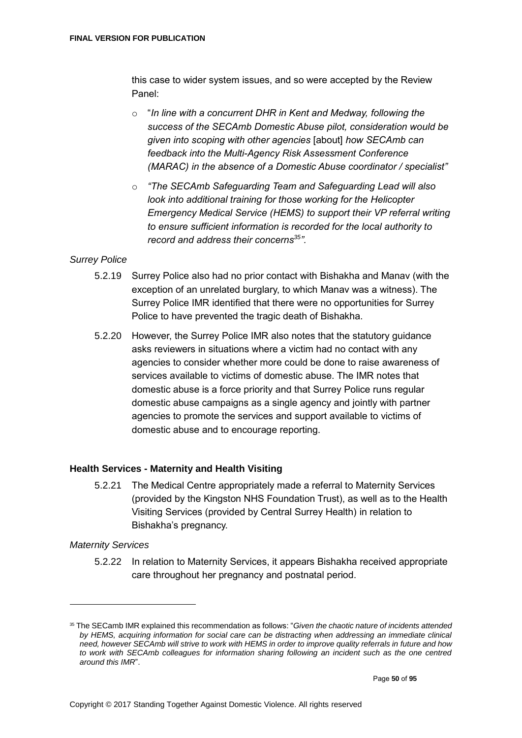this case to wider system issues, and so were accepted by the Review Panel:

- o "*In line with a concurrent DHR in Kent and Medway, following the success of the SECAmb Domestic Abuse pilot, consideration would be given into scoping with other agencies* [about] *how SECAmb can feedback into the Multi-Agency Risk Assessment Conference (MARAC) in the absence of a Domestic Abuse coordinator / specialist"*
- o *"The SECAmb Safeguarding Team and Safeguarding Lead will also look into additional training for those working for the Helicopter Emergency Medical Service (HEMS) to support their VP referral writing to ensure sufficient information is recorded for the local authority to record and address their concerns<sup>35</sup>".*

#### *Surrey Police*

- 5.2.19 Surrey Police also had no prior contact with Bishakha and Manav (with the exception of an unrelated burglary, to which Manav was a witness). The Surrey Police IMR identified that there were no opportunities for Surrey Police to have prevented the tragic death of Bishakha.
- 5.2.20 However, the Surrey Police IMR also notes that the statutory guidance asks reviewers in situations where a victim had no contact with any agencies to consider whether more could be done to raise awareness of services available to victims of domestic abuse. The IMR notes that domestic abuse is a force priority and that Surrey Police runs regular domestic abuse campaigns as a single agency and jointly with partner agencies to promote the services and support available to victims of domestic abuse and to encourage reporting.

#### **Health Services - Maternity and Health Visiting**

5.2.21 The Medical Centre appropriately made a referral to Maternity Services (provided by the Kingston NHS Foundation Trust), as well as to the Health Visiting Services (provided by Central Surrey Health) in relation to Bishakha's pregnancy.

#### *Maternity Services*

 $\overline{a}$ 

5.2.22 In relation to Maternity Services, it appears Bishakha received appropriate care throughout her pregnancy and postnatal period.

<sup>35</sup> The SECamb IMR explained this recommendation as follows: "*Given the chaotic nature of incidents attended by HEMS, acquiring information for social care can be distracting when addressing an immediate clinical need, however SECAmb will strive to work with HEMS in order to improve quality referrals in future and how*  to work with SECAmb colleagues for information sharing following an incident such as the one centred *around this IMR*".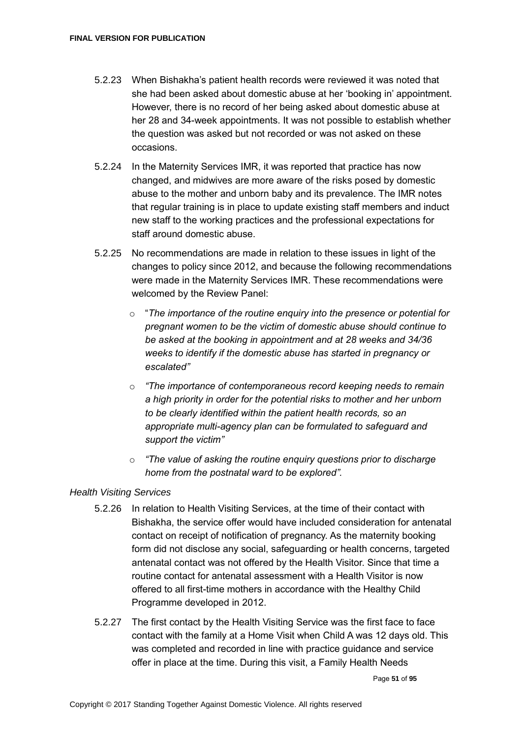- 5.2.23 When Bishakha's patient health records were reviewed it was noted that she had been asked about domestic abuse at her 'booking in' appointment. However, there is no record of her being asked about domestic abuse at her 28 and 34-week appointments. It was not possible to establish whether the question was asked but not recorded or was not asked on these occasions.
- 5.2.24 In the Maternity Services IMR, it was reported that practice has now changed, and midwives are more aware of the risks posed by domestic abuse to the mother and unborn baby and its prevalence. The IMR notes that regular training is in place to update existing staff members and induct new staff to the working practices and the professional expectations for staff around domestic abuse.
- 5.2.25 No recommendations are made in relation to these issues in light of the changes to policy since 2012, and because the following recommendations were made in the Maternity Services IMR. These recommendations were welcomed by the Review Panel:
	- o "*The importance of the routine enquiry into the presence or potential for pregnant women to be the victim of domestic abuse should continue to be asked at the booking in appointment and at 28 weeks and 34/36 weeks to identify if the domestic abuse has started in pregnancy or escalated"*
	- o *"The importance of contemporaneous record keeping needs to remain a high priority in order for the potential risks to mother and her unborn to be clearly identified within the patient health records, so an appropriate multi-agency plan can be formulated to safeguard and support the victim"*
	- o *"The value of asking the routine enquiry questions prior to discharge home from the postnatal ward to be explored".*

## *Health Visiting Services*

- 5.2.26 In relation to Health Visiting Services, at the time of their contact with Bishakha, the service offer would have included consideration for antenatal contact on receipt of notification of pregnancy. As the maternity booking form did not disclose any social, safeguarding or health concerns, targeted antenatal contact was not offered by the Health Visitor. Since that time a routine contact for antenatal assessment with a Health Visitor is now offered to all first-time mothers in accordance with the Healthy Child Programme developed in 2012.
- 5.2.27 The first contact by the Health Visiting Service was the first face to face contact with the family at a Home Visit when Child A was 12 days old. This was completed and recorded in line with practice guidance and service offer in place at the time. During this visit, a Family Health Needs

Page **51** of **95**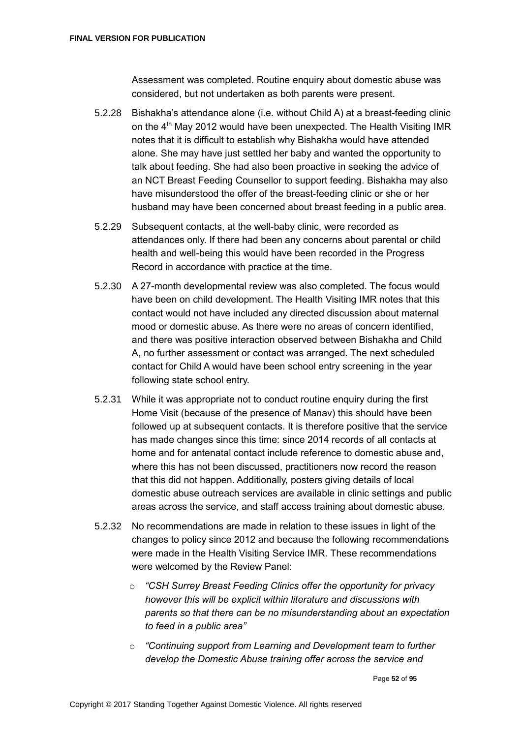Assessment was completed. Routine enquiry about domestic abuse was considered, but not undertaken as both parents were present.

- 5.2.28 Bishakha's attendance alone (i.e. without Child A) at a breast-feeding clinic on the 4<sup>th</sup> May 2012 would have been unexpected. The Health Visiting IMR notes that it is difficult to establish why Bishakha would have attended alone. She may have just settled her baby and wanted the opportunity to talk about feeding. She had also been proactive in seeking the advice of an NCT Breast Feeding Counsellor to support feeding. Bishakha may also have misunderstood the offer of the breast-feeding clinic or she or her husband may have been concerned about breast feeding in a public area.
- 5.2.29 Subsequent contacts, at the well-baby clinic, were recorded as attendances only. If there had been any concerns about parental or child health and well-being this would have been recorded in the Progress Record in accordance with practice at the time.
- 5.2.30 A 27-month developmental review was also completed. The focus would have been on child development. The Health Visiting IMR notes that this contact would not have included any directed discussion about maternal mood or domestic abuse. As there were no areas of concern identified, and there was positive interaction observed between Bishakha and Child A, no further assessment or contact was arranged. The next scheduled contact for Child A would have been school entry screening in the year following state school entry.
- 5.2.31 While it was appropriate not to conduct routine enquiry during the first Home Visit (because of the presence of Manav) this should have been followed up at subsequent contacts. It is therefore positive that the service has made changes since this time: since 2014 records of all contacts at home and for antenatal contact include reference to domestic abuse and, where this has not been discussed, practitioners now record the reason that this did not happen. Additionally, posters giving details of local domestic abuse outreach services are available in clinic settings and public areas across the service, and staff access training about domestic abuse.
- 5.2.32 No recommendations are made in relation to these issues in light of the changes to policy since 2012 and because the following recommendations were made in the Health Visiting Service IMR. These recommendations were welcomed by the Review Panel:
	- o *"CSH Surrey Breast Feeding Clinics offer the opportunity for privacy however this will be explicit within literature and discussions with parents so that there can be no misunderstanding about an expectation to feed in a public area"*
	- o *"Continuing support from Learning and Development team to further develop the Domestic Abuse training offer across the service and*

Page **52** of **95**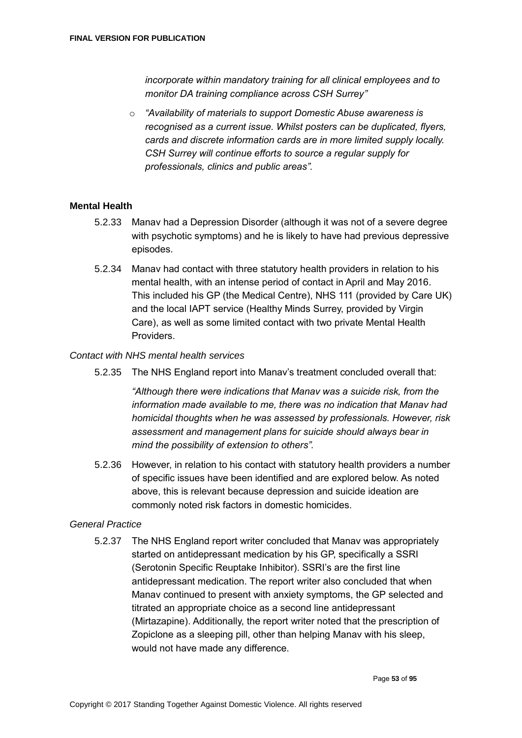*incorporate within mandatory training for all clinical employees and to monitor DA training compliance across CSH Surrey"*

o *"Availability of materials to support Domestic Abuse awareness is recognised as a current issue. Whilst posters can be duplicated, flyers, cards and discrete information cards are in more limited supply locally. CSH Surrey will continue efforts to source a regular supply for professionals, clinics and public areas".*

#### **Mental Health**

- 5.2.33 Manav had a Depression Disorder (although it was not of a severe degree with psychotic symptoms) and he is likely to have had previous depressive episodes.
- 5.2.34 Manav had contact with three statutory health providers in relation to his mental health, with an intense period of contact in April and May 2016. This included his GP (the Medical Centre), NHS 111 (provided by Care UK) and the local IAPT service (Healthy Minds Surrey, provided by Virgin Care), as well as some limited contact with two private Mental Health Providers.

#### *Contact with NHS mental health services*

5.2.35 The NHS England report into Manav's treatment concluded overall that:

*"Although there were indications that Manav was a suicide risk, from the information made available to me, there was no indication that Manav had homicidal thoughts when he was assessed by professionals. However, risk assessment and management plans for suicide should always bear in mind the possibility of extension to others".* 

5.2.36 However, in relation to his contact with statutory health providers a number of specific issues have been identified and are explored below. As noted above, this is relevant because depression and suicide ideation are commonly noted risk factors in domestic homicides.

#### *General Practice*

5.2.37 The NHS England report writer concluded that Manav was appropriately started on antidepressant medication by his GP, specifically a SSRI (Serotonin Specific Reuptake Inhibitor). SSRI's are the first line antidepressant medication. The report writer also concluded that when Manav continued to present with anxiety symptoms, the GP selected and titrated an appropriate choice as a second line antidepressant (Mirtazapine). Additionally, the report writer noted that the prescription of Zopiclone as a sleeping pill, other than helping Manav with his sleep, would not have made any difference.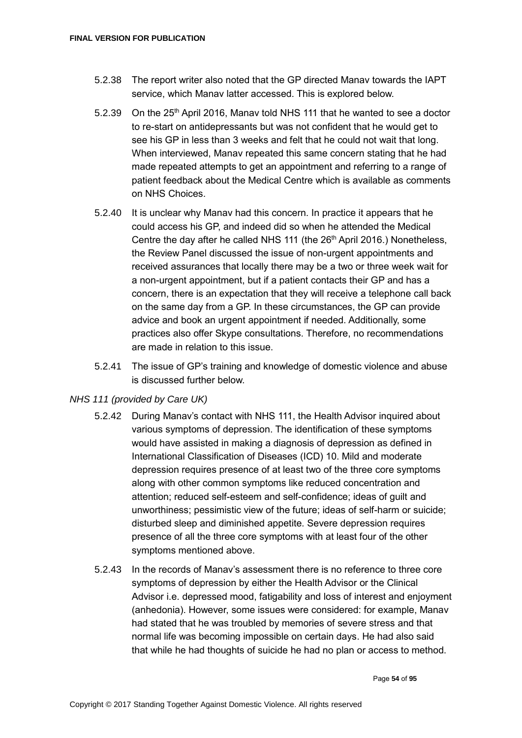- 5.2.38 The report writer also noted that the GP directed Manav towards the IAPT service, which Manav latter accessed. This is explored below.
- 5.2.39 On the 25<sup>th</sup> April 2016, Manav told NHS 111 that he wanted to see a doctor to re-start on antidepressants but was not confident that he would get to see his GP in less than 3 weeks and felt that he could not wait that long. When interviewed, Manav repeated this same concern stating that he had made repeated attempts to get an appointment and referring to a range of patient feedback about the Medical Centre which is available as comments on NHS Choices.
- 5.2.40 It is unclear why Manav had this concern. In practice it appears that he could access his GP, and indeed did so when he attended the Medical Centre the day after he called NHS 111 (the 26<sup>th</sup> April 2016.) Nonetheless, the Review Panel discussed the issue of non-urgent appointments and received assurances that locally there may be a two or three week wait for a non-urgent appointment, but if a patient contacts their GP and has a concern, there is an expectation that they will receive a telephone call back on the same day from a GP. In these circumstances, the GP can provide advice and book an urgent appointment if needed. Additionally, some practices also offer Skype consultations. Therefore, no recommendations are made in relation to this issue.
- 5.2.41 The issue of GP's training and knowledge of domestic violence and abuse is discussed further below.

#### *NHS 111 (provided by Care UK)*

- 5.2.42 During Manav's contact with NHS 111, the Health Advisor inquired about various symptoms of depression. The identification of these symptoms would have assisted in making a diagnosis of depression as defined in International Classification of Diseases (ICD) 10. Mild and moderate depression requires presence of at least two of the three core symptoms along with other common symptoms like reduced concentration and attention; reduced self-esteem and self-confidence; ideas of guilt and unworthiness; pessimistic view of the future; ideas of self-harm or suicide; disturbed sleep and diminished appetite. Severe depression requires presence of all the three core symptoms with at least four of the other symptoms mentioned above.
- 5.2.43 In the records of Manav's assessment there is no reference to three core symptoms of depression by either the Health Advisor or the Clinical Advisor i.e. depressed mood, fatigability and loss of interest and enjoyment (anhedonia). However, some issues were considered: for example, Manav had stated that he was troubled by memories of severe stress and that normal life was becoming impossible on certain days. He had also said that while he had thoughts of suicide he had no plan or access to method.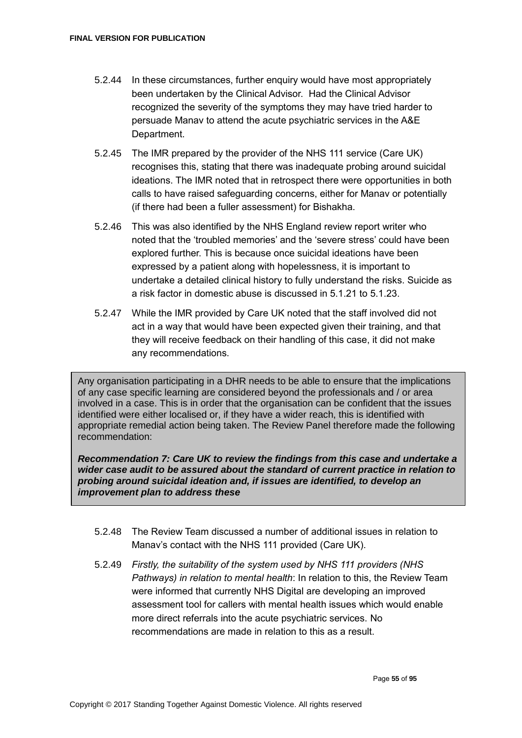- 5.2.44 In these circumstances, further enquiry would have most appropriately been undertaken by the Clinical Advisor. Had the Clinical Advisor recognized the severity of the symptoms they may have tried harder to persuade Manav to attend the acute psychiatric services in the A&E Department.
- 5.2.45 The IMR prepared by the provider of the NHS 111 service (Care UK) recognises this, stating that there was inadequate probing around suicidal ideations. The IMR noted that in retrospect there were opportunities in both calls to have raised safeguarding concerns, either for Manav or potentially (if there had been a fuller assessment) for Bishakha.
- 5.2.46 This was also identified by the NHS England review report writer who noted that the 'troubled memories' and the 'severe stress' could have been explored further. This is because once suicidal ideations have been expressed by a patient along with hopelessness, it is important to undertake a detailed clinical history to fully understand the risks. Suicide as a risk factor in domestic abuse is discussed in 5.1.21 to 5.1.23.
- 5.2.47 While the IMR provided by Care UK noted that the staff involved did not act in a way that would have been expected given their training, and that they will receive feedback on their handling of this case, it did not make any recommendations.

Any organisation participating in a DHR needs to be able to ensure that the implications of any case specific learning are considered beyond the professionals and / or area involved in a case. This is in order that the organisation can be confident that the issues identified were either localised or, if they have a wider reach, this is identified with appropriate remedial action being taken. The Review Panel therefore made the following recommendation:

*Recommendation 7: Care UK to review the findings from this case and undertake a wider case audit to be assured about the standard of current practice in relation to probing around suicidal ideation and, if issues are identified, to develop an improvement plan to address these* 

- 5.2.48 The Review Team discussed a number of additional issues in relation to Manav's contact with the NHS 111 provided (Care UK).
- 5.2.49 *Firstly, the suitability of the system used by NHS 111 providers (NHS Pathways) in relation to mental health*: In relation to this, the Review Team were informed that currently NHS Digital are developing an improved assessment tool for callers with mental health issues which would enable more direct referrals into the acute psychiatric services. No recommendations are made in relation to this as a result.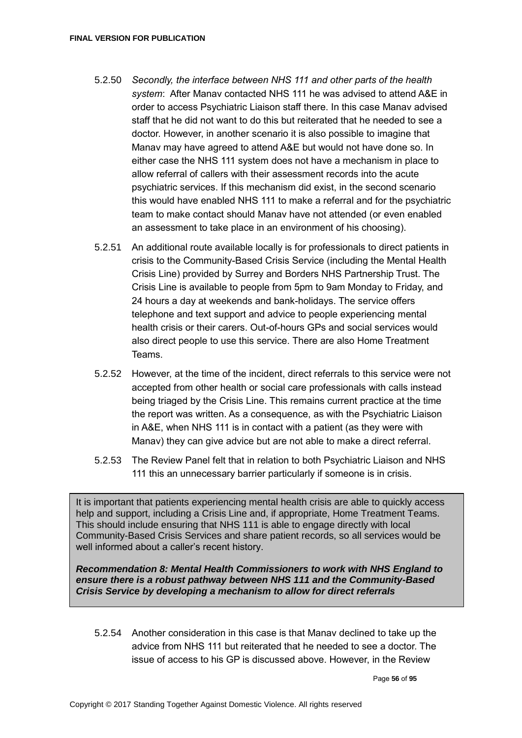- 5.2.50 *Secondly, the interface between NHS 111 and other parts of the health system*: After Manav contacted NHS 111 he was advised to attend A&E in order to access Psychiatric Liaison staff there. In this case Manav advised staff that he did not want to do this but reiterated that he needed to see a doctor. However, in another scenario it is also possible to imagine that Manav may have agreed to attend A&E but would not have done so. In either case the NHS 111 system does not have a mechanism in place to allow referral of callers with their assessment records into the acute psychiatric services. If this mechanism did exist, in the second scenario this would have enabled NHS 111 to make a referral and for the psychiatric team to make contact should Manav have not attended (or even enabled an assessment to take place in an environment of his choosing).
- 5.2.51 An additional route available locally is for professionals to direct patients in crisis to the Community-Based Crisis Service (including the Mental Health Crisis Line) provided by Surrey and Borders NHS Partnership Trust. The Crisis Line is available to people from 5pm to 9am Monday to Friday, and 24 hours a day at weekends and bank-holidays. The service offers telephone and text support and advice to people experiencing mental health crisis or their carers. Out-of-hours GPs and social services would also direct people to use this service. There are also Home Treatment Teams.
- 5.2.52 However, at the time of the incident, direct referrals to this service were not accepted from other health or social care professionals with calls instead being triaged by the Crisis Line. This remains current practice at the time the report was written. As a consequence, as with the Psychiatric Liaison in A&E, when NHS 111 is in contact with a patient (as they were with Manav) they can give advice but are not able to make a direct referral.
- 5.2.53 The Review Panel felt that in relation to both Psychiatric Liaison and NHS 111 this an unnecessary barrier particularly if someone is in crisis.

It is important that patients experiencing mental health crisis are able to quickly access help and support, including a Crisis Line and, if appropriate, Home Treatment Teams. This should include ensuring that NHS 111 is able to engage directly with local Community-Based Crisis Services and share patient records, so all services would be well informed about a caller's recent history.

*Recommendation 8: Mental Health Commissioners to work with NHS England to ensure there is a robust pathway between NHS 111 and the Community-Based Crisis Service by developing a mechanism to allow for direct referrals*

5.2.54 Another consideration in this case is that Manav declined to take up the advice from NHS 111 but reiterated that he needed to see a doctor. The issue of access to his GP is discussed above. However, in the Review

Page **56** of **95**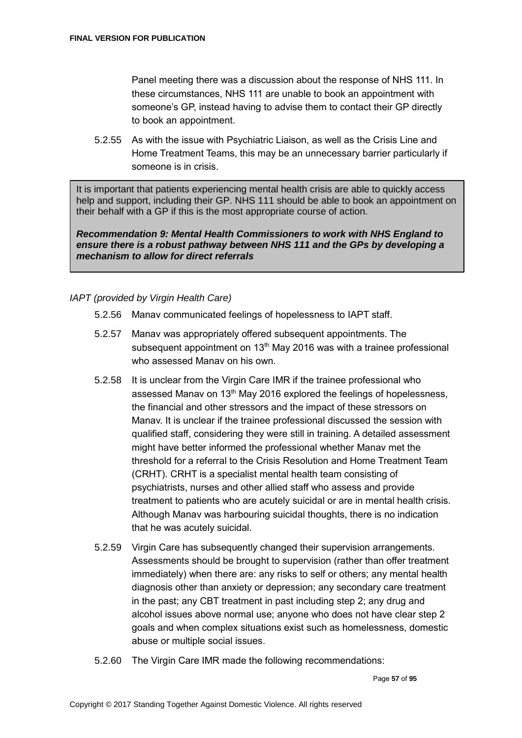Panel meeting there was a discussion about the response of NHS 111. In these circumstances, NHS 111 are unable to book an appointment with someone's GP, instead having to advise them to contact their GP directly to book an appointment.

5.2.55 As with the issue with Psychiatric Liaison, as well as the Crisis Line and Home Treatment Teams, this may be an unnecessary barrier particularly if someone is in crisis.

It is important that patients experiencing mental health crisis are able to quickly access help and support, including their GP. NHS 111 should be able to book an appointment on their behalf with a GP if this is the most appropriate course of action.

*Recommendation 9: Mental Health Commissioners to work with NHS England to ensure there is a robust pathway between NHS 111 and the GPs by developing a mechanism to allow for direct referrals*

## *IAPT (provided by Virgin Health Care)*

- 5.2.56 Manav communicated feelings of hopelessness to IAPT staff.
- 5.2.57 Manav was appropriately offered subsequent appointments. The subsequent appointment on  $13<sup>th</sup>$  May 2016 was with a trainee professional who assessed Manav on his own.
- 5.2.58 It is unclear from the Virgin Care IMR if the trainee professional who assessed Manav on 13<sup>th</sup> May 2016 explored the feelings of hopelessness, the financial and other stressors and the impact of these stressors on Manav. It is unclear if the trainee professional discussed the session with qualified staff, considering they were still in training. A detailed assessment might have better informed the professional whether Manav met the threshold for a referral to the Crisis Resolution and Home Treatment Team (CRHT). CRHT is a specialist mental health team consisting of psychiatrists, nurses and other allied staff who assess and provide treatment to patients who are acutely suicidal or are in mental health crisis. Although Manav was harbouring suicidal thoughts, there is no indication that he was acutely suicidal.
- 5.2.59 Virgin Care has subsequently changed their supervision arrangements. Assessments should be brought to supervision (rather than offer treatment immediately) when there are: any risks to self or others; any mental health diagnosis other than anxiety or depression; any secondary care treatment in the past; any CBT treatment in past including step 2; any drug and alcohol issues above normal use; anyone who does not have clear step 2 goals and when complex situations exist such as homelessness, domestic abuse or multiple social issues.
- 5.2.60 The Virgin Care IMR made the following recommendations: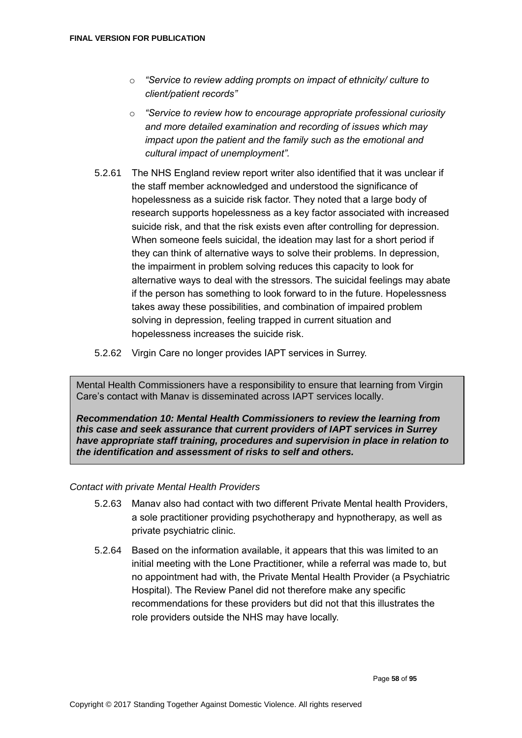- o *"Service to review adding prompts on impact of ethnicity/ culture to client/patient records"*
- o *"Service to review how to encourage appropriate professional curiosity and more detailed examination and recording of issues which may impact upon the patient and the family such as the emotional and cultural impact of unemployment".*
- 5.2.61 The NHS England review report writer also identified that it was unclear if the staff member acknowledged and understood the significance of hopelessness as a suicide risk factor. They noted that a large body of research supports hopelessness as a key factor associated with increased suicide risk, and that the risk exists even after controlling for depression. When someone feels suicidal, the ideation may last for a short period if they can think of alternative ways to solve their problems. In depression, the impairment in problem solving reduces this capacity to look for alternative ways to deal with the stressors. The suicidal feelings may abate if the person has something to look forward to in the future. Hopelessness takes away these possibilities, and combination of impaired problem solving in depression, feeling trapped in current situation and hopelessness increases the suicide risk.
- 5.2.62 Virgin Care no longer provides IAPT services in Surrey.

Mental Health Commissioners have a responsibility to ensure that learning from Virgin Care's contact with Manav is disseminated across IAPT services locally.

*Recommendation 10: Mental Health Commissioners to review the learning from this case and seek assurance that current providers of IAPT services in Surrey have appropriate staff training, procedures and supervision in place in relation to the identification and assessment of risks to self and others.* 

#### *Contact with private Mental Health Providers*

- 5.2.63 Manav also had contact with two different Private Mental health Providers, a sole practitioner providing psychotherapy and hypnotherapy, as well as private psychiatric clinic.
- 5.2.64 Based on the information available, it appears that this was limited to an initial meeting with the Lone Practitioner, while a referral was made to, but no appointment had with, the Private Mental Health Provider (a Psychiatric Hospital). The Review Panel did not therefore make any specific recommendations for these providers but did not that this illustrates the role providers outside the NHS may have locally.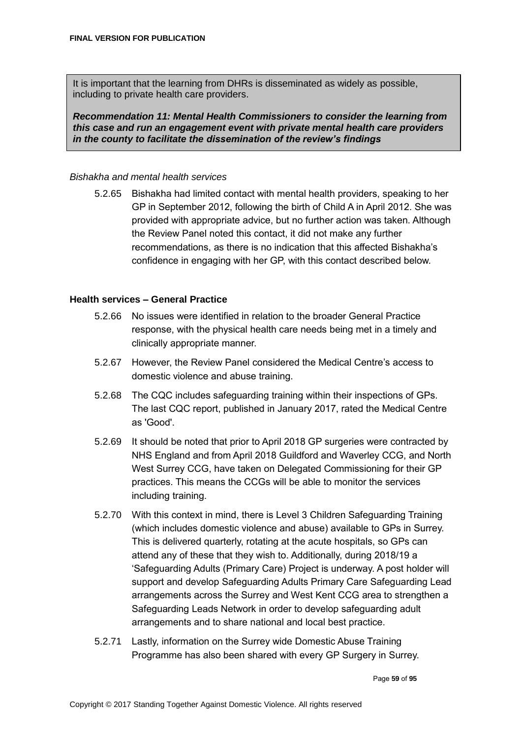It is important that the learning from DHRs is disseminated as widely as possible, including to private health care providers.

*Recommendation 11: Mental Health Commissioners to consider the learning from this case and run an engagement event with private mental health care providers in the county to facilitate the dissemination of the review's findings*

#### *Bishakha and mental health services*

5.2.65 Bishakha had limited contact with mental health providers, speaking to her GP in September 2012, following the birth of Child A in April 2012. She was provided with appropriate advice, but no further action was taken. Although the Review Panel noted this contact, it did not make any further recommendations, as there is no indication that this affected Bishakha's confidence in engaging with her GP, with this contact described below.

#### **Health services – General Practice**

- 5.2.66 No issues were identified in relation to the broader General Practice response, with the physical health care needs being met in a timely and clinically appropriate manner.
- 5.2.67 However, the Review Panel considered the Medical Centre's access to domestic violence and abuse training.
- 5.2.68 The CQC includes safeguarding training within their inspections of GPs. The last CQC report, published in January 2017, rated the Medical Centre as 'Good'.
- 5.2.69 It should be noted that prior to April 2018 GP surgeries were contracted by NHS England and from April 2018 Guildford and Waverley CCG, and North West Surrey CCG, have taken on Delegated Commissioning for their GP practices. This means the CCGs will be able to monitor the services including training.
- 5.2.70 With this context in mind, there is Level 3 Children Safeguarding Training (which includes domestic violence and abuse) available to GPs in Surrey. This is delivered quarterly, rotating at the acute hospitals, so GPs can attend any of these that they wish to. Additionally, during 2018/19 a 'Safeguarding Adults (Primary Care) Project is underway. A post holder will support and develop Safeguarding Adults Primary Care Safeguarding Lead arrangements across the Surrey and West Kent CCG area to strengthen a Safeguarding Leads Network in order to develop safeguarding adult arrangements and to share national and local best practice.
- 5.2.71 Lastly, information on the Surrey wide Domestic Abuse Training Programme has also been shared with every GP Surgery in Surrey.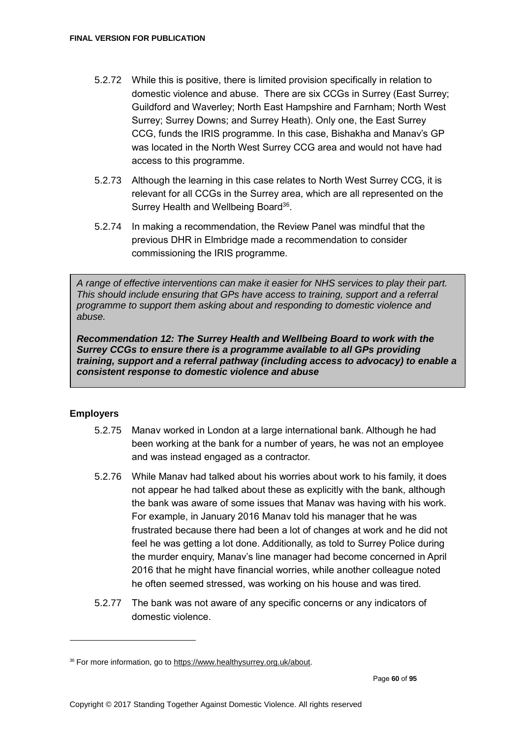- 5.2.72 While this is positive, there is limited provision specifically in relation to domestic violence and abuse. There are six CCGs in Surrey (East Surrey; Guildford and Waverley; North East Hampshire and Farnham; North West Surrey; Surrey Downs; and Surrey Heath). Only one, the East Surrey CCG, funds the IRIS programme. In this case, Bishakha and Manav's GP was located in the North West Surrey CCG area and would not have had access to this programme.
- 5.2.73 Although the learning in this case relates to North West Surrey CCG, it is relevant for all CCGs in the Surrey area, which are all represented on the Surrey Health and Wellbeing Board<sup>36</sup>.
- 5.2.74 In making a recommendation, the Review Panel was mindful that the previous DHR in Elmbridge made a recommendation to consider commissioning the IRIS programme.

*A range of effective interventions can make it easier for NHS services to play their part. This should include ensuring that GPs have access to training, support and a referral programme to support them asking about and responding to domestic violence and abuse.* 

*Recommendation 12: The Surrey Health and Wellbeing Board to work with the Surrey CCGs to ensure there is a programme available to all GPs providing training, support and a referral pathway (including access to advocacy) to enable a consistent response to domestic violence and abuse*

## **Employers**

- 5.2.75 Manav worked in London at a large international bank. Although he had been working at the bank for a number of years, he was not an employee and was instead engaged as a contractor.
- 5.2.76 While Manav had talked about his worries about work to his family, it does not appear he had talked about these as explicitly with the bank, although the bank was aware of some issues that Manav was having with his work. For example, in January 2016 Manav told his manager that he was frustrated because there had been a lot of changes at work and he did not feel he was getting a lot done. Additionally, as told to Surrey Police during the murder enquiry, Manav's line manager had become concerned in April 2016 that he might have financial worries, while another colleague noted he often seemed stressed, was working on his house and was tired.
- 5.2.77 The bank was not aware of any specific concerns or any indicators of domestic violence.

<sup>36</sup> For more information, go to [https://www.healthysurrey.org.uk/about.](https://www.healthysurrey.org.uk/about)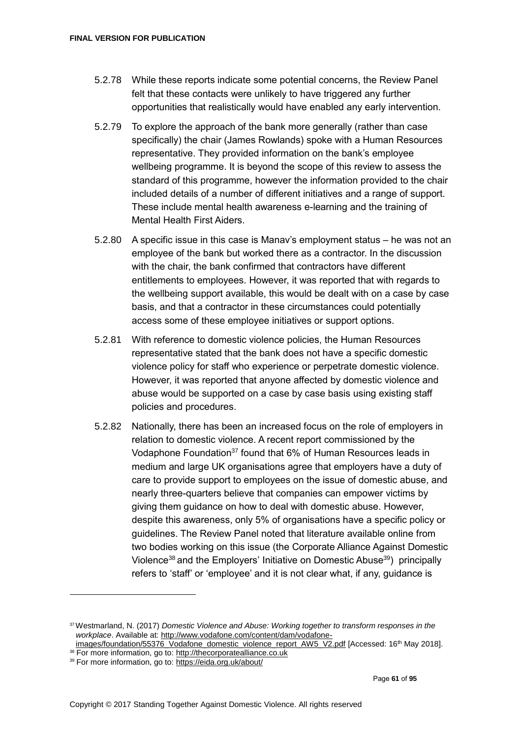- 5.2.78 While these reports indicate some potential concerns, the Review Panel felt that these contacts were unlikely to have triggered any further opportunities that realistically would have enabled any early intervention.
- 5.2.79 To explore the approach of the bank more generally (rather than case specifically) the chair (James Rowlands) spoke with a Human Resources representative. They provided information on the bank's employee wellbeing programme. It is beyond the scope of this review to assess the standard of this programme, however the information provided to the chair included details of a number of different initiatives and a range of support. These include mental health awareness e-learning and the training of Mental Health First Aiders.
- 5.2.80 A specific issue in this case is Manav's employment status he was not an employee of the bank but worked there as a contractor. In the discussion with the chair, the bank confirmed that contractors have different entitlements to employees. However, it was reported that with regards to the wellbeing support available, this would be dealt with on a case by case basis, and that a contractor in these circumstances could potentially access some of these employee initiatives or support options.
- 5.2.81 With reference to domestic violence policies, the Human Resources representative stated that the bank does not have a specific domestic violence policy for staff who experience or perpetrate domestic violence. However, it was reported that anyone affected by domestic violence and abuse would be supported on a case by case basis using existing staff policies and procedures.
- 5.2.82 Nationally, there has been an increased focus on the role of employers in relation to domestic violence. A recent report commissioned by the Vodaphone Foundation<sup>37</sup> found that 6% of Human Resources leads in medium and large UK organisations agree that employers have a duty of care to provide support to employees on the issue of domestic abuse, and nearly three-quarters believe that companies can empower victims by giving them guidance on how to deal with domestic abuse. However, despite this awareness, only 5% of organisations have a specific policy or guidelines. The Review Panel noted that literature available online from two bodies working on this issue (the Corporate Alliance Against Domestic Violence<sup>38</sup> and the Employers' Initiative on Domestic Abuse<sup>39</sup>) principally refers to 'staff' or 'employee' and it is not clear what, if any, guidance is

<sup>37</sup>Westmarland, N. (2017) *Domestic Violence and Abuse: Working together to transform responses in the workplace*. Available at[: http://www.vodafone.com/content/dam/vodafone-](http://www.vodafone.com/content/dam/vodafone-images/foundation/55376_Vodafone_domestic_violence_report_AW5_V2.pdf)

[images/foundation/55376\\_Vodafone\\_domestic\\_violence\\_report\\_AW5\\_V2.pdf](http://www.vodafone.com/content/dam/vodafone-images/foundation/55376_Vodafone_domestic_violence_report_AW5_V2.pdf) [Accessed: 16<sup>th</sup> May 2018]. 38 For more information, go to[: http://thecorporatealliance.co.uk](http://thecorporatealliance.co.uk/)

<sup>39</sup> For more information, go to[: https://eida.org.uk/about/](https://eida.org.uk/about/)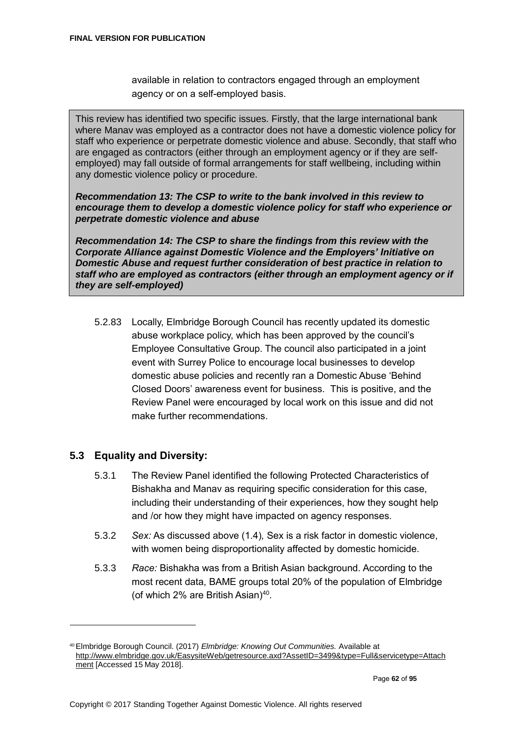available in relation to contractors engaged through an employment agency or on a self-employed basis.

This review has identified two specific issues. Firstly, that the large international bank where Manav was employed as a contractor does not have a domestic violence policy for staff who experience or perpetrate domestic violence and abuse. Secondly, that staff who are engaged as contractors (either through an employment agency or if they are selfemployed) may fall outside of formal arrangements for staff wellbeing, including within any domestic violence policy or procedure.

*Recommendation 13: The CSP to write to the bank involved in this review to encourage them to develop a domestic violence policy for staff who experience or perpetrate domestic violence and abuse* 

*Recommendation 14: The CSP to share the findings from this review with the Corporate Alliance against Domestic Violence and the Employers' Initiative on Domestic Abuse and request further consideration of best practice in relation to staff who are employed as contractors (either through an employment agency or if they are self-employed)*

5.2.83 Locally, Elmbridge Borough Council has recently updated its domestic abuse workplace policy, which has been approved by the council's Employee Consultative Group. The council also participated in a joint event with Surrey Police to encourage local businesses to develop domestic abuse policies and recently ran a Domestic Abuse 'Behind Closed Doors' awareness event for business. This is positive, and the Review Panel were encouraged by local work on this issue and did not make further recommendations.

# **5.3 Equality and Diversity:**

- 5.3.1 The Review Panel identified the following Protected Characteristics of Bishakha and Manav as requiring specific consideration for this case, including their understanding of their experiences, how they sought help and /or how they might have impacted on agency responses.
- 5.3.2 *Sex:* As discussed above (1.4)*,* Sex is a risk factor in domestic violence, with women being disproportionality affected by domestic homicide.
- 5.3.3 *Race:* Bishakha was from a British Asian background. According to the most recent data, BAME groups total 20% of the population of Elmbridge (of which 2% are British Asian) $40$ .

<sup>40</sup>Elmbridge Borough Council. (2017) *Elmbridge: Knowing Out Communities.* Available at [http://www.elmbridge.gov.uk/EasysiteWeb/getresource.axd?AssetID=3499&type=Full&servicetype=Attach](http://www.elmbridge.gov.uk/EasysiteWeb/getresource.axd?AssetID=3499&type=Full&servicetype=Attachment) [ment](http://www.elmbridge.gov.uk/EasysiteWeb/getresource.axd?AssetID=3499&type=Full&servicetype=Attachment) [Accessed 15 May 2018].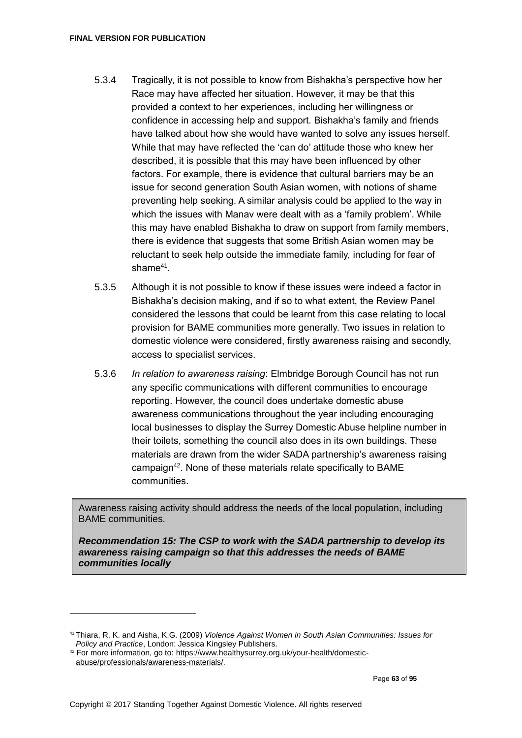- 5.3.4 Tragically, it is not possible to know from Bishakha's perspective how her Race may have affected her situation. However, it may be that this provided a context to her experiences, including her willingness or confidence in accessing help and support. Bishakha's family and friends have talked about how she would have wanted to solve any issues herself. While that may have reflected the 'can do' attitude those who knew her described, it is possible that this may have been influenced by other factors. For example, there is evidence that cultural barriers may be an issue for second generation South Asian women, with notions of shame preventing help seeking. A similar analysis could be applied to the way in which the issues with Manav were dealt with as a 'family problem'. While this may have enabled Bishakha to draw on support from family members, there is evidence that suggests that some British Asian women may be reluctant to seek help outside the immediate family, including for fear of  $shame^{41}$ .
- 5.3.5 Although it is not possible to know if these issues were indeed a factor in Bishakha's decision making, and if so to what extent, the Review Panel considered the lessons that could be learnt from this case relating to local provision for BAME communities more generally. Two issues in relation to domestic violence were considered, firstly awareness raising and secondly, access to specialist services.
- 5.3.6 *In relation to awareness raising*: Elmbridge Borough Council has not run any specific communications with different communities to encourage reporting. However, the council does undertake domestic abuse awareness communications throughout the year including encouraging local businesses to display the Surrey Domestic Abuse helpline number in their toilets, something the council also does in its own buildings. These materials are drawn from the wider SADA partnership's awareness raising campaign<sup>42</sup>. None of these materials relate specifically to BAME communities.

Awareness raising activity should address the needs of the local population, including BAME communities.

*Recommendation 15: The CSP to work with the SADA partnership to develop its awareness raising campaign so that this addresses the needs of BAME communities locally*

<sup>41</sup> Thiara, R. K. and Aisha, K.G. (2009) *Violence Against Women in South Asian Communities: Issues for Policy and Practice*, London: Jessica Kingsley Publishers.

<sup>42</sup> For more information, go to[: https://www.healthysurrey.org.uk/your-health/domestic](https://www.healthysurrey.org.uk/your-health/domestic-abuse/professionals/awareness-materials/)[abuse/professionals/awareness-materials/.](https://www.healthysurrey.org.uk/your-health/domestic-abuse/professionals/awareness-materials/)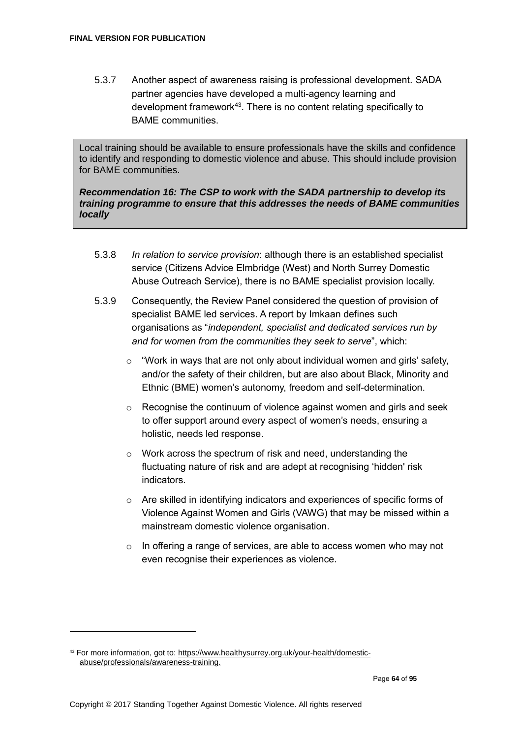5.3.7 Another aspect of awareness raising is professional development. SADA partner agencies have developed a multi-agency learning and development framework<sup>43</sup>. There is no content relating specifically to BAME communities.

Local training should be available to ensure professionals have the skills and confidence to identify and responding to domestic violence and abuse. This should include provision for BAME communities.

#### *Recommendation 16: The CSP to work with the SADA partnership to develop its training programme to ensure that this addresses the needs of BAME communities locally*

- 5.3.8 *In relation to service provision*: although there is an established specialist service (Citizens Advice Elmbridge (West) and North Surrey Domestic Abuse Outreach Service), there is no BAME specialist provision locally.
- 5.3.9 Consequently, the Review Panel considered the question of provision of specialist BAME led services. A report by Imkaan defines such organisations as "*independent, specialist and dedicated services run by and for women from the communities they seek to serve*", which:
	- $\circ$  "Work in ways that are not only about individual women and girls' safety, and/or the safety of their children, but are also about Black, Minority and Ethnic (BME) women's autonomy, freedom and self-determination.
	- o Recognise the continuum of violence against women and girls and seek to offer support around every aspect of women's needs, ensuring a holistic, needs led response.
	- o Work across the spectrum of risk and need, understanding the fluctuating nature of risk and are adept at recognising 'hidden' risk indicators.
	- $\circ$  Are skilled in identifying indicators and experiences of specific forms of Violence Against Women and Girls (VAWG) that may be missed within a mainstream domestic violence organisation.
	- $\circ$  In offering a range of services, are able to access women who may not even recognise their experiences as violence.

<sup>43</sup> For more information, got to: https://www.healthysurrey.org.uk/your-health/domesticabuse/professionals/awareness-training.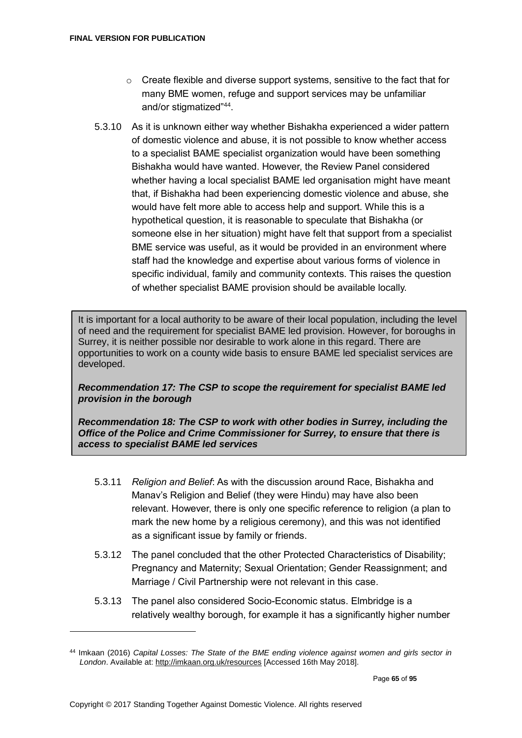- $\circ$  Create flexible and diverse support systems, sensitive to the fact that for many BME women, refuge and support services may be unfamiliar and/or stigmatized"<sup>44</sup> .
- 5.3.10 As it is unknown either way whether Bishakha experienced a wider pattern of domestic violence and abuse, it is not possible to know whether access to a specialist BAME specialist organization would have been something Bishakha would have wanted. However, the Review Panel considered whether having a local specialist BAME led organisation might have meant that, if Bishakha had been experiencing domestic violence and abuse, she would have felt more able to access help and support. While this is a hypothetical question, it is reasonable to speculate that Bishakha (or someone else in her situation) might have felt that support from a specialist BME service was useful, as it would be provided in an environment where staff had the knowledge and expertise about various forms of violence in specific individual, family and community contexts. This raises the question of whether specialist BAME provision should be available locally.

It is important for a local authority to be aware of their local population, including the level of need and the requirement for specialist BAME led provision. However, for boroughs in Surrey, it is neither possible nor desirable to work alone in this regard. There are opportunities to work on a county wide basis to ensure BAME led specialist services are developed.

## *Recommendation 17: The CSP to scope the requirement for specialist BAME led provision in the borough*

*Recommendation 18: The CSP to work with other bodies in Surrey, including the Office of the Police and Crime Commissioner for Surrey, to ensure that there is access to specialist BAME led services*

- 5.3.11 *Religion and Belief*: As with the discussion around Race, Bishakha and Manav's Religion and Belief (they were Hindu) may have also been relevant. However, there is only one specific reference to religion (a plan to mark the new home by a religious ceremony), and this was not identified as a significant issue by family or friends.
- 5.3.12 The panel concluded that the other Protected Characteristics of Disability; Pregnancy and Maternity; Sexual Orientation; Gender Reassignment; and Marriage / Civil Partnership were not relevant in this case.
- 5.3.13 The panel also considered Socio-Economic status. Elmbridge is a relatively wealthy borough, for example it has a significantly higher number

<sup>44</sup> Imkaan (2016) *Capital Losses: The State of the BME ending violence against women and girls sector in London*. Available at[: http://imkaan.org.uk/resources](http://imkaan.org.uk/resources) [Accessed 16th May 2018].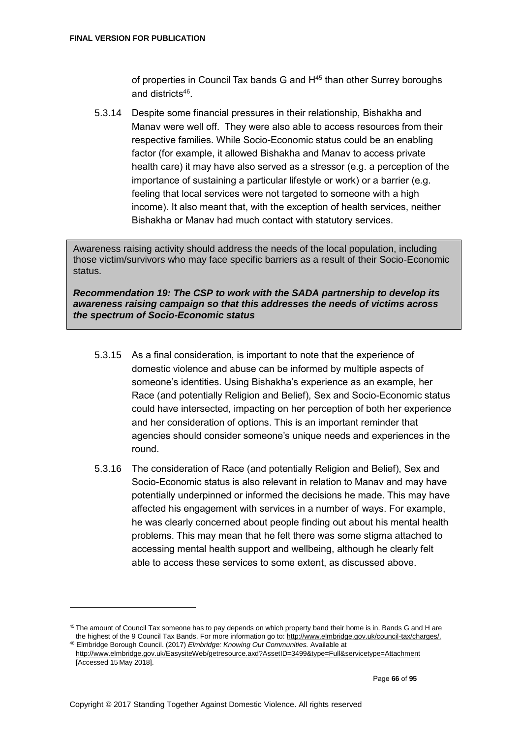of properties in Council Tax bands G and H<sup>45</sup> than other Surrey boroughs and districts<sup>46</sup>.

5.3.14 Despite some financial pressures in their relationship, Bishakha and Manav were well off. They were also able to access resources from their respective families. While Socio-Economic status could be an enabling factor (for example, it allowed Bishakha and Manav to access private health care) it may have also served as a stressor (e.g. a perception of the importance of sustaining a particular lifestyle or work) or a barrier (e.g. feeling that local services were not targeted to someone with a high income). It also meant that, with the exception of health services, neither Bishakha or Manav had much contact with statutory services.

Awareness raising activity should address the needs of the local population, including those victim/survivors who may face specific barriers as a result of their Socio-Economic status.

*Recommendation 19: The CSP to work with the SADA partnership to develop its awareness raising campaign so that this addresses the needs of victims across the spectrum of Socio-Economic status*

- 5.3.15 As a final consideration, is important to note that the experience of domestic violence and abuse can be informed by multiple aspects of someone's identities. Using Bishakha's experience as an example, her Race (and potentially Religion and Belief), Sex and Socio-Economic status could have intersected, impacting on her perception of both her experience and her consideration of options. This is an important reminder that agencies should consider someone's unique needs and experiences in the round.
- 5.3.16 The consideration of Race (and potentially Religion and Belief), Sex and Socio-Economic status is also relevant in relation to Manav and may have potentially underpinned or informed the decisions he made. This may have affected his engagement with services in a number of ways. For example, he was clearly concerned about people finding out about his mental health problems. This may mean that he felt there was some stigma attached to accessing mental health support and wellbeing, although he clearly felt able to access these services to some extent, as discussed above.

<sup>&</sup>lt;sup>45</sup> The amount of Council Tax someone has to pay depends on which property band their home is in. Bands G and H are the highest of the 9 Council Tax Bands. For more information go to: http://www.elmbridge.gov.uk/council-tax/charges/. <sup>46</sup> Elmbridge Borough Council. (2017) *Elmbridge: Knowing Out Communities.* Available at

<http://www.elmbridge.gov.uk/EasysiteWeb/getresource.axd?AssetID=3499&type=Full&servicetype=Attachment> [Accessed 15 May 2018].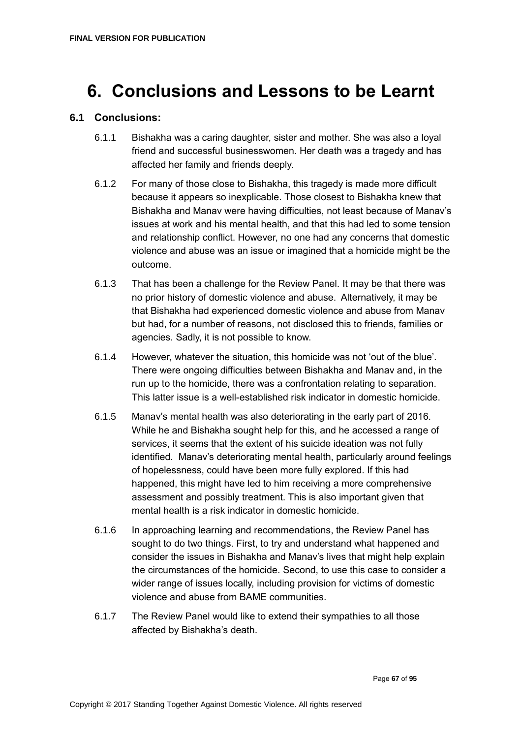# **6. Conclusions and Lessons to be Learnt**

## **6.1 Conclusions:**

- 6.1.1 Bishakha was a caring daughter, sister and mother. She was also a loyal friend and successful businesswomen. Her death was a tragedy and has affected her family and friends deeply.
- 6.1.2 For many of those close to Bishakha, this tragedy is made more difficult because it appears so inexplicable. Those closest to Bishakha knew that Bishakha and Manav were having difficulties, not least because of Manav's issues at work and his mental health, and that this had led to some tension and relationship conflict. However, no one had any concerns that domestic violence and abuse was an issue or imagined that a homicide might be the outcome.
- 6.1.3 That has been a challenge for the Review Panel. It may be that there was no prior history of domestic violence and abuse. Alternatively, it may be that Bishakha had experienced domestic violence and abuse from Manav but had, for a number of reasons, not disclosed this to friends, families or agencies. Sadly, it is not possible to know.
- 6.1.4 However, whatever the situation, this homicide was not 'out of the blue'. There were ongoing difficulties between Bishakha and Manav and, in the run up to the homicide, there was a confrontation relating to separation. This latter issue is a well-established risk indicator in domestic homicide.
- 6.1.5 Manav's mental health was also deteriorating in the early part of 2016. While he and Bishakha sought help for this, and he accessed a range of services, it seems that the extent of his suicide ideation was not fully identified. Manav's deteriorating mental health, particularly around feelings of hopelessness, could have been more fully explored. If this had happened, this might have led to him receiving a more comprehensive assessment and possibly treatment. This is also important given that mental health is a risk indicator in domestic homicide.
- 6.1.6 In approaching learning and recommendations, the Review Panel has sought to do two things. First, to try and understand what happened and consider the issues in Bishakha and Manav's lives that might help explain the circumstances of the homicide. Second, to use this case to consider a wider range of issues locally, including provision for victims of domestic violence and abuse from BAME communities.
- 6.1.7 The Review Panel would like to extend their sympathies to all those affected by Bishakha's death.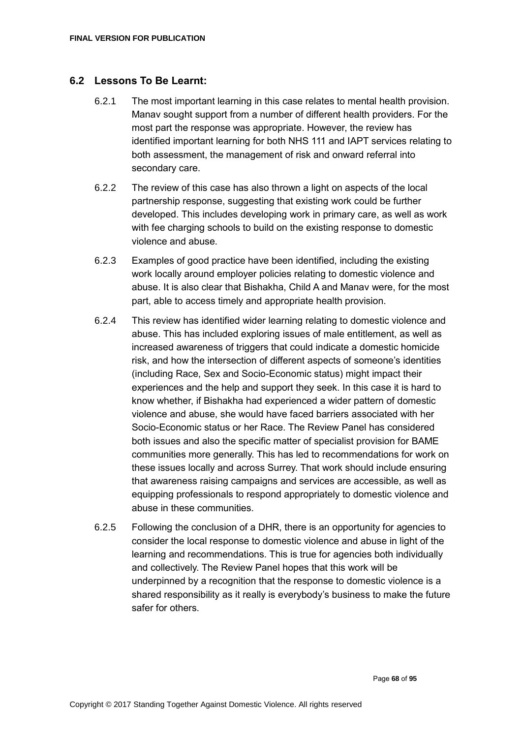#### **6.2 Lessons To Be Learnt:**

- 6.2.1 The most important learning in this case relates to mental health provision. Manav sought support from a number of different health providers. For the most part the response was appropriate. However, the review has identified important learning for both NHS 111 and IAPT services relating to both assessment, the management of risk and onward referral into secondary care.
- 6.2.2 The review of this case has also thrown a light on aspects of the local partnership response, suggesting that existing work could be further developed. This includes developing work in primary care, as well as work with fee charging schools to build on the existing response to domestic violence and abuse.
- 6.2.3 Examples of good practice have been identified, including the existing work locally around employer policies relating to domestic violence and abuse. It is also clear that Bishakha, Child A and Manav were, for the most part, able to access timely and appropriate health provision.
- 6.2.4 This review has identified wider learning relating to domestic violence and abuse. This has included exploring issues of male entitlement, as well as increased awareness of triggers that could indicate a domestic homicide risk, and how the intersection of different aspects of someone's identities (including Race, Sex and Socio-Economic status) might impact their experiences and the help and support they seek. In this case it is hard to know whether, if Bishakha had experienced a wider pattern of domestic violence and abuse, she would have faced barriers associated with her Socio-Economic status or her Race. The Review Panel has considered both issues and also the specific matter of specialist provision for BAME communities more generally. This has led to recommendations for work on these issues locally and across Surrey. That work should include ensuring that awareness raising campaigns and services are accessible, as well as equipping professionals to respond appropriately to domestic violence and abuse in these communities.
- 6.2.5 Following the conclusion of a DHR, there is an opportunity for agencies to consider the local response to domestic violence and abuse in light of the learning and recommendations. This is true for agencies both individually and collectively. The Review Panel hopes that this work will be underpinned by a recognition that the response to domestic violence is a shared responsibility as it really is everybody's business to make the future safer for others.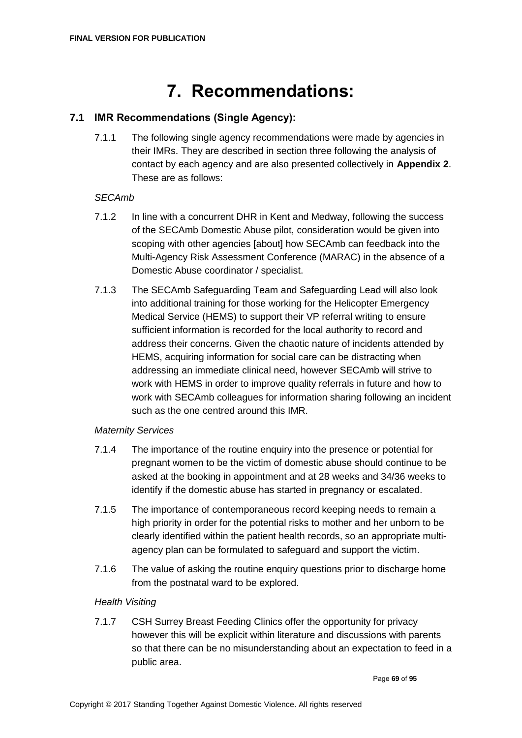# **7. Recommendations:**

# **7.1 IMR Recommendations (Single Agency):**

7.1.1 The following single agency recommendations were made by agencies in their IMRs. They are described in section three following the analysis of contact by each agency and are also presented collectively in **Appendix 2**. These are as follows:

## *SECAmb*

- 7.1.2 In line with a concurrent DHR in Kent and Medway, following the success of the SECAmb Domestic Abuse pilot, consideration would be given into scoping with other agencies [about] how SECAmb can feedback into the Multi-Agency Risk Assessment Conference (MARAC) in the absence of a Domestic Abuse coordinator / specialist.
- 7.1.3 The SECAmb Safeguarding Team and Safeguarding Lead will also look into additional training for those working for the Helicopter Emergency Medical Service (HEMS) to support their VP referral writing to ensure sufficient information is recorded for the local authority to record and address their concerns. Given the chaotic nature of incidents attended by HEMS, acquiring information for social care can be distracting when addressing an immediate clinical need, however SECAmb will strive to work with HEMS in order to improve quality referrals in future and how to work with SECAmb colleagues for information sharing following an incident such as the one centred around this IMR.

## *Maternity Services*

- 7.1.4 The importance of the routine enquiry into the presence or potential for pregnant women to be the victim of domestic abuse should continue to be asked at the booking in appointment and at 28 weeks and 34/36 weeks to identify if the domestic abuse has started in pregnancy or escalated.
- 7.1.5 The importance of contemporaneous record keeping needs to remain a high priority in order for the potential risks to mother and her unborn to be clearly identified within the patient health records, so an appropriate multiagency plan can be formulated to safeguard and support the victim.
- 7.1.6 The value of asking the routine enquiry questions prior to discharge home from the postnatal ward to be explored.

## *Health Visiting*

7.1.7 CSH Surrey Breast Feeding Clinics offer the opportunity for privacy however this will be explicit within literature and discussions with parents so that there can be no misunderstanding about an expectation to feed in a public area.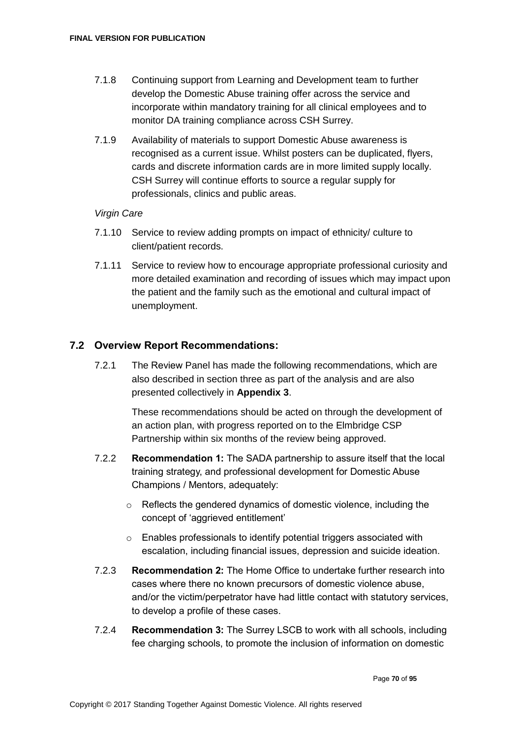- 7.1.8 Continuing support from Learning and Development team to further develop the Domestic Abuse training offer across the service and incorporate within mandatory training for all clinical employees and to monitor DA training compliance across CSH Surrey.
- 7.1.9 Availability of materials to support Domestic Abuse awareness is recognised as a current issue. Whilst posters can be duplicated, flyers, cards and discrete information cards are in more limited supply locally. CSH Surrey will continue efforts to source a regular supply for professionals, clinics and public areas.

## *Virgin Care*

- 7.1.10 Service to review adding prompts on impact of ethnicity/ culture to client/patient records.
- 7.1.11 Service to review how to encourage appropriate professional curiosity and more detailed examination and recording of issues which may impact upon the patient and the family such as the emotional and cultural impact of unemployment.

## **7.2 Overview Report Recommendations:**

7.2.1 The Review Panel has made the following recommendations, which are also described in section three as part of the analysis and are also presented collectively in **Appendix 3**.

> These recommendations should be acted on through the development of an action plan, with progress reported on to the Elmbridge CSP Partnership within six months of the review being approved.

- 7.2.2 **Recommendation 1:** The SADA partnership to assure itself that the local training strategy, and professional development for Domestic Abuse Champions / Mentors, adequately:
	- o Reflects the gendered dynamics of domestic violence, including the concept of 'aggrieved entitlement'
	- o Enables professionals to identify potential triggers associated with escalation, including financial issues, depression and suicide ideation.
- 7.2.3 **Recommendation 2:** The Home Office to undertake further research into cases where there no known precursors of domestic violence abuse, and/or the victim/perpetrator have had little contact with statutory services, to develop a profile of these cases.
- 7.2.4 **Recommendation 3:** The Surrey LSCB to work with all schools, including fee charging schools, to promote the inclusion of information on domestic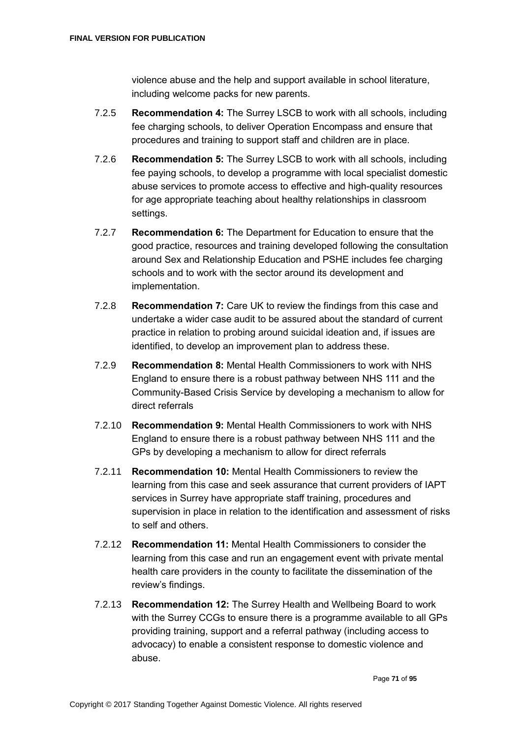violence abuse and the help and support available in school literature, including welcome packs for new parents.

- 7.2.5 **Recommendation 4:** The Surrey LSCB to work with all schools, including fee charging schools, to deliver Operation Encompass and ensure that procedures and training to support staff and children are in place.
- 7.2.6 **Recommendation 5:** The Surrey LSCB to work with all schools, including fee paying schools, to develop a programme with local specialist domestic abuse services to promote access to effective and high-quality resources for age appropriate teaching about healthy relationships in classroom settings.
- 7.2.7 **Recommendation 6:** The Department for Education to ensure that the good practice, resources and training developed following the consultation around Sex and Relationship Education and PSHE includes fee charging schools and to work with the sector around its development and implementation.
- 7.2.8 **Recommendation 7:** Care UK to review the findings from this case and undertake a wider case audit to be assured about the standard of current practice in relation to probing around suicidal ideation and, if issues are identified, to develop an improvement plan to address these.
- 7.2.9 **Recommendation 8:** Mental Health Commissioners to work with NHS England to ensure there is a robust pathway between NHS 111 and the Community-Based Crisis Service by developing a mechanism to allow for direct referrals
- 7.2.10 **Recommendation 9:** Mental Health Commissioners to work with NHS England to ensure there is a robust pathway between NHS 111 and the GPs by developing a mechanism to allow for direct referrals
- 7.2.11 **Recommendation 10:** Mental Health Commissioners to review the learning from this case and seek assurance that current providers of IAPT services in Surrey have appropriate staff training, procedures and supervision in place in relation to the identification and assessment of risks to self and others.
- 7.2.12 **Recommendation 11:** Mental Health Commissioners to consider the learning from this case and run an engagement event with private mental health care providers in the county to facilitate the dissemination of the review's findings.
- 7.2.13 **Recommendation 12:** The Surrey Health and Wellbeing Board to work with the Surrey CCGs to ensure there is a programme available to all GPs providing training, support and a referral pathway (including access to advocacy) to enable a consistent response to domestic violence and abuse.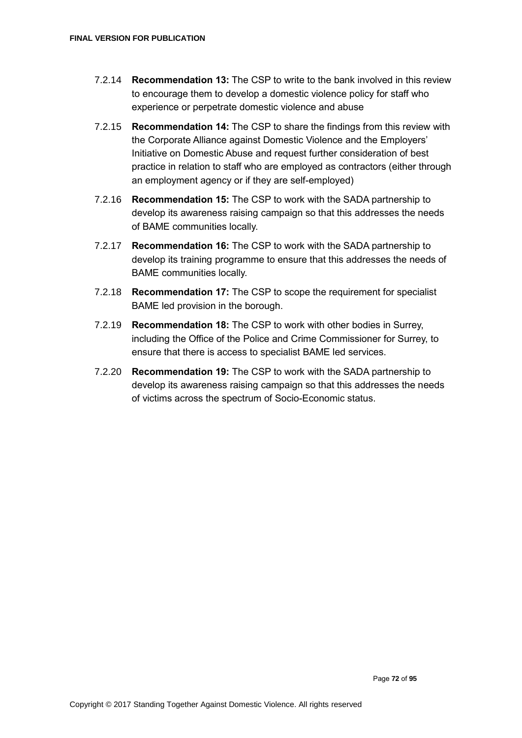- 7.2.14 **Recommendation 13:** The CSP to write to the bank involved in this review to encourage them to develop a domestic violence policy for staff who experience or perpetrate domestic violence and abuse
- 7.2.15 **Recommendation 14:** The CSP to share the findings from this review with the Corporate Alliance against Domestic Violence and the Employers' Initiative on Domestic Abuse and request further consideration of best practice in relation to staff who are employed as contractors (either through an employment agency or if they are self-employed)
- 7.2.16 **Recommendation 15:** The CSP to work with the SADA partnership to develop its awareness raising campaign so that this addresses the needs of BAME communities locally.
- 7.2.17 **Recommendation 16:** The CSP to work with the SADA partnership to develop its training programme to ensure that this addresses the needs of BAME communities locally.
- 7.2.18 **Recommendation 17:** The CSP to scope the requirement for specialist BAME led provision in the borough.
- 7.2.19 **Recommendation 18:** The CSP to work with other bodies in Surrey, including the Office of the Police and Crime Commissioner for Surrey, to ensure that there is access to specialist BAME led services.
- 7.2.20 **Recommendation 19:** The CSP to work with the SADA partnership to develop its awareness raising campaign so that this addresses the needs of victims across the spectrum of Socio-Economic status.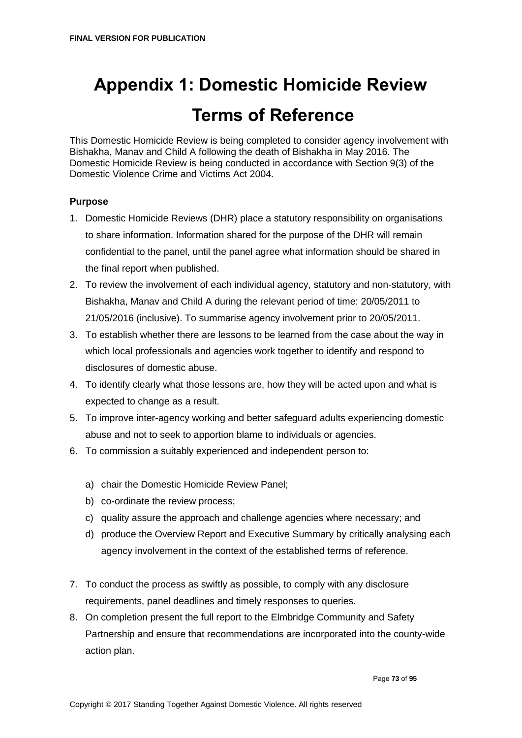# **Appendix 1: Domestic Homicide Review Terms of Reference**

This Domestic Homicide Review is being completed to consider agency involvement with Bishakha, Manav and Child A following the death of Bishakha in May 2016. The Domestic Homicide Review is being conducted in accordance with Section 9(3) of the Domestic Violence Crime and Victims Act 2004.

#### **Purpose**

- 1. Domestic Homicide Reviews (DHR) place a statutory responsibility on organisations to share information. Information shared for the purpose of the DHR will remain confidential to the panel, until the panel agree what information should be shared in the final report when published.
- 2. To review the involvement of each individual agency, statutory and non-statutory, with Bishakha, Manav and Child A during the relevant period of time: 20/05/2011 to 21/05/2016 (inclusive). To summarise agency involvement prior to 20/05/2011.
- 3. To establish whether there are lessons to be learned from the case about the way in which local professionals and agencies work together to identify and respond to disclosures of domestic abuse.
- 4. To identify clearly what those lessons are, how they will be acted upon and what is expected to change as a result.
- 5. To improve inter-agency working and better safeguard adults experiencing domestic abuse and not to seek to apportion blame to individuals or agencies.
- 6. To commission a suitably experienced and independent person to:
	- a) chair the Domestic Homicide Review Panel;
	- b) co-ordinate the review process;
	- c) quality assure the approach and challenge agencies where necessary; and
	- d) produce the Overview Report and Executive Summary by critically analysing each agency involvement in the context of the established terms of reference.
- 7. To conduct the process as swiftly as possible, to comply with any disclosure requirements, panel deadlines and timely responses to queries.
- 8. On completion present the full report to the Elmbridge Community and Safety Partnership and ensure that recommendations are incorporated into the county-wide action plan.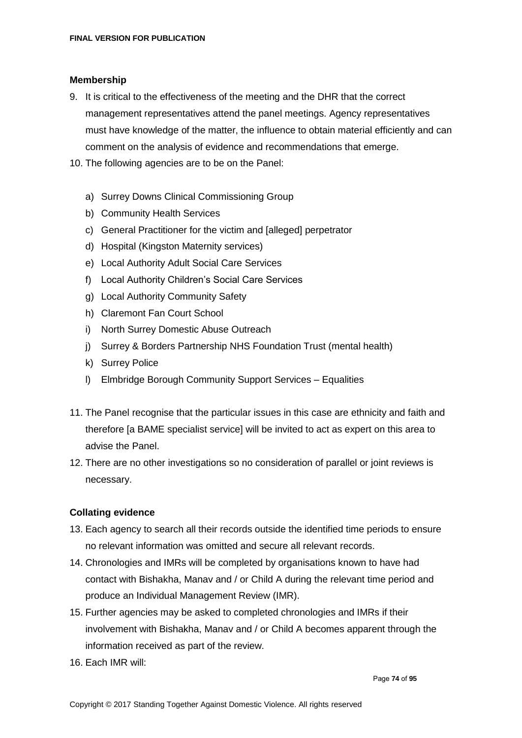#### **Membership**

- 9. It is critical to the effectiveness of the meeting and the DHR that the correct management representatives attend the panel meetings. Agency representatives must have knowledge of the matter, the influence to obtain material efficiently and can comment on the analysis of evidence and recommendations that emerge.
- 10. The following agencies are to be on the Panel:
	- a) Surrey Downs Clinical Commissioning Group
	- b) Community Health Services
	- c) General Practitioner for the victim and [alleged] perpetrator
	- d) Hospital (Kingston Maternity services)
	- e) Local Authority Adult Social Care Services
	- f) Local Authority Children's Social Care Services
	- g) Local Authority Community Safety
	- h) Claremont Fan Court School
	- i) North Surrey Domestic Abuse Outreach
	- j) Surrey & Borders Partnership NHS Foundation Trust (mental health)
	- k) Surrey Police
	- l) Elmbridge Borough Community Support Services Equalities
- 11. The Panel recognise that the particular issues in this case are ethnicity and faith and therefore [a BAME specialist service] will be invited to act as expert on this area to advise the Panel.
- 12. There are no other investigations so no consideration of parallel or joint reviews is necessary.

#### **Collating evidence**

- 13. Each agency to search all their records outside the identified time periods to ensure no relevant information was omitted and secure all relevant records.
- 14. Chronologies and IMRs will be completed by organisations known to have had contact with Bishakha, Manav and / or Child A during the relevant time period and produce an Individual Management Review (IMR).
- 15. Further agencies may be asked to completed chronologies and IMRs if their involvement with Bishakha, Manav and / or Child A becomes apparent through the information received as part of the review.
- 16. Each IMR will: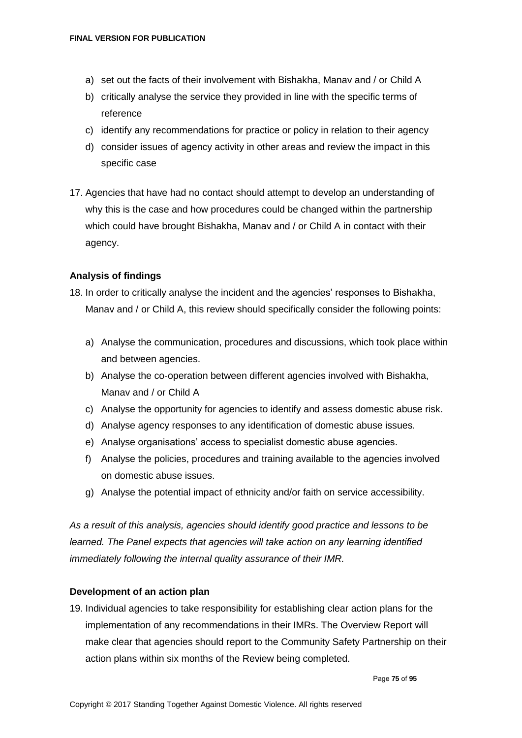- a) set out the facts of their involvement with Bishakha, Manav and / or Child A
- b) critically analyse the service they provided in line with the specific terms of reference
- c) identify any recommendations for practice or policy in relation to their agency
- d) consider issues of agency activity in other areas and review the impact in this specific case
- 17. Agencies that have had no contact should attempt to develop an understanding of why this is the case and how procedures could be changed within the partnership which could have brought Bishakha, Manav and / or Child A in contact with their agency.

#### **Analysis of findings**

- 18. In order to critically analyse the incident and the agencies' responses to Bishakha, Manav and / or Child A, this review should specifically consider the following points:
	- a) Analyse the communication, procedures and discussions, which took place within and between agencies.
	- b) Analyse the co-operation between different agencies involved with Bishakha, Manav and / or Child A
	- c) Analyse the opportunity for agencies to identify and assess domestic abuse risk.
	- d) Analyse agency responses to any identification of domestic abuse issues.
	- e) Analyse organisations' access to specialist domestic abuse agencies.
	- f) Analyse the policies, procedures and training available to the agencies involved on domestic abuse issues.
	- g) Analyse the potential impact of ethnicity and/or faith on service accessibility.

*As a result of this analysis, agencies should identify good practice and lessons to be learned. The Panel expects that agencies will take action on any learning identified immediately following the internal quality assurance of their IMR.*

#### **Development of an action plan**

19. Individual agencies to take responsibility for establishing clear action plans for the implementation of any recommendations in their IMRs. The Overview Report will make clear that agencies should report to the Community Safety Partnership on their action plans within six months of the Review being completed.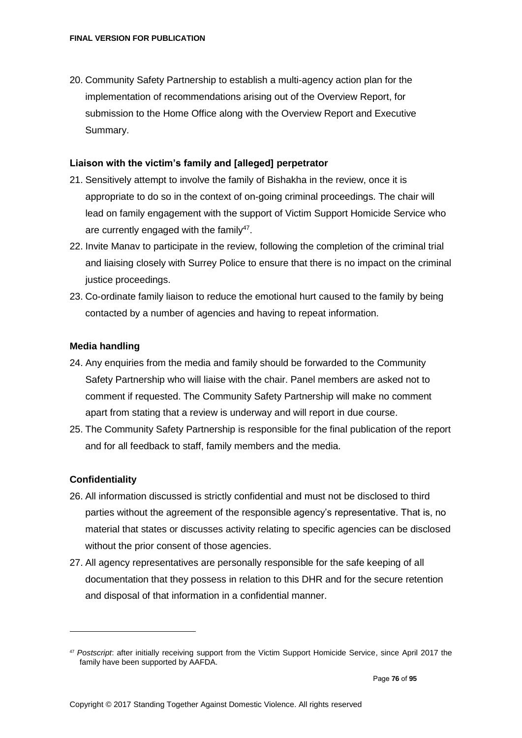20. Community Safety Partnership to establish a multi-agency action plan for the implementation of recommendations arising out of the Overview Report, for submission to the Home Office along with the Overview Report and Executive Summary.

#### **Liaison with the victim's family and [alleged] perpetrator**

- 21. Sensitively attempt to involve the family of Bishakha in the review, once it is appropriate to do so in the context of on-going criminal proceedings. The chair will lead on family engagement with the support of Victim Support Homicide Service who are currently engaged with the family $47$ .
- 22. Invite Manav to participate in the review, following the completion of the criminal trial and liaising closely with Surrey Police to ensure that there is no impact on the criminal justice proceedings.
- 23. Co-ordinate family liaison to reduce the emotional hurt caused to the family by being contacted by a number of agencies and having to repeat information.

#### **Media handling**

- 24. Any enquiries from the media and family should be forwarded to the Community Safety Partnership who will liaise with the chair. Panel members are asked not to comment if requested. The Community Safety Partnership will make no comment apart from stating that a review is underway and will report in due course.
- 25. The Community Safety Partnership is responsible for the final publication of the report and for all feedback to staff, family members and the media.

#### **Confidentiality**

- 26. All information discussed is strictly confidential and must not be disclosed to third parties without the agreement of the responsible agency's representative. That is, no material that states or discusses activity relating to specific agencies can be disclosed without the prior consent of those agencies.
- 27. All agency representatives are personally responsible for the safe keeping of all documentation that they possess in relation to this DHR and for the secure retention and disposal of that information in a confidential manner.

<sup>47</sup> *Postscript*: after initially receiving support from the Victim Support Homicide Service, since April 2017 the family have been supported by AAFDA.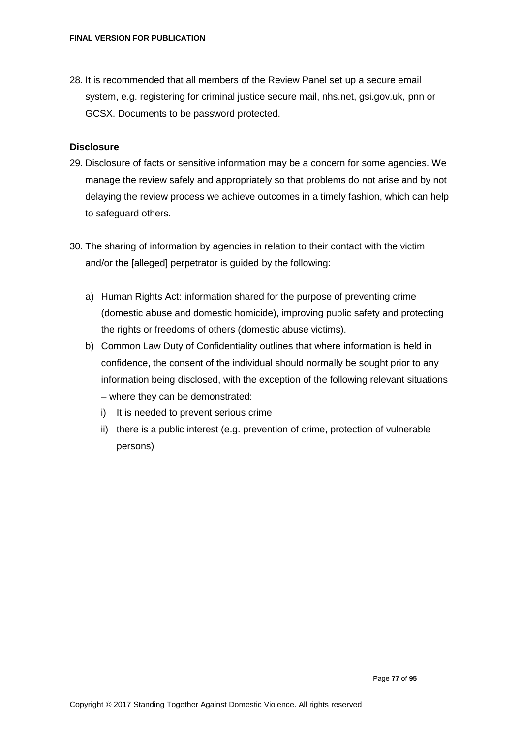28. It is recommended that all members of the Review Panel set up a secure email system, e.g. registering for criminal justice secure mail, nhs.net, gsi.gov.uk, pnn or GCSX. Documents to be password protected.

#### **Disclosure**

- 29. Disclosure of facts or sensitive information may be a concern for some agencies. We manage the review safely and appropriately so that problems do not arise and by not delaying the review process we achieve outcomes in a timely fashion, which can help to safeguard others.
- 30. The sharing of information by agencies in relation to their contact with the victim and/or the [alleged] perpetrator is guided by the following:
	- a) Human Rights Act: information shared for the purpose of preventing crime (domestic abuse and domestic homicide), improving public safety and protecting the rights or freedoms of others (domestic abuse victims).
	- b) Common Law Duty of Confidentiality outlines that where information is held in confidence, the consent of the individual should normally be sought prior to any information being disclosed, with the exception of the following relevant situations – where they can be demonstrated:
		- i) It is needed to prevent serious crime
		- ii) there is a public interest (e.g. prevention of crime, protection of vulnerable persons)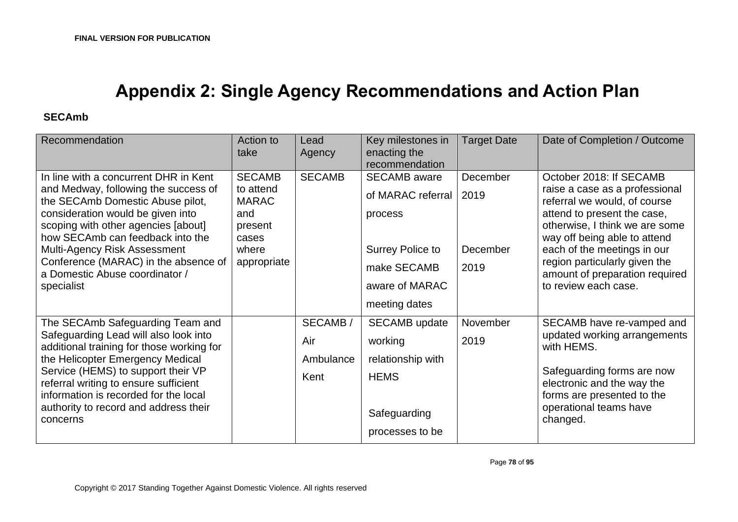## **Appendix 2: Single Agency Recommendations and Action Plan**

#### **SECAmb**

| Recommendation                                                                                                                                                                                                                                                                                                                                                   | Action to<br>take                                                                             | Lead<br>Agency                      | Key milestones in<br>enacting the<br>recommendation                                                                              | <b>Target Date</b>                    | Date of Completion / Outcome                                                                                                                                                                                                                                                                                         |
|------------------------------------------------------------------------------------------------------------------------------------------------------------------------------------------------------------------------------------------------------------------------------------------------------------------------------------------------------------------|-----------------------------------------------------------------------------------------------|-------------------------------------|----------------------------------------------------------------------------------------------------------------------------------|---------------------------------------|----------------------------------------------------------------------------------------------------------------------------------------------------------------------------------------------------------------------------------------------------------------------------------------------------------------------|
| In line with a concurrent DHR in Kent<br>and Medway, following the success of<br>the SECAmb Domestic Abuse pilot,<br>consideration would be given into<br>scoping with other agencies [about]<br>how SECAmb can feedback into the<br><b>Multi-Agency Risk Assessment</b><br>Conference (MARAC) in the absence of<br>a Domestic Abuse coordinator /<br>specialist | <b>SECAMB</b><br>to attend<br><b>MARAC</b><br>and<br>present<br>cases<br>where<br>appropriate | <b>SECAMB</b>                       | <b>SECAMB</b> aware<br>of MARAC referral<br>process<br><b>Surrey Police to</b><br>make SECAMB<br>aware of MARAC<br>meeting dates | December<br> 2019<br>December<br>2019 | October 2018: If SECAMB<br>raise a case as a professional<br>referral we would, of course<br>attend to present the case,<br>otherwise, I think we are some<br>way off being able to attend<br>each of the meetings in our<br>region particularly given the<br>amount of preparation required<br>to review each case. |
| The SECAmb Safeguarding Team and<br>Safeguarding Lead will also look into<br>additional training for those working for<br>the Helicopter Emergency Medical<br>Service (HEMS) to support their VP<br>referral writing to ensure sufficient<br>information is recorded for the local<br>authority to record and address their<br>concerns                          |                                                                                               | SECAMB/<br>Air<br>Ambulance<br>Kent | <b>SECAMB</b> update<br>working<br>relationship with<br><b>HEMS</b><br>Safeguarding<br>processes to be                           | November<br>2019                      | SECAMB have re-vamped and<br>updated working arrangements<br>with HEMS.<br>Safeguarding forms are now<br>electronic and the way the<br>forms are presented to the<br>operational teams have<br>changed.                                                                                                              |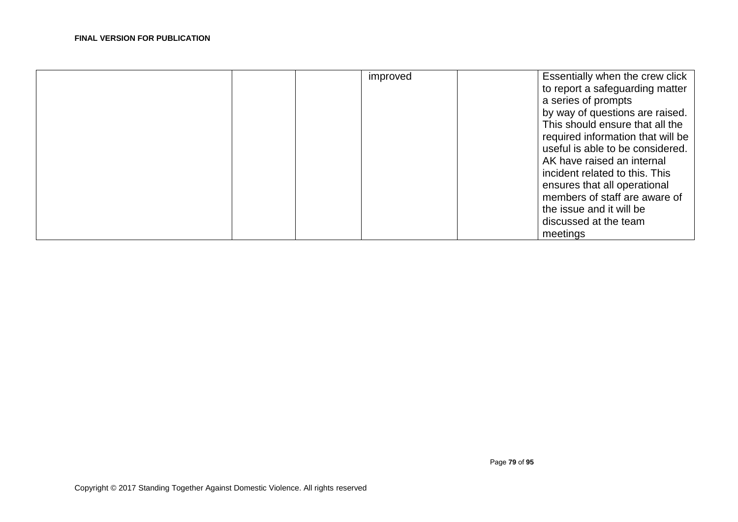| improved | Essentially when the crew click<br>to report a safeguarding matter<br>a series of prompts<br>by way of questions are raised.<br>This should ensure that all the<br>required information that will be<br>useful is able to be considered.<br>AK have raised an internal<br>incident related to this. This<br>ensures that all operational<br>members of staff are aware of<br>the issue and it will be<br>discussed at the team |
|----------|--------------------------------------------------------------------------------------------------------------------------------------------------------------------------------------------------------------------------------------------------------------------------------------------------------------------------------------------------------------------------------------------------------------------------------|
|          | meetings                                                                                                                                                                                                                                                                                                                                                                                                                       |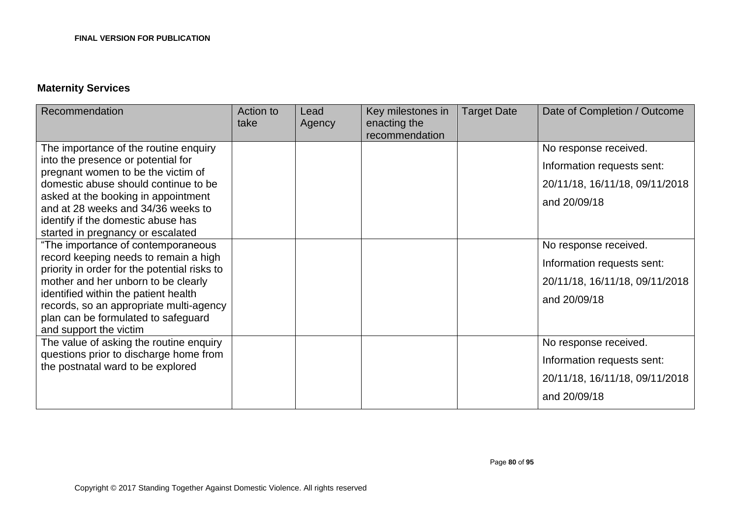#### **Maternity Services**

| Recommendation                                                                                                                                                                                                                                                                                                         | Action to<br>take | Lead<br>Agency | Key milestones in<br>enacting the<br>recommendation | <b>Target Date</b> | Date of Completion / Outcome                                                                          |
|------------------------------------------------------------------------------------------------------------------------------------------------------------------------------------------------------------------------------------------------------------------------------------------------------------------------|-------------------|----------------|-----------------------------------------------------|--------------------|-------------------------------------------------------------------------------------------------------|
| The importance of the routine enquiry<br>into the presence or potential for<br>pregnant women to be the victim of<br>domestic abuse should continue to be<br>asked at the booking in appointment<br>and at 28 weeks and 34/36 weeks to<br>identify if the domestic abuse has<br>started in pregnancy or escalated      |                   |                |                                                     |                    | No response received.<br>Information requests sent:<br>20/11/18, 16/11/18, 09/11/2018<br>and 20/09/18 |
| "The importance of contemporaneous<br>record keeping needs to remain a high<br>priority in order for the potential risks to<br>mother and her unborn to be clearly<br>identified within the patient health<br>records, so an appropriate multi-agency<br>plan can be formulated to safeguard<br>and support the victim |                   |                |                                                     |                    | No response received.<br>Information requests sent:<br>20/11/18, 16/11/18, 09/11/2018<br>and 20/09/18 |
| The value of asking the routine enquiry<br>questions prior to discharge home from<br>the postnatal ward to be explored                                                                                                                                                                                                 |                   |                |                                                     |                    | No response received.<br>Information requests sent:<br>20/11/18, 16/11/18, 09/11/2018<br>and 20/09/18 |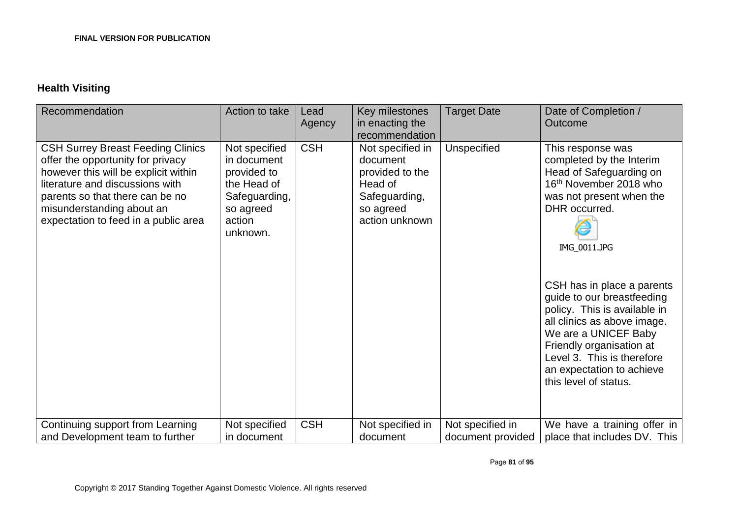### **Health Visiting**

| Recommendation                                                                                                                                                                                                                                                   | Action to take                                                                                                 | Lead<br>Agency | Key milestones<br>in enacting the<br>recommendation                                                        | <b>Target Date</b>                    | Date of Completion /<br>Outcome                                                                                                                                                                                                                                                                                                                                                                                                    |
|------------------------------------------------------------------------------------------------------------------------------------------------------------------------------------------------------------------------------------------------------------------|----------------------------------------------------------------------------------------------------------------|----------------|------------------------------------------------------------------------------------------------------------|---------------------------------------|------------------------------------------------------------------------------------------------------------------------------------------------------------------------------------------------------------------------------------------------------------------------------------------------------------------------------------------------------------------------------------------------------------------------------------|
| <b>CSH Surrey Breast Feeding Clinics</b><br>offer the opportunity for privacy<br>however this will be explicit within<br>literature and discussions with<br>parents so that there can be no<br>misunderstanding about an<br>expectation to feed in a public area | Not specified<br>in document<br>provided to<br>the Head of<br>Safeguarding,<br>so agreed<br>action<br>unknown. | <b>CSH</b>     | Not specified in<br>document<br>provided to the<br>Head of<br>Safeguarding,<br>so agreed<br>action unknown | Unspecified                           | This response was<br>completed by the Interim<br>Head of Safeguarding on<br>16th November 2018 who<br>was not present when the<br>DHR occurred.<br>IMG 0011.JPG<br>CSH has in place a parents<br>guide to our breastfeeding<br>policy. This is available in<br>all clinics as above image.<br>We are a UNICEF Baby<br>Friendly organisation at<br>Level 3. This is therefore<br>an expectation to achieve<br>this level of status. |
| Continuing support from Learning<br>and Development team to further                                                                                                                                                                                              | Not specified<br>in document                                                                                   | <b>CSH</b>     | Not specified in<br>document                                                                               | Not specified in<br>document provided | We have a training offer in<br>place that includes DV. This                                                                                                                                                                                                                                                                                                                                                                        |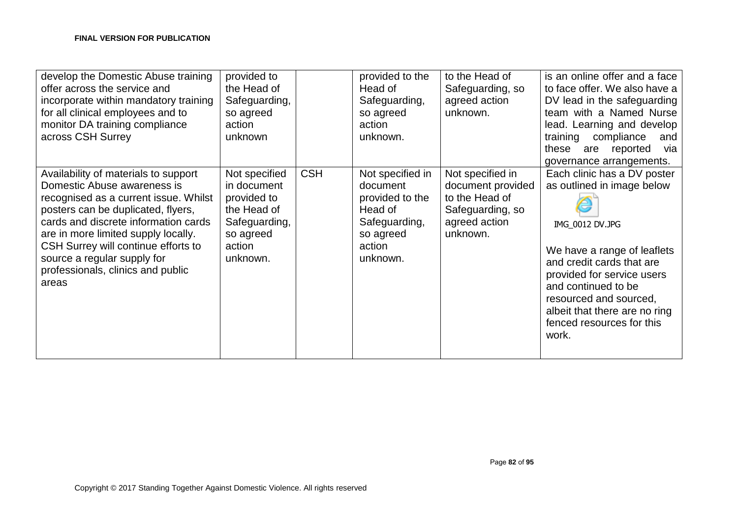| develop the Domestic Abuse training<br>offer across the service and<br>incorporate within mandatory training<br>for all clinical employees and to<br>monitor DA training compliance<br>across CSH Surrey                                                                                                                                              | provided to<br>the Head of<br>Safeguarding,<br>so agreed<br>action<br>unknown                                  |            | provided to the<br>Head of<br>Safeguarding,<br>so agreed<br>action<br>unknown.                                 | to the Head of<br>Safeguarding, so<br>agreed action<br>unknown.                                          | is an online offer and a face<br>to face offer. We also have a<br>DV lead in the safeguarding<br>team with a Named Nurse<br>lead. Learning and develop<br>training compliance<br>and<br>via<br>these<br>reported<br>are<br>governance arrangements.                                            |
|-------------------------------------------------------------------------------------------------------------------------------------------------------------------------------------------------------------------------------------------------------------------------------------------------------------------------------------------------------|----------------------------------------------------------------------------------------------------------------|------------|----------------------------------------------------------------------------------------------------------------|----------------------------------------------------------------------------------------------------------|------------------------------------------------------------------------------------------------------------------------------------------------------------------------------------------------------------------------------------------------------------------------------------------------|
| Availability of materials to support<br>Domestic Abuse awareness is<br>recognised as a current issue. Whilst<br>posters can be duplicated, flyers,<br>cards and discrete information cards<br>are in more limited supply locally.<br>CSH Surrey will continue efforts to<br>source a regular supply for<br>professionals, clinics and public<br>areas | Not specified<br>in document<br>provided to<br>the Head of<br>Safeguarding,<br>so agreed<br>action<br>unknown. | <b>CSH</b> | Not specified in<br>document<br>provided to the<br>Head of<br>Safeguarding,<br>so agreed<br>action<br>unknown. | Not specified in<br>document provided<br>to the Head of<br>Safeguarding, so<br>agreed action<br>unknown. | Each clinic has a DV poster<br>as outlined in image below<br>IMG_0012 DV.JPG<br>We have a range of leaflets<br>and credit cards that are<br>provided for service users<br>and continued to be<br>resourced and sourced,<br>albeit that there are no ring<br>fenced resources for this<br>work. |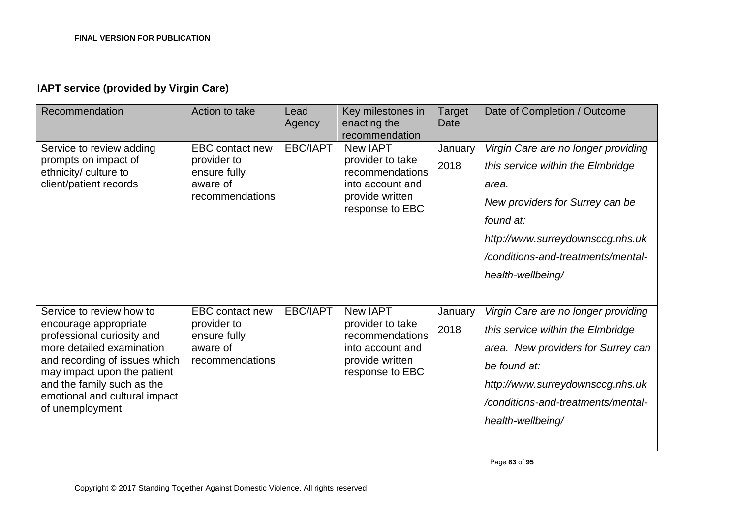### **IAPT service (provided by Virgin Care)**

| Recommendation                                                                                                                                                                                                                                                 | Action to take                                                                       | Lead<br>Agency  | Key milestones in<br>enacting the<br>recommendation                                                              | Target<br>Date  | Date of Completion / Outcome                                                                                                                                                                                                     |
|----------------------------------------------------------------------------------------------------------------------------------------------------------------------------------------------------------------------------------------------------------------|--------------------------------------------------------------------------------------|-----------------|------------------------------------------------------------------------------------------------------------------|-----------------|----------------------------------------------------------------------------------------------------------------------------------------------------------------------------------------------------------------------------------|
| Service to review adding<br>prompts on impact of<br>ethnicity/ culture to<br>client/patient records                                                                                                                                                            | EBC contact new<br>provider to<br>ensure fully<br>aware of<br>recommendations        | <b>EBC/IAPT</b> | <b>New IAPT</b><br>provider to take<br>recommendations<br>into account and<br>provide written<br>response to EBC | January<br>2018 | Virgin Care are no longer providing<br>this service within the Elmbridge<br>area.<br>New providers for Surrey can be<br>found at:<br>http://www.surreydownsccg.nhs.uk<br>/conditions-and-treatments/mental-<br>health-wellbeing/ |
| Service to review how to<br>encourage appropriate<br>professional curiosity and<br>more detailed examination<br>and recording of issues which<br>may impact upon the patient<br>and the family such as the<br>emotional and cultural impact<br>of unemployment | <b>EBC</b> contact new<br>provider to<br>ensure fully<br>aware of<br>recommendations | EBC/IAPT        | New IAPT<br>provider to take<br>recommendations<br>into account and<br>provide written<br>response to EBC        | January<br>2018 | Virgin Care are no longer providing<br>this service within the Elmbridge<br>area. New providers for Surrey can<br>be found at:<br>http://www.surreydownsccg.nhs.uk<br>/conditions-and-treatments/mental-<br>health-wellbeing/    |

Page **83** of **95**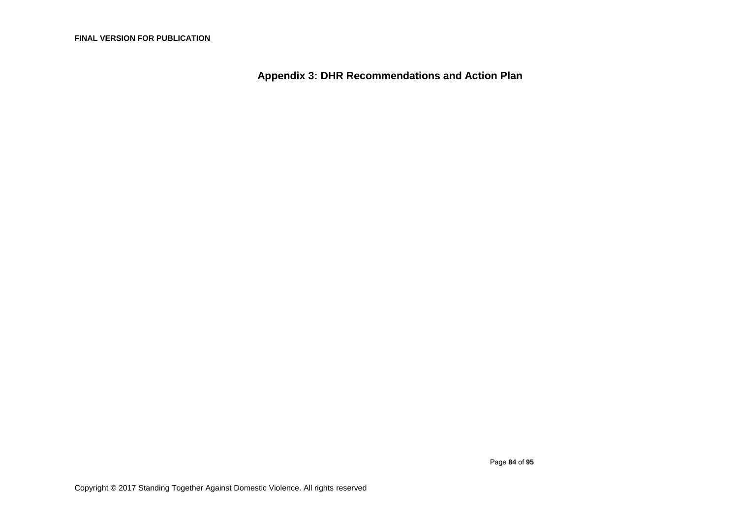**Appendix 3: DHR Recommendations and Action Plan**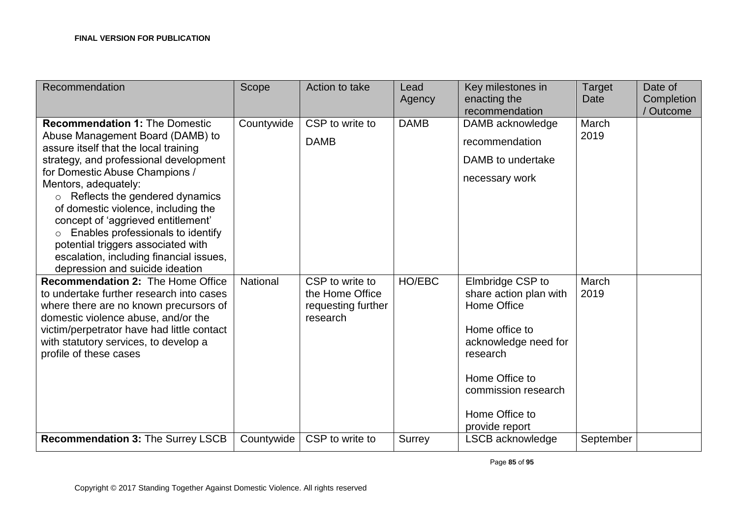| Recommendation                                                                                                                                                                                                                                                                                                                                                                                                                                                                                         | Scope      | Action to take                                                       | Lead<br>Agency | Key milestones in<br>enacting the<br>recommendation                                                                                                                                          | <b>Target</b><br>Date | Date of<br>Completion<br>Outcome |
|--------------------------------------------------------------------------------------------------------------------------------------------------------------------------------------------------------------------------------------------------------------------------------------------------------------------------------------------------------------------------------------------------------------------------------------------------------------------------------------------------------|------------|----------------------------------------------------------------------|----------------|----------------------------------------------------------------------------------------------------------------------------------------------------------------------------------------------|-----------------------|----------------------------------|
| <b>Recommendation 1: The Domestic</b><br>Abuse Management Board (DAMB) to<br>assure itself that the local training<br>strategy, and professional development<br>for Domestic Abuse Champions /<br>Mentors, adequately:<br>$\circ$ Reflects the gendered dynamics<br>of domestic violence, including the<br>concept of 'aggrieved entitlement'<br>Enables professionals to identify<br>potential triggers associated with<br>escalation, including financial issues,<br>depression and suicide ideation | Countywide | CSP to write to<br><b>DAMB</b>                                       | <b>DAMB</b>    | DAMB acknowledge<br>recommendation<br>DAMB to undertake<br>necessary work                                                                                                                    | March<br>2019         |                                  |
| Recommendation 2: The Home Office<br>to undertake further research into cases<br>where there are no known precursors of<br>domestic violence abuse, and/or the<br>victim/perpetrator have had little contact<br>with statutory services, to develop a<br>profile of these cases                                                                                                                                                                                                                        | National   | CSP to write to<br>the Home Office<br>requesting further<br>research | HO/EBC         | Elmbridge CSP to<br>share action plan with<br>Home Office<br>Home office to<br>acknowledge need for<br>research<br>Home Office to<br>commission research<br>Home Office to<br>provide report | March<br>2019         |                                  |
| Recommendation 3: The Surrey LSCB                                                                                                                                                                                                                                                                                                                                                                                                                                                                      | Countywide | CSP to write to                                                      | Surrey         | LSCB acknowledge                                                                                                                                                                             | September             |                                  |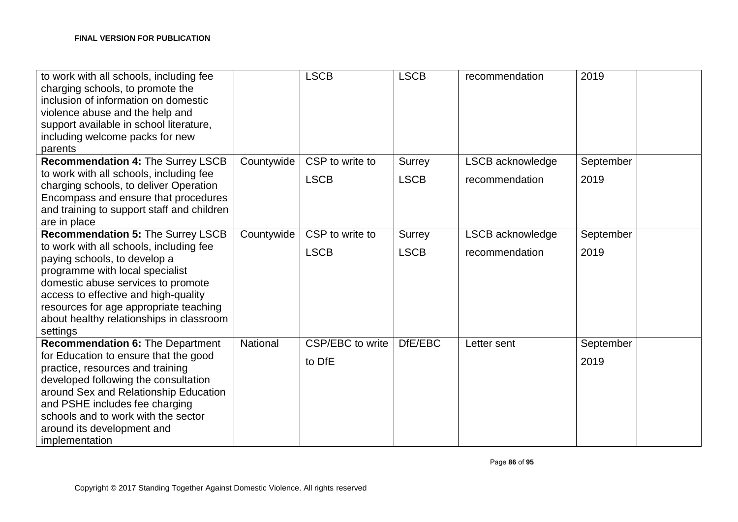| to work with all schools, including fee<br>charging schools, to promote the<br>inclusion of information on domestic<br>violence abuse and the help and<br>support available in school literature,<br>including welcome packs for new<br>parents                                            |            | <b>LSCB</b>      | <b>LSCB</b>   | recommendation   | 2019      |  |
|--------------------------------------------------------------------------------------------------------------------------------------------------------------------------------------------------------------------------------------------------------------------------------------------|------------|------------------|---------------|------------------|-----------|--|
| Recommendation 4: The Surrey LSCB                                                                                                                                                                                                                                                          | Countywide | CSP to write to  | <b>Surrey</b> | LSCB acknowledge | September |  |
| to work with all schools, including fee<br>charging schools, to deliver Operation<br>Encompass and ensure that procedures<br>and training to support staff and children<br>are in place                                                                                                    |            | <b>LSCB</b>      | <b>LSCB</b>   | recommendation   | 2019      |  |
| <b>Recommendation 5: The Surrey LSCB</b>                                                                                                                                                                                                                                                   | Countywide | CSP to write to  | <b>Surrey</b> | LSCB acknowledge | September |  |
| to work with all schools, including fee<br>paying schools, to develop a<br>programme with local specialist<br>domestic abuse services to promote<br>access to effective and high-quality<br>resources for age appropriate teaching<br>about healthy relationships in classroom<br>settings |            | <b>LSCB</b>      | <b>LSCB</b>   | recommendation   | 2019      |  |
| <b>Recommendation 6: The Department</b>                                                                                                                                                                                                                                                    | National   | CSP/EBC to write | DfE/EBC       | Letter sent      | September |  |
| for Education to ensure that the good<br>practice, resources and training<br>developed following the consultation<br>around Sex and Relationship Education<br>and PSHE includes fee charging<br>schools and to work with the sector<br>around its development and<br>implementation        |            | to DfE           |               |                  | 2019      |  |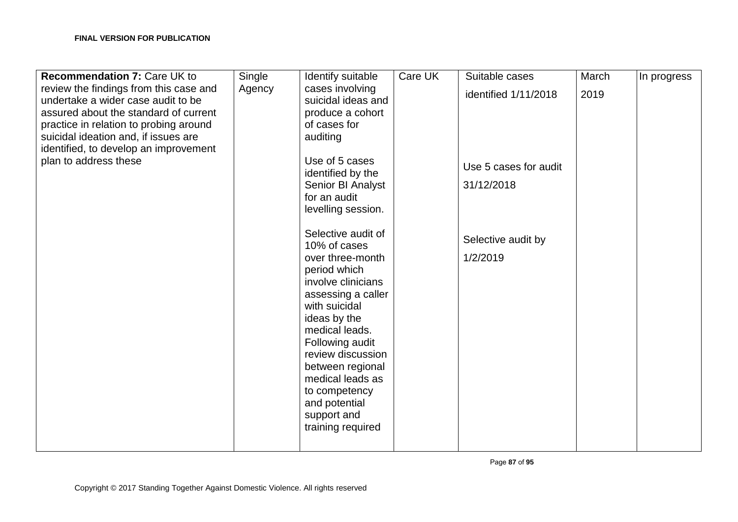| <b>Recommendation 7: Care UK to</b>    | Single | Identify suitable  | Care UK | Suitable cases        | March | In progress |
|----------------------------------------|--------|--------------------|---------|-----------------------|-------|-------------|
| review the findings from this case and | Agency | cases involving    |         | identified 1/11/2018  | 2019  |             |
| undertake a wider case audit to be     |        | suicidal ideas and |         |                       |       |             |
| assured about the standard of current  |        | produce a cohort   |         |                       |       |             |
| practice in relation to probing around |        | of cases for       |         |                       |       |             |
| suicidal ideation and, if issues are   |        | auditing           |         |                       |       |             |
| identified, to develop an improvement  |        |                    |         |                       |       |             |
| plan to address these                  |        | Use of 5 cases     |         | Use 5 cases for audit |       |             |
|                                        |        | identified by the  |         |                       |       |             |
|                                        |        | Senior BI Analyst  |         | 31/12/2018            |       |             |
|                                        |        | for an audit       |         |                       |       |             |
|                                        |        | levelling session. |         |                       |       |             |
|                                        |        |                    |         |                       |       |             |
|                                        |        | Selective audit of |         |                       |       |             |
|                                        |        | 10% of cases       |         | Selective audit by    |       |             |
|                                        |        | over three-month   |         | 1/2/2019              |       |             |
|                                        |        | period which       |         |                       |       |             |
|                                        |        | involve clinicians |         |                       |       |             |
|                                        |        | assessing a caller |         |                       |       |             |
|                                        |        | with suicidal      |         |                       |       |             |
|                                        |        | ideas by the       |         |                       |       |             |
|                                        |        | medical leads.     |         |                       |       |             |
|                                        |        |                    |         |                       |       |             |
|                                        |        | Following audit    |         |                       |       |             |
|                                        |        | review discussion  |         |                       |       |             |
|                                        |        | between regional   |         |                       |       |             |
|                                        |        | medical leads as   |         |                       |       |             |
|                                        |        | to competency      |         |                       |       |             |
|                                        |        | and potential      |         |                       |       |             |
|                                        |        | support and        |         |                       |       |             |
|                                        |        | training required  |         |                       |       |             |
|                                        |        |                    |         |                       |       |             |
|                                        |        |                    |         |                       |       |             |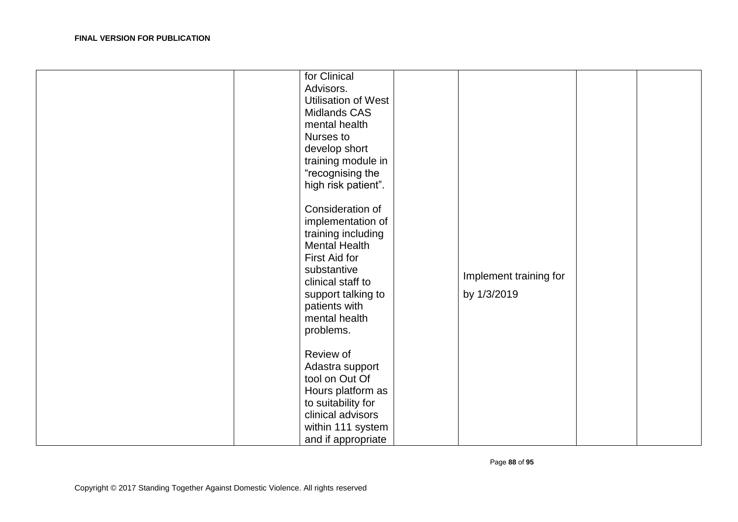| for Clinical<br>Advisors.<br><b>Utilisation of West</b><br><b>Midlands CAS</b><br>mental health<br>Nurses to<br>develop short<br>training module in<br>"recognising the<br>high risk patient".<br>Consideration of<br>implementation of<br>training including<br><b>Mental Health</b><br>First Aid for<br>substantive<br>clinical staff to<br>support talking to<br>patients with<br>mental health<br>problems.<br>Review of<br>Adastra support<br>tool on Out Of<br>Hours platform as | Implement training for<br>by 1/3/2019 |  |
|----------------------------------------------------------------------------------------------------------------------------------------------------------------------------------------------------------------------------------------------------------------------------------------------------------------------------------------------------------------------------------------------------------------------------------------------------------------------------------------|---------------------------------------|--|
|                                                                                                                                                                                                                                                                                                                                                                                                                                                                                        |                                       |  |
|                                                                                                                                                                                                                                                                                                                                                                                                                                                                                        |                                       |  |
| to suitability for<br>clinical advisors                                                                                                                                                                                                                                                                                                                                                                                                                                                |                                       |  |
| within 111 system                                                                                                                                                                                                                                                                                                                                                                                                                                                                      |                                       |  |
| and if appropriate                                                                                                                                                                                                                                                                                                                                                                                                                                                                     |                                       |  |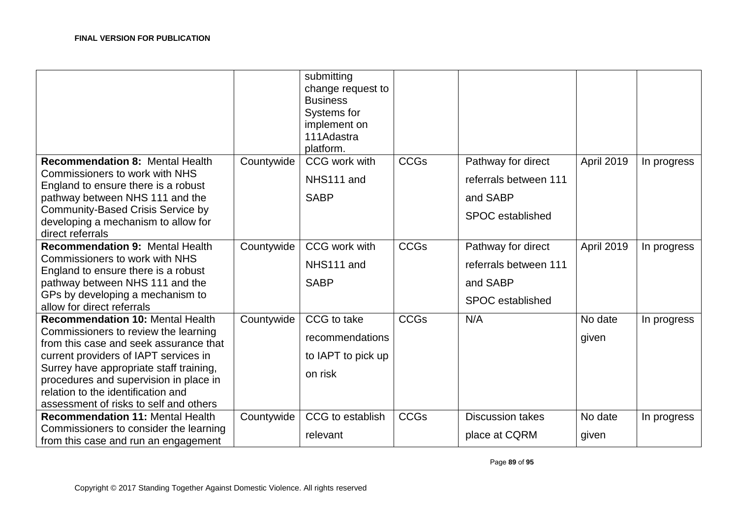| platform.<br><b>CCGs</b><br><b>Recommendation 8: Mental Health</b><br>CCG work with<br>Countywide<br>Pathway for direct<br>April 2019<br>In progress<br><b>Commissioners to work with NHS</b><br>NHS111 and<br>referrals between 111<br>England to ensure there is a robust<br><b>SABP</b><br>pathway between NHS 111 and the<br>and SABP<br><b>Community-Based Crisis Service by</b><br><b>SPOC</b> established<br>developing a mechanism to allow for<br>direct referrals<br><b>Recommendation 9: Mental Health</b><br><b>CCGs</b><br>Countywide<br>CCG work with<br>Pathway for direct<br>April 2019<br>In progress<br><b>Commissioners to work with NHS</b><br>NHS111 and<br>referrals between 111<br>England to ensure there is a robust<br>pathway between NHS 111 and the<br><b>SABP</b><br>and SABP<br>GPs by developing a mechanism to<br><b>SPOC</b> established<br>allow for direct referrals<br><b>CCGs</b><br>CCG to take<br><b>Recommendation 10: Mental Health</b><br>Countywide<br>N/A<br>No date<br>In progress<br>Commissioners to review the learning<br>recommendations<br>given<br>from this case and seek assurance that<br>current providers of IAPT services in<br>to IAPT to pick up<br>Surrey have appropriate staff training,<br>on risk<br>procedures and supervision in place in<br>relation to the identification and<br>assessment of risks to self and others<br><b>CCGs</b><br>CCG to establish<br><b>Recommendation 11: Mental Health</b><br>Countywide<br><b>Discussion takes</b><br>No date<br>In progress<br>Commissioners to consider the learning<br>relevant<br>place at CQRM<br>given |                                      | submitting<br>change request to<br><b>Business</b><br>Systems for<br>implement on<br>111Adastra |  |  |
|--------------------------------------------------------------------------------------------------------------------------------------------------------------------------------------------------------------------------------------------------------------------------------------------------------------------------------------------------------------------------------------------------------------------------------------------------------------------------------------------------------------------------------------------------------------------------------------------------------------------------------------------------------------------------------------------------------------------------------------------------------------------------------------------------------------------------------------------------------------------------------------------------------------------------------------------------------------------------------------------------------------------------------------------------------------------------------------------------------------------------------------------------------------------------------------------------------------------------------------------------------------------------------------------------------------------------------------------------------------------------------------------------------------------------------------------------------------------------------------------------------------------------------------------------------------------------------------------------------------------------------|--------------------------------------|-------------------------------------------------------------------------------------------------|--|--|
|                                                                                                                                                                                                                                                                                                                                                                                                                                                                                                                                                                                                                                                                                                                                                                                                                                                                                                                                                                                                                                                                                                                                                                                                                                                                                                                                                                                                                                                                                                                                                                                                                                |                                      |                                                                                                 |  |  |
|                                                                                                                                                                                                                                                                                                                                                                                                                                                                                                                                                                                                                                                                                                                                                                                                                                                                                                                                                                                                                                                                                                                                                                                                                                                                                                                                                                                                                                                                                                                                                                                                                                |                                      |                                                                                                 |  |  |
|                                                                                                                                                                                                                                                                                                                                                                                                                                                                                                                                                                                                                                                                                                                                                                                                                                                                                                                                                                                                                                                                                                                                                                                                                                                                                                                                                                                                                                                                                                                                                                                                                                |                                      |                                                                                                 |  |  |
|                                                                                                                                                                                                                                                                                                                                                                                                                                                                                                                                                                                                                                                                                                                                                                                                                                                                                                                                                                                                                                                                                                                                                                                                                                                                                                                                                                                                                                                                                                                                                                                                                                |                                      |                                                                                                 |  |  |
|                                                                                                                                                                                                                                                                                                                                                                                                                                                                                                                                                                                                                                                                                                                                                                                                                                                                                                                                                                                                                                                                                                                                                                                                                                                                                                                                                                                                                                                                                                                                                                                                                                |                                      |                                                                                                 |  |  |
|                                                                                                                                                                                                                                                                                                                                                                                                                                                                                                                                                                                                                                                                                                                                                                                                                                                                                                                                                                                                                                                                                                                                                                                                                                                                                                                                                                                                                                                                                                                                                                                                                                |                                      |                                                                                                 |  |  |
|                                                                                                                                                                                                                                                                                                                                                                                                                                                                                                                                                                                                                                                                                                                                                                                                                                                                                                                                                                                                                                                                                                                                                                                                                                                                                                                                                                                                                                                                                                                                                                                                                                |                                      |                                                                                                 |  |  |
|                                                                                                                                                                                                                                                                                                                                                                                                                                                                                                                                                                                                                                                                                                                                                                                                                                                                                                                                                                                                                                                                                                                                                                                                                                                                                                                                                                                                                                                                                                                                                                                                                                |                                      |                                                                                                 |  |  |
|                                                                                                                                                                                                                                                                                                                                                                                                                                                                                                                                                                                                                                                                                                                                                                                                                                                                                                                                                                                                                                                                                                                                                                                                                                                                                                                                                                                                                                                                                                                                                                                                                                |                                      |                                                                                                 |  |  |
|                                                                                                                                                                                                                                                                                                                                                                                                                                                                                                                                                                                                                                                                                                                                                                                                                                                                                                                                                                                                                                                                                                                                                                                                                                                                                                                                                                                                                                                                                                                                                                                                                                |                                      |                                                                                                 |  |  |
|                                                                                                                                                                                                                                                                                                                                                                                                                                                                                                                                                                                                                                                                                                                                                                                                                                                                                                                                                                                                                                                                                                                                                                                                                                                                                                                                                                                                                                                                                                                                                                                                                                |                                      |                                                                                                 |  |  |
|                                                                                                                                                                                                                                                                                                                                                                                                                                                                                                                                                                                                                                                                                                                                                                                                                                                                                                                                                                                                                                                                                                                                                                                                                                                                                                                                                                                                                                                                                                                                                                                                                                |                                      |                                                                                                 |  |  |
|                                                                                                                                                                                                                                                                                                                                                                                                                                                                                                                                                                                                                                                                                                                                                                                                                                                                                                                                                                                                                                                                                                                                                                                                                                                                                                                                                                                                                                                                                                                                                                                                                                |                                      |                                                                                                 |  |  |
|                                                                                                                                                                                                                                                                                                                                                                                                                                                                                                                                                                                                                                                                                                                                                                                                                                                                                                                                                                                                                                                                                                                                                                                                                                                                                                                                                                                                                                                                                                                                                                                                                                |                                      |                                                                                                 |  |  |
|                                                                                                                                                                                                                                                                                                                                                                                                                                                                                                                                                                                                                                                                                                                                                                                                                                                                                                                                                                                                                                                                                                                                                                                                                                                                                                                                                                                                                                                                                                                                                                                                                                |                                      |                                                                                                 |  |  |
|                                                                                                                                                                                                                                                                                                                                                                                                                                                                                                                                                                                                                                                                                                                                                                                                                                                                                                                                                                                                                                                                                                                                                                                                                                                                                                                                                                                                                                                                                                                                                                                                                                |                                      |                                                                                                 |  |  |
|                                                                                                                                                                                                                                                                                                                                                                                                                                                                                                                                                                                                                                                                                                                                                                                                                                                                                                                                                                                                                                                                                                                                                                                                                                                                                                                                                                                                                                                                                                                                                                                                                                |                                      |                                                                                                 |  |  |
|                                                                                                                                                                                                                                                                                                                                                                                                                                                                                                                                                                                                                                                                                                                                                                                                                                                                                                                                                                                                                                                                                                                                                                                                                                                                                                                                                                                                                                                                                                                                                                                                                                |                                      |                                                                                                 |  |  |
|                                                                                                                                                                                                                                                                                                                                                                                                                                                                                                                                                                                                                                                                                                                                                                                                                                                                                                                                                                                                                                                                                                                                                                                                                                                                                                                                                                                                                                                                                                                                                                                                                                |                                      |                                                                                                 |  |  |
|                                                                                                                                                                                                                                                                                                                                                                                                                                                                                                                                                                                                                                                                                                                                                                                                                                                                                                                                                                                                                                                                                                                                                                                                                                                                                                                                                                                                                                                                                                                                                                                                                                |                                      |                                                                                                 |  |  |
|                                                                                                                                                                                                                                                                                                                                                                                                                                                                                                                                                                                                                                                                                                                                                                                                                                                                                                                                                                                                                                                                                                                                                                                                                                                                                                                                                                                                                                                                                                                                                                                                                                |                                      |                                                                                                 |  |  |
|                                                                                                                                                                                                                                                                                                                                                                                                                                                                                                                                                                                                                                                                                                                                                                                                                                                                                                                                                                                                                                                                                                                                                                                                                                                                                                                                                                                                                                                                                                                                                                                                                                | from this case and run an engagement |                                                                                                 |  |  |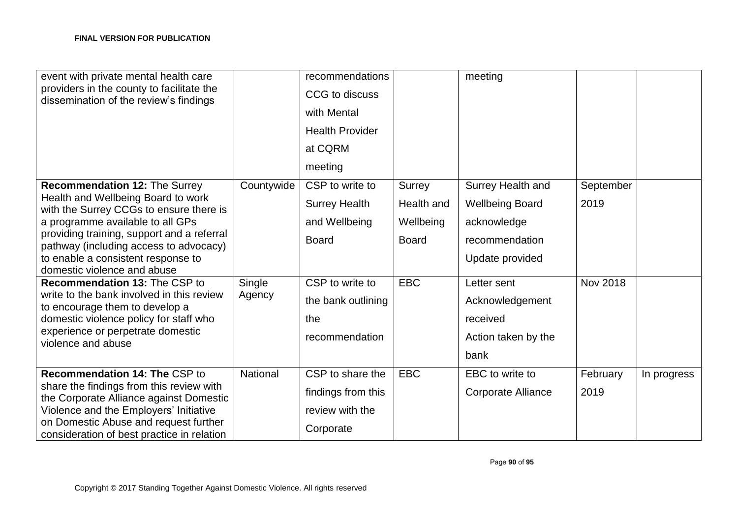| event with private mental health care                                                |            | recommendations        |              | meeting                   |                 |             |
|--------------------------------------------------------------------------------------|------------|------------------------|--------------|---------------------------|-----------------|-------------|
| providers in the county to facilitate the<br>dissemination of the review's findings  |            | CCG to discuss         |              |                           |                 |             |
|                                                                                      |            | with Mental            |              |                           |                 |             |
|                                                                                      |            | <b>Health Provider</b> |              |                           |                 |             |
|                                                                                      |            | at CQRM                |              |                           |                 |             |
|                                                                                      |            | meeting                |              |                           |                 |             |
| Recommendation 12: The Surrey                                                        | Countywide | CSP to write to        | Surrey       | Surrey Health and         | September       |             |
| Health and Wellbeing Board to work<br>with the Surrey CCGs to ensure there is        |            | <b>Surrey Health</b>   | Health and   | <b>Wellbeing Board</b>    | 2019            |             |
| a programme available to all GPs                                                     |            | and Wellbeing          | Wellbeing    | acknowledge               |                 |             |
| providing training, support and a referral<br>pathway (including access to advocacy) |            | <b>Board</b>           | <b>Board</b> | recommendation            |                 |             |
| to enable a consistent response to                                                   |            |                        |              | Update provided           |                 |             |
| domestic violence and abuse                                                          |            |                        |              |                           |                 |             |
| Recommendation 13: The CSP to                                                        | Single     | CSP to write to        | <b>EBC</b>   | Letter sent               | <b>Nov 2018</b> |             |
| write to the bank involved in this review<br>to encourage them to develop a          | Agency     | the bank outlining     |              | Acknowledgement           |                 |             |
| domestic violence policy for staff who                                               |            | the                    |              | received                  |                 |             |
| experience or perpetrate domestic<br>violence and abuse                              |            | recommendation         |              | Action taken by the       |                 |             |
|                                                                                      |            |                        |              | bank                      |                 |             |
| <b>Recommendation 14: The CSP to</b>                                                 | National   | CSP to share the       | <b>EBC</b>   | EBC to write to           | February        | In progress |
| share the findings from this review with                                             |            |                        |              |                           |                 |             |
| the Corporate Alliance against Domestic                                              |            | findings from this     |              | <b>Corporate Alliance</b> | 2019            |             |
| Violence and the Employers' Initiative                                               |            | review with the        |              |                           |                 |             |
| on Domestic Abuse and request further<br>consideration of best practice in relation  |            | Corporate              |              |                           |                 |             |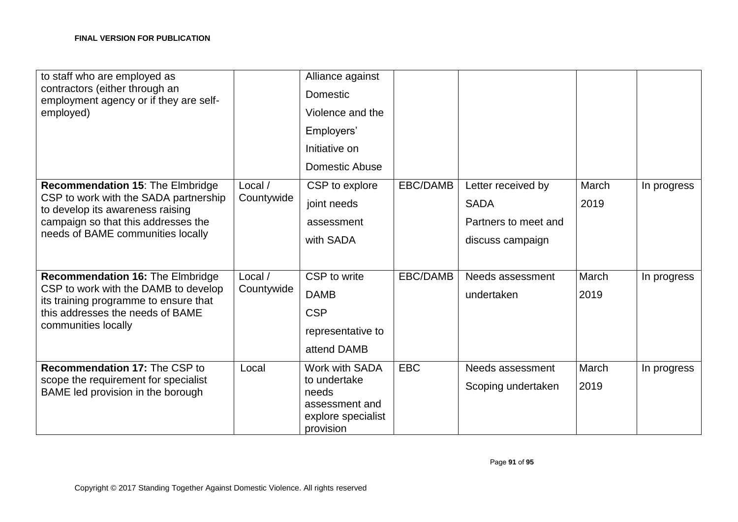| to staff who are employed as<br>contractors (either through an<br>employment agency or if they are self-<br>employed)                                                                     |                       | Alliance against<br>Domestic<br>Violence and the<br>Employers'<br>Initiative on<br>Domestic Abuse |            |                                                                               |               |             |
|-------------------------------------------------------------------------------------------------------------------------------------------------------------------------------------------|-----------------------|---------------------------------------------------------------------------------------------------|------------|-------------------------------------------------------------------------------|---------------|-------------|
| Recommendation 15: The Elmbridge<br>CSP to work with the SADA partnership<br>to develop its awareness raising<br>campaign so that this addresses the<br>needs of BAME communities locally | Local /<br>Countywide | CSP to explore<br>joint needs<br>assessment<br>with SADA                                          | EBC/DAMB   | Letter received by<br><b>SADA</b><br>Partners to meet and<br>discuss campaign | March<br>2019 | In progress |
| <b>Recommendation 16: The Elmbridge</b><br>CSP to work with the DAMB to develop<br>its training programme to ensure that<br>this addresses the needs of BAME<br>communities locally       | Local /<br>Countywide | CSP to write<br><b>DAMB</b><br><b>CSP</b><br>representative to<br>attend DAMB                     | EBC/DAMB   | Needs assessment<br>undertaken                                                | March<br>2019 | In progress |
| Recommendation 17: The CSP to<br>scope the requirement for specialist<br>BAME led provision in the borough                                                                                | Local                 | Work with SADA<br>to undertake<br>needs<br>assessment and<br>explore specialist<br>provision      | <b>EBC</b> | Needs assessment<br>Scoping undertaken                                        | March<br>2019 | In progress |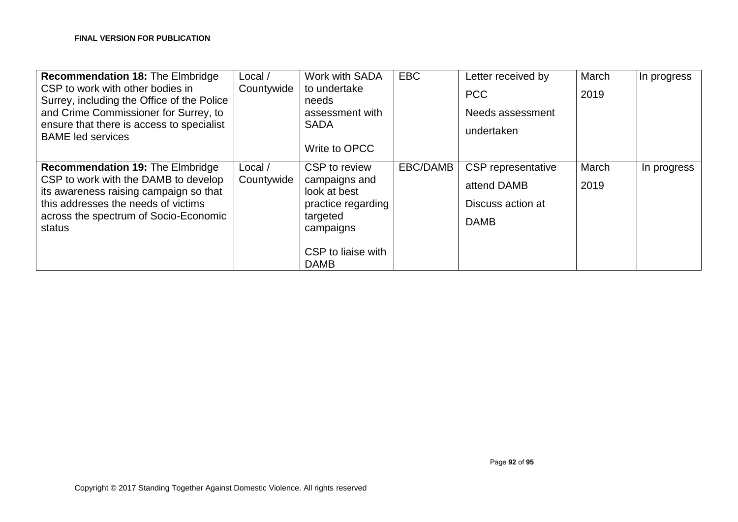| <b>Recommendation 18: The Elmbridge</b><br>CSP to work with other bodies in<br>Surrey, including the Office of the Police<br>and Crime Commissioner for Surrey, to<br>ensure that there is access to specialist<br><b>BAME led services</b> | Local /<br>Countywide | Work with SADA<br>to undertake<br>needs<br>assessment with<br><b>SADA</b><br>Write to OPCC                                         | <b>EBC</b> | Letter received by<br><b>PCC</b><br>Needs assessment<br>undertaken    | March<br>2019 | In progress |
|---------------------------------------------------------------------------------------------------------------------------------------------------------------------------------------------------------------------------------------------|-----------------------|------------------------------------------------------------------------------------------------------------------------------------|------------|-----------------------------------------------------------------------|---------------|-------------|
| <b>Recommendation 19: The Elmbridge</b><br>CSP to work with the DAMB to develop<br>its awareness raising campaign so that<br>this addresses the needs of victims<br>across the spectrum of Socio-Economic<br>status                         | Local /<br>Countywide | CSP to review<br>campaigns and<br>look at best<br>practice regarding<br>targeted<br>campaigns<br>CSP to liaise with<br><b>DAMB</b> | EBC/DAMB   | CSP representative<br>attend DAMB<br>Discuss action at<br><b>DAMB</b> | March<br>2019 | In progress |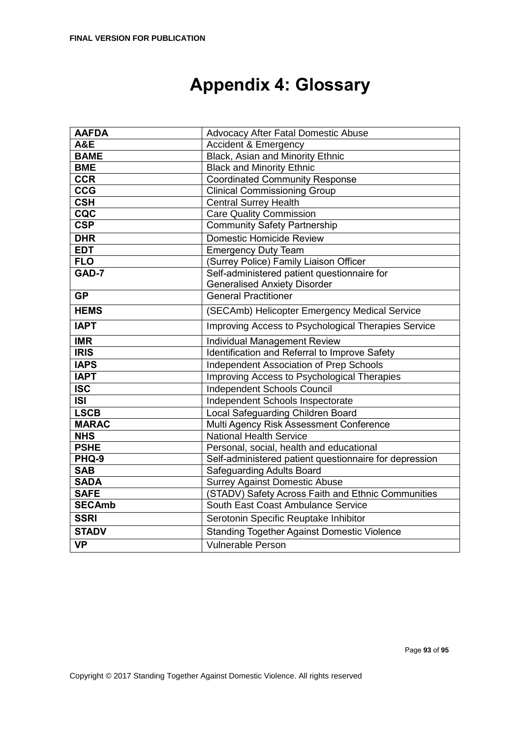# **Appendix 4: Glossary**

| <b>AAFDA</b>   | Advocacy After Fatal Domestic Abuse                    |  |  |
|----------------|--------------------------------------------------------|--|--|
| <b>A&amp;E</b> | Accident & Emergency                                   |  |  |
| <b>BAME</b>    | Black, Asian and Minority Ethnic                       |  |  |
| <b>BME</b>     | <b>Black and Minority Ethnic</b>                       |  |  |
| <b>CCR</b>     | <b>Coordinated Community Response</b>                  |  |  |
| <b>CCG</b>     | <b>Clinical Commissioning Group</b>                    |  |  |
| <b>CSH</b>     | <b>Central Surrey Health</b>                           |  |  |
| CQC            | <b>Care Quality Commission</b>                         |  |  |
| <b>CSP</b>     | <b>Community Safety Partnership</b>                    |  |  |
| <b>DHR</b>     | Domestic Homicide Review                               |  |  |
| <b>EDT</b>     | <b>Emergency Duty Team</b>                             |  |  |
| <b>FLO</b>     | (Surrey Police) Family Liaison Officer                 |  |  |
| GAD-7          | Self-administered patient questionnaire for            |  |  |
|                | <b>Generalised Anxiety Disorder</b>                    |  |  |
| <b>GP</b>      | <b>General Practitioner</b>                            |  |  |
| <b>HEMS</b>    | (SECAmb) Helicopter Emergency Medical Service          |  |  |
| <b>IAPT</b>    | Improving Access to Psychological Therapies Service    |  |  |
| <b>IMR</b>     | Individual Management Review                           |  |  |
| <b>IRIS</b>    | Identification and Referral to Improve Safety          |  |  |
| <b>IAPS</b>    | Independent Association of Prep Schools                |  |  |
| <b>IAPT</b>    | Improving Access to Psychological Therapies            |  |  |
| <b>ISC</b>     | <b>Independent Schools Council</b>                     |  |  |
| <b>ISI</b>     | Independent Schools Inspectorate                       |  |  |
| <b>LSCB</b>    | Local Safeguarding Children Board                      |  |  |
| <b>MARAC</b>   | Multi Agency Risk Assessment Conference                |  |  |
| <b>NHS</b>     | <b>National Health Service</b>                         |  |  |
| <b>PSHE</b>    | Personal, social, health and educational               |  |  |
| PHQ-9          | Self-administered patient questionnaire for depression |  |  |
| <b>SAB</b>     | <b>Safeguarding Adults Board</b>                       |  |  |
| <b>SADA</b>    | <b>Surrey Against Domestic Abuse</b>                   |  |  |
| <b>SAFE</b>    | (STADV) Safety Across Faith and Ethnic Communities     |  |  |
| <b>SECAmb</b>  | South East Coast Ambulance Service                     |  |  |
| <b>SSRI</b>    | Serotonin Specific Reuptake Inhibitor                  |  |  |
| <b>STADV</b>   | <b>Standing Together Against Domestic Violence</b>     |  |  |
| <b>VP</b>      | <b>Vulnerable Person</b>                               |  |  |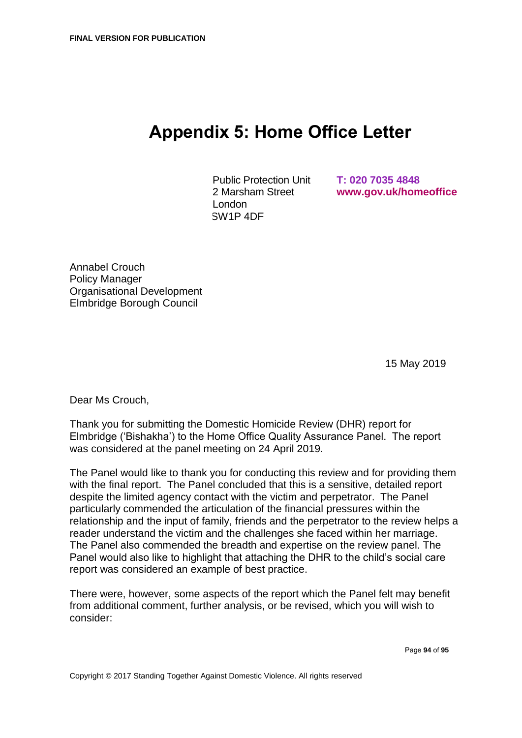### **Appendix 5: Home Office Letter**

Public Protection Unit 2 Marsham Street London SW1P 4DF

**T: 020 7035 4848 [www.gov.uk/homeoffice](http://www.gov.uk/homeoffice)**

Annabel Crouch Policy Manager Organisational Development Elmbridge Borough Council

15 May 2019

Dear Ms Crouch,

Thank you for submitting the Domestic Homicide Review (DHR) report for Elmbridge ('Bishakha') to the Home Office Quality Assurance Panel. The report was considered at the panel meeting on 24 April 2019.

The Panel would like to thank you for conducting this review and for providing them with the final report. The Panel concluded that this is a sensitive, detailed report despite the limited agency contact with the victim and perpetrator. The Panel particularly commended the articulation of the financial pressures within the relationship and the input of family, friends and the perpetrator to the review helps a reader understand the victim and the challenges she faced within her marriage. The Panel also commended the breadth and expertise on the review panel. The Panel would also like to highlight that attaching the DHR to the child's social care report was considered an example of best practice.

There were, however, some aspects of the report which the Panel felt may benefit from additional comment, further analysis, or be revised, which you will wish to consider: